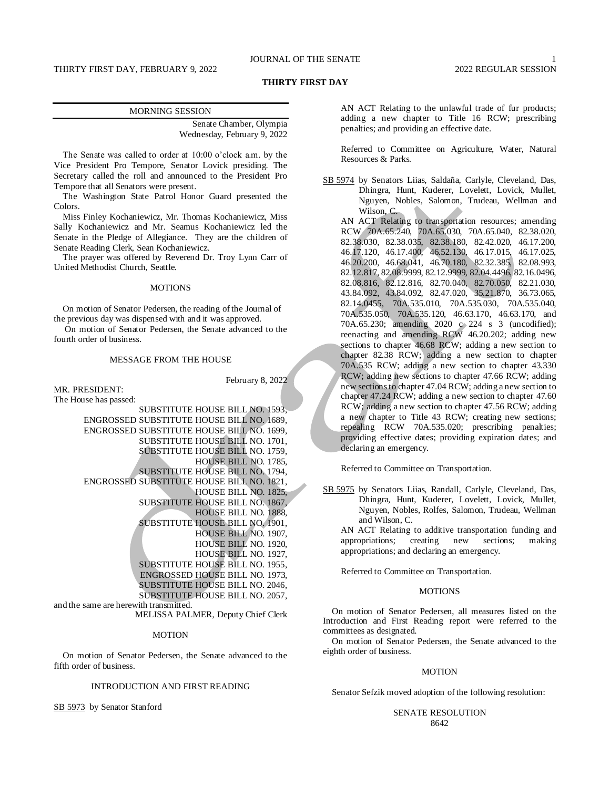## JOURNAL OF THE SENATE 1

## **THIRTY FIRST DAY**

Senate Chamber, Olympia Wednesday, February 9, 2022

The Senate was called to order at 10:00 o'clock a.m. by the Vice President Pro Tempore, Senator Lovick presiding. The Secretary called the roll and announced to the President Pro Tempore that all Senators were present.

The Washington State Patrol Honor Guard presented the Colors.

Miss Finley Kochaniewicz, Mr. Thomas Kochaniewicz, Miss Sally Kochaniewicz and Mr. Seamus Kochaniewicz led the Senate in the Pledge of Allegiance. They are the children of Senate Reading Clerk, Sean Kochaniewicz.

The prayer was offered by Reverend Dr. Troy Lynn Carr of United Methodist Church, Seattle.

## MOTIONS

On motion of Senator Pedersen, the reading of the Journal of the previous day was dispensed with and it was approved.

On motion of Senator Pedersen, the Senate advanced to the fourth order of business.

## MESSAGE FROM THE HOUSE

MR. PRESIDENT:

February 8, 2022

The House has passed:

SUBSTITUTE HOUSE BILL NO. 1593, ENGROSSED SUBSTITUTE HOUSE BILL NO. 1689, ENGROSSED SUBSTITUTE HOUSE BILL NO. 1699, SUBSTITUTE HOUSE BILL NO. 1701, SUBSTITUTE HOUSE BILL NO. 1759, HOUSE BILL NO. 1785, SUBSTITUTE HOUSE BILL NO. 1794, ENGROSSED SUBSTITUTE HOUSE BILL NO. 1821, HOUSE BILL NO. 1825, SUBSTITUTE HOUSE BILL NO. 1867, HOUSE BILL NO. 1888, SUBSTITUTE HOUSE BILL NO. 1901, HOUSE BILL NO. 1907, HOUSE BILL NO. 1920, HOUSE BILL NO. 1927, SUBSTITUTE HOUSE BILL NO. 1955, ENGROSSED HOUSE BILL NO. 1973, SUBSTITUTE HOUSE BILL NO. 2046, SUBSTITUTE HOUSE BILL NO. 2057, and the same are herewith transmitted. MELISSA PALMER, Deputy Chief Clerk

#### MOTION

On motion of Senator Pedersen, the Senate advanced to the fifth order of business.

## INTRODUCTION AND FIRST READING

SB 5973 by Senator Stanford

AN ACT Relating to the unlawful trade of fur products; adding a new chapter to Title 16 RCW; prescribing penalties; and providing an effective date.

Referred to Committee on Agriculture, Water, Natural Resources & Parks.

SB 5974 by Senators Liias, Saldaña, Carlyle, Cleveland, Das, Dhingra, Hunt, Kuderer, Lovelett, Lovick, Mullet, Nguyen, Nobles, Salomon, Trudeau, Wellman and Wilson, C.

AN ACT Relating to transportation resources; amending RCW 70A.65.240, 70A.65.030, 70A.65.040, 82.38.020, 82.38.030, 82.38.035, 82.38.180, 82.42.020, 46.17.200, 46.17.120, 46.17.400, 46.52.130, 46.17.015, 46.17.025, 46.20.200, 46.68.041, 46.70.180, 82.32.385, 82.08.993, 82.12.817, 82.08.9999, 82.12.9999, 82.04.4496, 82.16.0496, 82.08.816, 82.12.816, 82.70.040, 82.70.050, 82.21.030, 43.84.092, 43.84.092, 82.47.020, 35.21.870, 36.73.065, 82.14.0455, 70A.535.010, 70A.535.030, 70A.535.040, 70A.535.050, 70A.535.120, 46.63.170, 46.63.170, and 70A.65.230; amending 2020 c 224 s 3 (uncodified); reenacting and amending RCW 46.20.202; adding new sections to chapter 46.68 RCW; adding a new section to chapter 82.38 RCW; adding a new section to chapter 70A.535 RCW; adding a new section to chapter 43.330 RCW; adding new sections to chapter 47.66 RCW; adding new sections to chapter 47.04 RCW; adding a new section to chapter 47.24 RCW; adding a new section to chapter 47.60 RCW; adding a new section to chapter 47.56 RCW; adding a new chapter to Title 43 RCW; creating new sections; repealing RCW 70A.535.020; prescribing penalties; providing effective dates; providing expiration dates; and declaring an emergency.

Referred to Committee on Transportation.

SB 5975 by Senators Liias, Randall, Carlyle, Cleveland, Das, Dhingra, Hunt, Kuderer, Lovelett, Lovick, Mullet, Nguyen, Nobles, Rolfes, Salomon, Trudeau, Wellman and Wilson, C.

AN ACT Relating to additive transportation funding and appropriations; creating new sections; making appropriations; and declaring an emergency.

Referred to Committee on Transportation.

## **MOTIONS**

On motion of Senator Pedersen, all measures listed on the Introduction and First Reading report were referred to the committees as designated.

On motion of Senator Pedersen, the Senate advanced to the eighth order of business.

## MOTION

Senator Sefzik moved adoption of the following resolution:

SENATE RESOLUTION 8642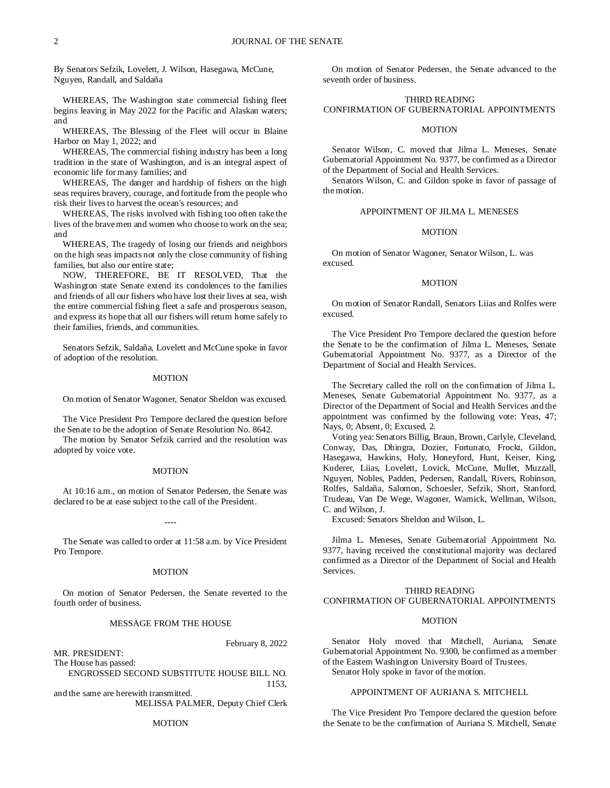By Senators Sefzik, Lovelett, J. Wilson, Hasegawa, McCune, Nguyen, Randall, and Saldaña

WHEREAS, The Washington state commercial fishing fleet begins leaving in May 2022 for the Pacific and Alaskan waters; and

WHEREAS, The Blessing of the Fleet will occur in Blaine Harbor on May 1, 2022; and

WHEREAS, The commercial fishing industry has been a long tradition in the state of Washington, and is an integral aspect of economic life for many families; and

WHEREAS, The danger and hardship of fishers on the high seas requires bravery, courage, and fortitude from the people who risk their lives to harvest the ocean's resources; and

WHEREAS, The risks involved with fishing too often take the lives of the brave men and women who choose to work on the sea; and

WHEREAS, The tragedy of losing our friends and neighbors on the high seas impacts not only the close community of fishing families, but also our entire state;

NOW, THEREFORE, BE IT RESOLVED, That the Washington state Senate extend its condolences to the families and friends of all our fishers who have lost their lives at sea, wish the entire commercial fishing fleet a safe and prosperous season, and express its hope that all our fishers will return home safely to their families, friends, and communities.

Senators Sefzik, Saldaña, Lovelett and McCune spoke in favor of adoption of the resolution.

### MOTION

On motion of Senator Wagoner, Senator Sheldon was excused.

The Vice President Pro Tempore declared the question before the Senate to be the adoption of Senate Resolution No. 8642.

The motion by Senator Sefzik carried and the resolution was adopted by voice vote.

#### MOTION

At 10:16 a.m., on motion of Senator Pedersen, the Senate was declared to be at ease subject to the call of the President.

----

The Senate was called to order at 11:58 a.m. by Vice President Pro Tempore.

#### MOTION

On motion of Senator Pedersen, the Senate reverted to the fourth order of business.

## MESSAGE FROM THE HOUSE

February 8, 2022

MR. PRESIDENT: The House has passed:

ENGROSSED SECOND SUBSTITUTE HOUSE BILL NO. 1153,

and the same are herewith transmitted. MELISSA PALMER, Deputy Chief Clerk

## MOTION

On motion of Senator Pedersen, the Senate advanced to the seventh order of business.

# THIRD READING CONFIRMATION OF GUBERNATORIAL APPOINTMENTS

## MOTION

Senator Wilson, C. moved that Jilma L. Meneses, Senate Gubernatorial Appointment No. 9377, be confirmed as a Director of the Department of Social and Health Services.

Senators Wilson, C. and Gildon spoke in favor of passage of the motion.

## APPOINTMENT OF JILMA L. MENESES

## **MOTION**

On motion of Senator Wagoner, Senator Wilson, L. was excused.

#### MOTION

On motion of Senator Randall, Senators Liias and Rolfes were excused.

The Vice President Pro Tempore declared the question before the Senate to be the confirmation of Jilma L. Meneses, Senate Gubernatorial Appointment No. 9377, as a Director of the Department of Social and Health Services.

The Secretary called the roll on the confirmation of Jilma L. Meneses, Senate Gubernatorial Appointment No. 9377, as a Director of the Department of Social and Health Services and the appointment was confirmed by the following vote: Yeas, 47; Nays, 0; Absent, 0; Excused, 2.

Voting yea: Senators Billig, Braun, Brown, Carlyle, Cleveland, Conway, Das, Dhingra, Dozier, Fortunato, Frockt, Gildon, Hasegawa, Hawkins, Holy, Honeyford, Hunt, Keiser, King, Kuderer, Liias, Lovelett, Lovick, McCune, Mullet, Muzzall, Nguyen, Nobles, Padden, Pedersen, Randall, Rivers, Robinson, Rolfes, Saldaña, Salomon, Schoesler, Sefzik, Short, Stanford, Trudeau, Van De Wege, Wagoner, Warnick, Wellman, Wilson, C. and Wilson, J.

Excused: Senators Sheldon and Wilson, L.

Jilma L. Meneses, Senate Gubernatorial Appointment No. 9377, having received the constitutional majority was declared confirmed as a Director of the Department of Social and Health Services.

## THIRD READING CONFIRMATION OF GUBERNATORIAL APPOINTMENTS

## **MOTION**

Senator Holy moved that Mitchell, Auriana, Senate Gubernatorial Appointment No. 9300, be confirmed as a member of the Eastern Washington University Board of Trustees.

Senator Holy spoke in favor of the motion.

## APPOINTMENT OF AURIANA S. MITCHELL

The Vice President Pro Tempore declared the question before the Senate to be the confirmation of Auriana S. Mitchell, Senate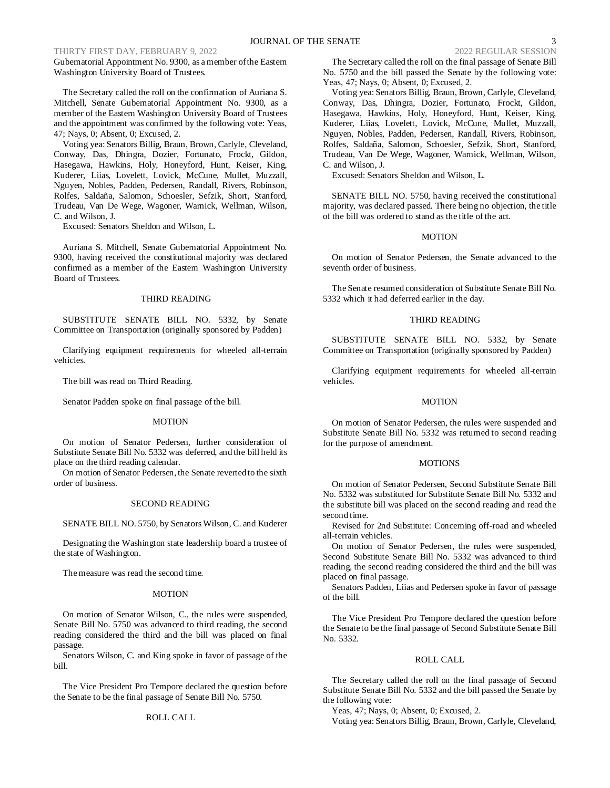Gubernatorial Appointment No. 9300, as a member of the Eastern Washington University Board of Trustees.

The Secretary called the roll on the confirmation of Auriana S. Mitchell, Senate Gubernatorial Appointment No. 9300, as a member of the Eastern Washington University Board of Trustees and the appointment was confirmed by the following vote: Yeas, 47; Nays, 0; Absent, 0; Excused, 2.

Voting yea: Senators Billig, Braun, Brown, Carlyle, Cleveland, Conway, Das, Dhingra, Dozier, Fortunato, Frockt, Gildon, Hasegawa, Hawkins, Holy, Honeyford, Hunt, Keiser, King, Kuderer, Liias, Lovelett, Lovick, McCune, Mullet, Muzzall, Nguyen, Nobles, Padden, Pedersen, Randall, Rivers, Robinson, Rolfes, Saldaña, Salomon, Schoesler, Sefzik, Short, Stanford, Trudeau, Van De Wege, Wagoner, Warnick, Wellman, Wilson, C. and Wilson, J.

Excused: Senators Sheldon and Wilson, L.

Auriana S. Mitchell, Senate Gubernatorial Appointment No. 9300, having received the constitutional majority was declared confirmed as a member of the Eastern Washington University Board of Trustees.

## THIRD READING

SUBSTITUTE SENATE BILL NO. 5332, by Senate Committee on Transportation (originally sponsored by Padden)

Clarifying equipment requirements for wheeled all-terrain vehicles.

The bill was read on Third Reading.

Senator Padden spoke on final passage of the bill.

#### MOTION

On motion of Senator Pedersen, further consideration of Substitute Senate Bill No. 5332 was deferred, and the bill held its place on the third reading calendar.

On motion of Senator Pedersen, the Senate reverted to the sixth order of business.

## SECOND READING

SENATE BILL NO. 5750, by Senators Wilson, C. and Kuderer

Designating the Washington state leadership board a trustee of the state of Washington.

The measure was read the second time.

#### MOTION

On motion of Senator Wilson, C., the rules were suspended, Senate Bill No. 5750 was advanced to third reading, the second reading considered the third and the bill was placed on final passage.

Senators Wilson, C. and King spoke in favor of passage of the bill.

The Vice President Pro Tempore declared the question before the Senate to be the final passage of Senate Bill No. 5750.

## ROLL CALL

The Secretary called the roll on the final passage of Senate Bill No. 5750 and the bill passed the Senate by the following vote: Yeas, 47; Nays, 0; Absent, 0; Excused, 2.

Voting yea: Senators Billig, Braun, Brown, Carlyle, Cleveland, Conway, Das, Dhingra, Dozier, Fortunato, Frockt, Gildon, Hasegawa, Hawkins, Holy, Honeyford, Hunt, Keiser, King, Kuderer, Liias, Lovelett, Lovick, McCune, Mullet, Muzzall, Nguyen, Nobles, Padden, Pedersen, Randall, Rivers, Robinson, Rolfes, Saldaña, Salomon, Schoesler, Sefzik, Short, Stanford, Trudeau, Van De Wege, Wagoner, Warnick, Wellman, Wilson, C. and Wilson, J.

Excused: Senators Sheldon and Wilson, L.

SENATE BILL NO. 5750, having received the constitutional majority, was declared passed. There being no objection, the title of the bill was ordered to stand as the title of the act.

#### MOTION

On motion of Senator Pedersen, the Senate advanced to the seventh order of business.

The Senate resumed consideration of Substitute Senate Bill No. 5332 which it had deferred earlier in the day.

## THIRD READING

SUBSTITUTE SENATE BILL NO. 5332, by Senate Committee on Transportation (originally sponsored by Padden)

Clarifying equipment requirements for wheeled all-terrain vehicles.

#### MOTION

On motion of Senator Pedersen, the rules were suspended and Substitute Senate Bill No. 5332 was returned to second reading for the purpose of amendment.

#### MOTIONS

On motion of Senator Pedersen, Second Substitute Senate Bill No. 5332 was substituted for Substitute Senate Bill No. 5332 and the substitute bill was placed on the second reading and read the second time.

Revised for 2nd Substitute: Concerning off-road and wheeled all-terrain vehicles.

On motion of Senator Pedersen, the rules were suspended, Second Substitute Senate Bill No. 5332 was advanced to third reading, the second reading considered the third and the bill was placed on final passage.

Senators Padden, Liias and Pedersen spoke in favor of passage of the bill.

The Vice President Pro Tempore declared the question before the Senate to be the final passage of Second Substitute Senate Bill No. 5332.

## ROLL CALL

The Secretary called the roll on the final passage of Second Substitute Senate Bill No. 5332 and the bill passed the Senate by the following vote:

Yeas, 47; Nays, 0; Absent, 0; Excused, 2.

Voting yea: Senators Billig, Braun, Brown, Carlyle, Cleveland,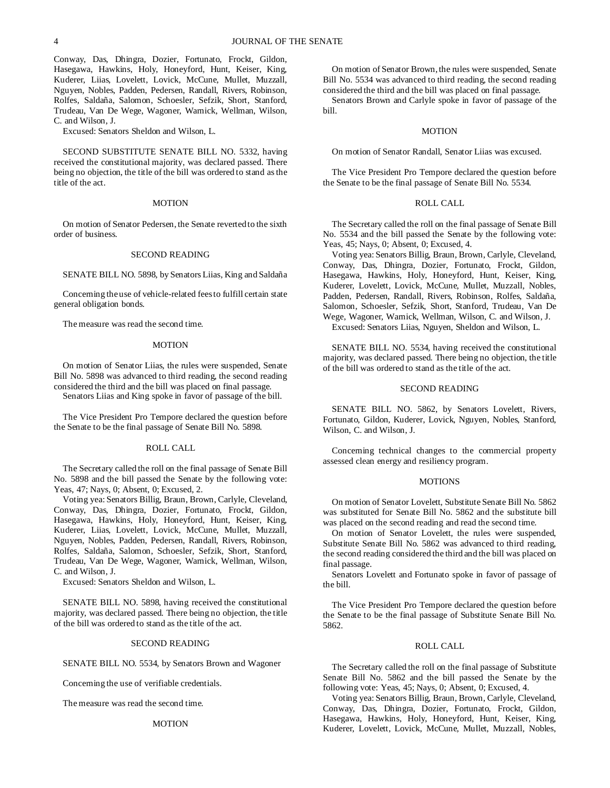Conway, Das, Dhingra, Dozier, Fortunato, Frockt, Gildon, Hasegawa, Hawkins, Holy, Honeyford, Hunt, Keiser, King, Kuderer, Liias, Lovelett, Lovick, McCune, Mullet, Muzzall, Nguyen, Nobles, Padden, Pedersen, Randall, Rivers, Robinson, Rolfes, Saldaña, Salomon, Schoesler, Sefzik, Short, Stanford, Trudeau, Van De Wege, Wagoner, Warnick, Wellman, Wilson, C. and Wilson, J.

Excused: Senators Sheldon and Wilson, L.

SECOND SUBSTITUTE SENATE BILL NO. 5332, having received the constitutional majority, was declared passed. There being no objection, the title of the bill was ordered to stand as the title of the act.

## **MOTION**

On motion of Senator Pedersen, the Senate reverted to the sixth order of business.

#### SECOND READING

SENATE BILL NO. 5898, by Senators Liias, King and Saldaña

Concerning the use of vehicle-related fees to fulfill certain state general obligation bonds.

The measure was read the second time.

## MOTION

On motion of Senator Liias, the rules were suspended, Senate Bill No. 5898 was advanced to third reading, the second reading considered the third and the bill was placed on final passage. Senators Liias and King spoke in favor of passage of the bill.

The Vice President Pro Tempore declared the question before the Senate to be the final passage of Senate Bill No. 5898.

#### ROLL CALL

The Secretary called the roll on the final passage of Senate Bill No. 5898 and the bill passed the Senate by the following vote: Yeas, 47; Nays, 0; Absent, 0; Excused, 2.

Voting yea: Senators Billig, Braun, Brown, Carlyle, Cleveland, Conway, Das, Dhingra, Dozier, Fortunato, Frockt, Gildon, Hasegawa, Hawkins, Holy, Honeyford, Hunt, Keiser, King, Kuderer, Liias, Lovelett, Lovick, McCune, Mullet, Muzzall, Nguyen, Nobles, Padden, Pedersen, Randall, Rivers, Robinson, Rolfes, Saldaña, Salomon, Schoesler, Sefzik, Short, Stanford, Trudeau, Van De Wege, Wagoner, Warnick, Wellman, Wilson, C. and Wilson, J.

Excused: Senators Sheldon and Wilson, L.

SENATE BILL NO. 5898, having received the constitutional majority, was declared passed. There being no objection, the title of the bill was ordered to stand as the title of the act.

#### SECOND READING

SENATE BILL NO. 5534, by Senators Brown and Wagoner

Concerning the use of verifiable credentials.

The measure was read the second time.

## **MOTION**

On motion of Senator Brown, the rules were suspended, Senate Bill No. 5534 was advanced to third reading, the second reading considered the third and the bill was placed on final passage.

Senators Brown and Carlyle spoke in favor of passage of the bill.

## **MOTION**

On motion of Senator Randall, Senator Liias was excused.

The Vice President Pro Tempore declared the question before the Senate to be the final passage of Senate Bill No. 5534.

## ROLL CALL

The Secretary called the roll on the final passage of Senate Bill No. 5534 and the bill passed the Senate by the following vote: Yeas, 45; Nays, 0; Absent, 0; Excused, 4.

Voting yea: Senators Billig, Braun, Brown, Carlyle, Cleveland, Conway, Das, Dhingra, Dozier, Fortunato, Frockt, Gildon, Hasegawa, Hawkins, Holy, Honeyford, Hunt, Keiser, King, Kuderer, Lovelett, Lovick, McCune, Mullet, Muzzall, Nobles, Padden, Pedersen, Randall, Rivers, Robinson, Rolfes, Saldaña, Salomon, Schoesler, Sefzik, Short, Stanford, Trudeau, Van De Wege, Wagoner, Warnick, Wellman, Wilson, C. and Wilson, J.

Excused: Senators Liias, Nguyen, Sheldon and Wilson, L.

SENATE BILL NO. 5534, having received the constitutional majority, was declared passed. There being no objection, the title of the bill was ordered to stand as the title of the act.

## SECOND READING

SENATE BILL NO. 5862, by Senators Lovelett, Rivers, Fortunato, Gildon, Kuderer, Lovick, Nguyen, Nobles, Stanford, Wilson, C. and Wilson, J.

Concerning technical changes to the commercial property assessed clean energy and resiliency program.

## **MOTIONS**

On motion of Senator Lovelett, Substitute Senate Bill No. 5862 was substituted for Senate Bill No. 5862 and the substitute bill was placed on the second reading and read the second time.

On motion of Senator Lovelett, the rules were suspended, Substitute Senate Bill No. 5862 was advanced to third reading, the second reading considered the third and the bill was placed on final passage.

Senators Lovelett and Fortunato spoke in favor of passage of the bill.

The Vice President Pro Tempore declared the question before the Senate to be the final passage of Substitute Senate Bill No. 5862.

## ROLL CALL

The Secretary called the roll on the final passage of Substitute Senate Bill No. 5862 and the bill passed the Senate by the following vote: Yeas, 45; Nays, 0; Absent, 0; Excused, 4.

Voting yea: Senators Billig, Braun, Brown, Carlyle, Cleveland, Conway, Das, Dhingra, Dozier, Fortunato, Frockt, Gildon, Hasegawa, Hawkins, Holy, Honeyford, Hunt, Keiser, King, Kuderer, Lovelett, Lovick, McCune, Mullet, Muzzall, Nobles,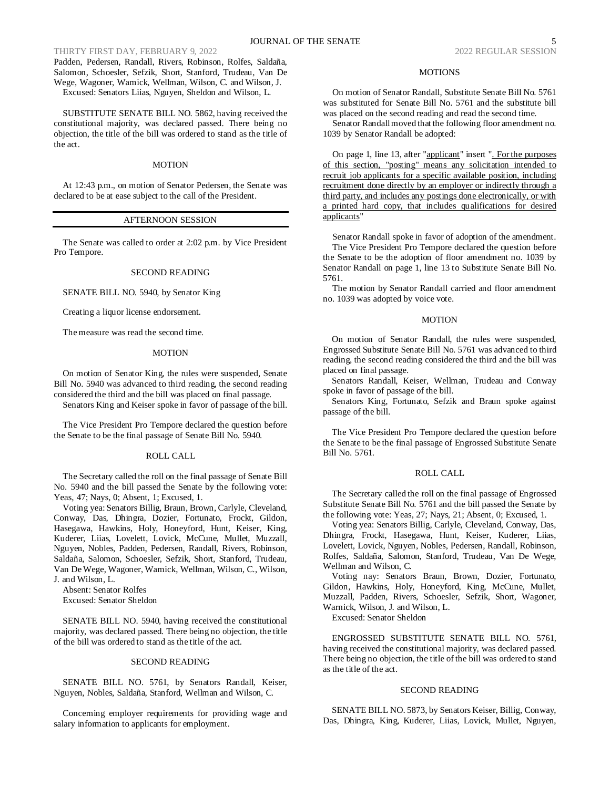Padden, Pedersen, Randall, Rivers, Robinson, Rolfes, Saldaña, Salomon, Schoesler, Sefzik, Short, Stanford, Trudeau, Van De Wege, Wagoner, Warnick, Wellman, Wilson, C. and Wilson, J. Excused: Senators Liias, Nguyen, Sheldon and Wilson, L.

SUBSTITUTE SENATE BILL NO. 5862, having received the constitutional majority, was declared passed. There being no objection, the title of the bill was ordered to stand as the title of the act.

#### MOTION

At 12:43 p.m., on motion of Senator Pedersen, the Senate was declared to be at ease subject to the call of the President.

## AFTERNOON SESSION

The Senate was called to order at 2:02 p.m. by Vice President Pro Tempore.

## SECOND READING

SENATE BILL NO. 5940, by Senator King

Creating a liquor license endorsement.

The measure was read the second time.

#### **MOTION**

On motion of Senator King, the rules were suspended, Senate Bill No. 5940 was advanced to third reading, the second reading considered the third and the bill was placed on final passage.

Senators King and Keiser spoke in favor of passage of the bill.

The Vice President Pro Tempore declared the question before the Senate to be the final passage of Senate Bill No. 5940.

#### ROLL CALL

The Secretary called the roll on the final passage of Senate Bill No. 5940 and the bill passed the Senate by the following vote: Yeas, 47; Nays, 0; Absent, 1; Excused, 1.

Voting yea: Senators Billig, Braun, Brown, Carlyle, Cleveland, Conway, Das, Dhingra, Dozier, Fortunato, Frockt, Gildon, Hasegawa, Hawkins, Holy, Honeyford, Hunt, Keiser, King, Kuderer, Liias, Lovelett, Lovick, McCune, Mullet, Muzzall, Nguyen, Nobles, Padden, Pedersen, Randall, Rivers, Robinson, Saldaña, Salomon, Schoesler, Sefzik, Short, Stanford, Trudeau, Van De Wege, Wagoner, Warnick, Wellman, Wilson, C., Wilson, J. and Wilson, L.

Absent: Senator Rolfes Excused: Senator Sheldon

SENATE BILL NO. 5940, having received the constitutional majority, was declared passed. There being no objection, the title of the bill was ordered to stand as the title of the act.

## SECOND READING

SENATE BILL NO. 5761, by Senators Randall, Keiser, Nguyen, Nobles, Saldaña, Stanford, Wellman and Wilson, C.

Concerning employer requirements for providing wage and salary information to applicants for employment.

#### MOTIONS

On motion of Senator Randall, Substitute Senate Bill No. 5761 was substituted for Senate Bill No. 5761 and the substitute bill was placed on the second reading and read the second time.

Senator Randall moved that the following floor amendment no. 1039 by Senator Randall be adopted:

On page 1, line 13, after "applicant" insert ". For the purposes of this section, "posting" means any solicitation intended to recruit job applicants for a specific available position, including recruitment done directly by an employer or indirectly through a third party, and includes any postings done electronically, or with a printed hard copy, that includes qualifications for desired applicants"

Senator Randall spoke in favor of adoption of the amendment. The Vice President Pro Tempore declared the question before the Senate to be the adoption of floor amendment no. 1039 by Senator Randall on page 1, line 13 to Substitute Senate Bill No. 5761.

The motion by Senator Randall carried and floor amendment no. 1039 was adopted by voice vote.

#### **MOTION**

On motion of Senator Randall, the rules were suspended, Engrossed Substitute Senate Bill No. 5761 was advanced to third reading, the second reading considered the third and the bill was placed on final passage.

Senators Randall, Keiser, Wellman, Trudeau and Conway spoke in favor of passage of the bill.

Senators King, Fortunato, Sefzik and Braun spoke against passage of the bill.

The Vice President Pro Tempore declared the question before the Senate to be the final passage of Engrossed Substitute Senate Bill No. 5761.

#### ROLL CALL

The Secretary called the roll on the final passage of Engrossed Substitute Senate Bill No. 5761 and the bill passed the Senate by the following vote: Yeas, 27; Nays, 21; Absent, 0; Excused, 1.

Voting yea: Senators Billig, Carlyle, Cleveland, Conway, Das, Dhingra, Frockt, Hasegawa, Hunt, Keiser, Kuderer, Liias, Lovelett, Lovick, Nguyen, Nobles, Pedersen, Randall, Robinson, Rolfes, Saldaña, Salomon, Stanford, Trudeau, Van De Wege, Wellman and Wilson, C.

Voting nay: Senators Braun, Brown, Dozier, Fortunato, Gildon, Hawkins, Holy, Honeyford, King, McCune, Mullet, Muzzall, Padden, Rivers, Schoesler, Sefzik, Short, Wagoner, Warnick, Wilson, J. and Wilson, L.

Excused: Senator Sheldon

ENGROSSED SUBSTITUTE SENATE BILL NO. 5761, having received the constitutional majority, was declared passed. There being no objection, the title of the bill was ordered to stand as the title of the act.

## SECOND READING

SENATE BILL NO. 5873, by Senators Keiser, Billig, Conway, Das, Dhingra, King, Kuderer, Liias, Lovick, Mullet, Nguyen,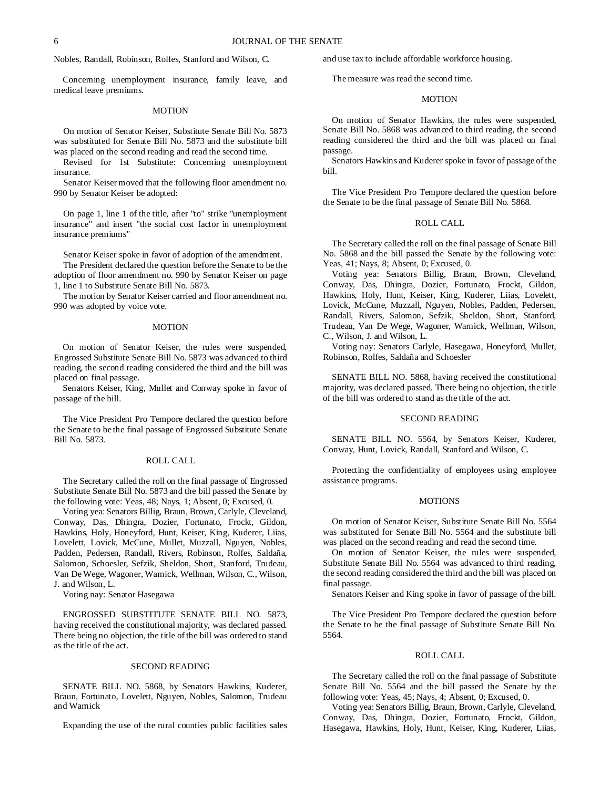Nobles, Randall, Robinson, Rolfes, Stanford and Wilson, C.

Concerning unemployment insurance, family leave, and medical leave premiums.

## MOTION

On motion of Senator Keiser, Substitute Senate Bill No. 5873 was substituted for Senate Bill No. 5873 and the substitute bill was placed on the second reading and read the second time.

Revised for 1st Substitute: Concerning unemployment insurance.

Senator Keiser moved that the following floor amendment no. 990 by Senator Keiser be adopted:

On page 1, line 1 of the title, after "to" strike "unemployment insurance" and insert "the social cost factor in unemployment insurance premiums"

Senator Keiser spoke in favor of adoption of the amendment.

The President declared the question before the Senate to be the adoption of floor amendment no. 990 by Senator Keiser on page 1, line 1 to Substitute Senate Bill No. 5873.

The motion by Senator Keiser carried and floor amendment no. 990 was adopted by voice vote.

#### **MOTION**

On motion of Senator Keiser, the rules were suspended, Engrossed Substitute Senate Bill No. 5873 was advanced to third reading, the second reading considered the third and the bill was placed on final passage.

Senators Keiser, King, Mullet and Conway spoke in favor of passage of the bill.

The Vice President Pro Tempore declared the question before the Senate to be the final passage of Engrossed Substitute Senate Bill No. 5873.

## ROLL CALL

The Secretary called the roll on the final passage of Engrossed Substitute Senate Bill No. 5873 and the bill passed the Senate by the following vote: Yeas, 48; Nays, 1; Absent, 0; Excused, 0.

Voting yea: Senators Billig, Braun, Brown, Carlyle, Cleveland, Conway, Das, Dhingra, Dozier, Fortunato, Frockt, Gildon, Hawkins, Holy, Honeyford, Hunt, Keiser, King, Kuderer, Liias, Lovelett, Lovick, McCune, Mullet, Muzzall, Nguyen, Nobles, Padden, Pedersen, Randall, Rivers, Robinson, Rolfes, Saldaña, Salomon, Schoesler, Sefzik, Sheldon, Short, Stanford, Trudeau, Van De Wege, Wagoner, Warnick, Wellman, Wilson, C., Wilson, J. and Wilson, L.

Voting nay: Senator Hasegawa

ENGROSSED SUBSTITUTE SENATE BILL NO. 5873, having received the constitutional majority, was declared passed. There being no objection, the title of the bill was ordered to stand as the title of the act.

## SECOND READING

SENATE BILL NO. 5868, by Senators Hawkins, Kuderer, Braun, Fortunato, Lovelett, Nguyen, Nobles, Salomon, Trudeau and Warnick

Expanding the use of the rural counties public facilities sales

and use tax to include affordable workforce housing.

The measure was read the second time.

## **MOTION**

On motion of Senator Hawkins, the rules were suspended, Senate Bill No. 5868 was advanced to third reading, the second reading considered the third and the bill was placed on final passage.

Senators Hawkins and Kuderer spoke in favor of passage of the bill.

The Vice President Pro Tempore declared the question before the Senate to be the final passage of Senate Bill No. 5868.

## ROLL CALL

The Secretary called the roll on the final passage of Senate Bill No. 5868 and the bill passed the Senate by the following vote: Yeas, 41; Nays, 8; Absent, 0; Excused, 0.

Voting yea: Senators Billig, Braun, Brown, Cleveland, Conway, Das, Dhingra, Dozier, Fortunato, Frockt, Gildon, Hawkins, Holy, Hunt, Keiser, King, Kuderer, Liias, Lovelett, Lovick, McCune, Muzzall, Nguyen, Nobles, Padden, Pedersen, Randall, Rivers, Salomon, Sefzik, Sheldon, Short, Stanford, Trudeau, Van De Wege, Wagoner, Warnick, Wellman, Wilson, C., Wilson, J. and Wilson, L.

Voting nay: Senators Carlyle, Hasegawa, Honeyford, Mullet, Robinson, Rolfes, Saldaña and Schoesler

SENATE BILL NO. 5868, having received the constitutional majority, was declared passed. There being no objection, the title of the bill was ordered to stand as the title of the act.

## SECOND READING

SENATE BILL NO. 5564, by Senators Keiser, Kuderer, Conway, Hunt, Lovick, Randall, Stanford and Wilson, C.

Protecting the confidentiality of employees using employee assistance programs.

#### MOTIONS

On motion of Senator Keiser, Substitute Senate Bill No. 5564 was substituted for Senate Bill No. 5564 and the substitute bill was placed on the second reading and read the second time.

On motion of Senator Keiser, the rules were suspended, Substitute Senate Bill No. 5564 was advanced to third reading, the second reading considered the third and the bill was placed on final passage.

Senators Keiser and King spoke in favor of passage of the bill.

The Vice President Pro Tempore declared the question before the Senate to be the final passage of Substitute Senate Bill No. 5564.

#### ROLL CALL

The Secretary called the roll on the final passage of Substitute Senate Bill No. 5564 and the bill passed the Senate by the following vote: Yeas, 45; Nays, 4; Absent, 0; Excused, 0.

Voting yea: Senators Billig, Braun, Brown, Carlyle, Cleveland, Conway, Das, Dhingra, Dozier, Fortunato, Frockt, Gildon, Hasegawa, Hawkins, Holy, Hunt, Keiser, King, Kuderer, Liias,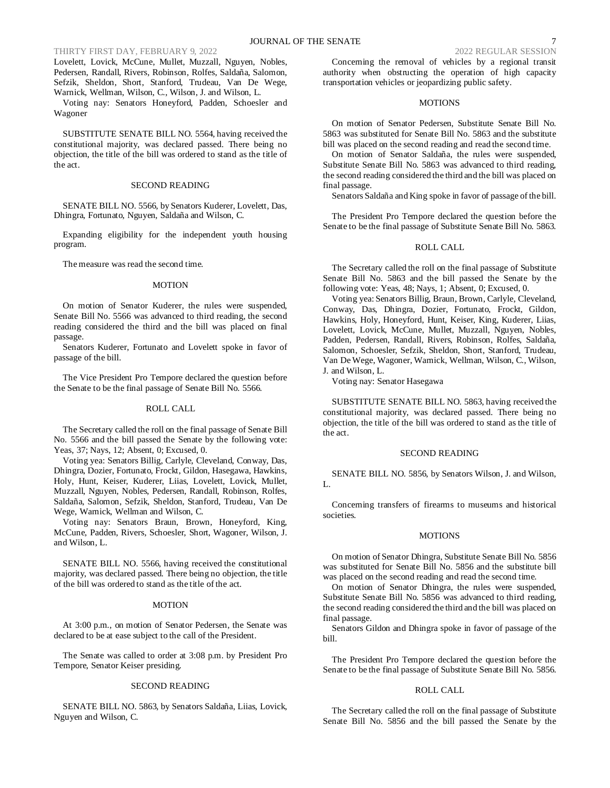Lovelett, Lovick, McCune, Mullet, Muzzall, Nguyen, Nobles, Pedersen, Randall, Rivers, Robinson, Rolfes, Saldaña, Salomon, Sefzik, Sheldon, Short, Stanford, Trudeau, Van De Wege, Warnick, Wellman, Wilson, C., Wilson, J. and Wilson, L.

Voting nay: Senators Honeyford, Padden, Schoesler and Wagoner

SUBSTITUTE SENATE BILL NO. 5564, having received the constitutional majority, was declared passed. There being no objection, the title of the bill was ordered to stand as the title of the act.

## SECOND READING

SENATE BILL NO. 5566, by Senators Kuderer, Lovelett, Das, Dhingra, Fortunato, Nguyen, Saldaña and Wilson, C.

Expanding eligibility for the independent youth housing program.

The measure was read the second time.

## **MOTION**

On motion of Senator Kuderer, the rules were suspended, Senate Bill No. 5566 was advanced to third reading, the second reading considered the third and the bill was placed on final passage.

Senators Kuderer, Fortunato and Lovelett spoke in favor of passage of the bill.

The Vice President Pro Tempore declared the question before the Senate to be the final passage of Senate Bill No. 5566.

## ROLL CALL

The Secretary called the roll on the final passage of Senate Bill No. 5566 and the bill passed the Senate by the following vote: Yeas, 37; Nays, 12; Absent, 0; Excused, 0.

Voting yea: Senators Billig, Carlyle, Cleveland, Conway, Das, Dhingra, Dozier, Fortunato, Frockt, Gildon, Hasegawa, Hawkins, Holy, Hunt, Keiser, Kuderer, Liias, Lovelett, Lovick, Mullet, Muzzall, Nguyen, Nobles, Pedersen, Randall, Robinson, Rolfes, Saldaña, Salomon, Sefzik, Sheldon, Stanford, Trudeau, Van De Wege, Warnick, Wellman and Wilson, C.

Voting nay: Senators Braun, Brown, Honeyford, King, McCune, Padden, Rivers, Schoesler, Short, Wagoner, Wilson, J. and Wilson, L.

SENATE BILL NO. 5566, having received the constitutional majority, was declared passed. There being no objection, the title of the bill was ordered to stand as the title of the act.

#### MOTION

At 3:00 p.m., on motion of Senator Pedersen, the Senate was declared to be at ease subject to the call of the President.

The Senate was called to order at 3:08 p.m. by President Pro Tempore, Senator Keiser presiding.

#### SECOND READING

SENATE BILL NO. 5863, by Senators Saldaña, Liias, Lovick, Nguyen and Wilson, C.

Concerning the removal of vehicles by a regional transit authority when obstructing the operation of high capacity transportation vehicles or jeopardizing public safety.

## **MOTIONS**

On motion of Senator Pedersen, Substitute Senate Bill No. 5863 was substituted for Senate Bill No. 5863 and the substitute bill was placed on the second reading and read the second time.

On motion of Senator Saldaña, the rules were suspended, Substitute Senate Bill No. 5863 was advanced to third reading, the second reading considered the third and the bill was placed on final passage.

Senators Saldaña and King spoke in favor of passage of the bill.

The President Pro Tempore declared the question before the Senate to be the final passage of Substitute Senate Bill No. 5863.

## ROLL CALL

The Secretary called the roll on the final passage of Substitute Senate Bill No. 5863 and the bill passed the Senate by the following vote: Yeas, 48; Nays, 1; Absent, 0; Excused, 0.

Voting yea: Senators Billig, Braun, Brown, Carlyle, Cleveland, Conway, Das, Dhingra, Dozier, Fortunato, Frockt, Gildon, Hawkins, Holy, Honeyford, Hunt, Keiser, King, Kuderer, Liias, Lovelett, Lovick, McCune, Mullet, Muzzall, Nguyen, Nobles, Padden, Pedersen, Randall, Rivers, Robinson, Rolfes, Saldaña, Salomon, Schoesler, Sefzik, Sheldon, Short, Stanford, Trudeau, Van De Wege, Wagoner, Warnick, Wellman, Wilson, C., Wilson, J. and Wilson, L.

Voting nay: Senator Hasegawa

SUBSTITUTE SENATE BILL NO. 5863, having received the constitutional majority, was declared passed. There being no objection, the title of the bill was ordered to stand as the title of the act.

#### SECOND READING

SENATE BILL NO. 5856, by Senators Wilson, J. and Wilson, L.

Concerning transfers of firearms to museums and historical societies.

#### MOTIONS

On motion of Senator Dhingra, Substitute Senate Bill No. 5856 was substituted for Senate Bill No. 5856 and the substitute bill was placed on the second reading and read the second time.

On motion of Senator Dhingra, the rules were suspended, Substitute Senate Bill No. 5856 was advanced to third reading, the second reading considered the third and the bill was placed on final passage.

Senators Gildon and Dhingra spoke in favor of passage of the bill.

The President Pro Tempore declared the question before the Senate to be the final passage of Substitute Senate Bill No. 5856.

#### ROLL CALL

The Secretary called the roll on the final passage of Substitute Senate Bill No. 5856 and the bill passed the Senate by the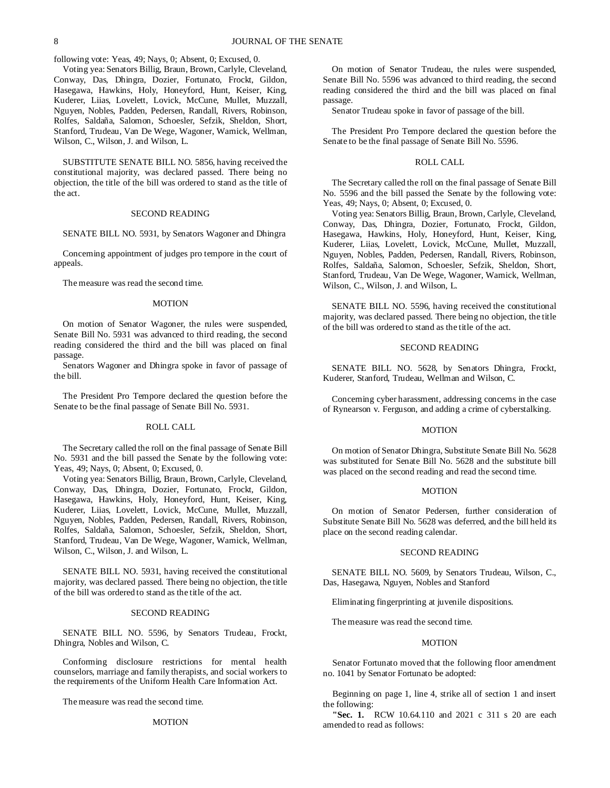following vote: Yeas, 49; Nays, 0; Absent, 0; Excused, 0.

Voting yea: Senators Billig, Braun, Brown, Carlyle, Cleveland, Conway, Das, Dhingra, Dozier, Fortunato, Frockt, Gildon, Hasegawa, Hawkins, Holy, Honeyford, Hunt, Keiser, King, Kuderer, Liias, Lovelett, Lovick, McCune, Mullet, Muzzall, Nguyen, Nobles, Padden, Pedersen, Randall, Rivers, Robinson, Rolfes, Saldaña, Salomon, Schoesler, Sefzik, Sheldon, Short, Stanford, Trudeau, Van De Wege, Wagoner, Warnick, Wellman, Wilson, C., Wilson, J. and Wilson, L.

SUBSTITUTE SENATE BILL NO. 5856, having received the constitutional majority, was declared passed. There being no objection, the title of the bill was ordered to stand as the title of the act.

#### SECOND READING

SENATE BILL NO. 5931, by Senators Wagoner and Dhingra

Concerning appointment of judges pro tempore in the court of appeals.

The measure was read the second time.

## **MOTION**

On motion of Senator Wagoner, the rules were suspended, Senate Bill No. 5931 was advanced to third reading, the second reading considered the third and the bill was placed on final passage.

Senators Wagoner and Dhingra spoke in favor of passage of the bill.

The President Pro Tempore declared the question before the Senate to be the final passage of Senate Bill No. 5931.

## ROLL CALL

The Secretary called the roll on the final passage of Senate Bill No. 5931 and the bill passed the Senate by the following vote: Yeas, 49; Nays, 0; Absent, 0; Excused, 0.

Voting yea: Senators Billig, Braun, Brown, Carlyle, Cleveland, Conway, Das, Dhingra, Dozier, Fortunato, Frockt, Gildon, Hasegawa, Hawkins, Holy, Honeyford, Hunt, Keiser, King, Kuderer, Liias, Lovelett, Lovick, McCune, Mullet, Muzzall, Nguyen, Nobles, Padden, Pedersen, Randall, Rivers, Robinson, Rolfes, Saldaña, Salomon, Schoesler, Sefzik, Sheldon, Short, Stanford, Trudeau, Van De Wege, Wagoner, Warnick, Wellman, Wilson, C., Wilson, J. and Wilson, L.

SENATE BILL NO. 5931, having received the constitutional majority, was declared passed. There being no objection, the title of the bill was ordered to stand as the title of the act.

## SECOND READING

SENATE BILL NO. 5596, by Senators Trudeau, Frockt, Dhingra, Nobles and Wilson, C.

Conforming disclosure restrictions for mental health counselors, marriage and family therapists, and social workers to the requirements of the Uniform Health Care Information Act.

The measure was read the second time.

## MOTION

On motion of Senator Trudeau, the rules were suspended, Senate Bill No. 5596 was advanced to third reading, the second reading considered the third and the bill was placed on final passage.

Senator Trudeau spoke in favor of passage of the bill.

The President Pro Tempore declared the question before the Senate to be the final passage of Senate Bill No. 5596.

## ROLL CALL

The Secretary called the roll on the final passage of Senate Bill No. 5596 and the bill passed the Senate by the following vote: Yeas, 49; Nays, 0; Absent, 0; Excused, 0.

Voting yea: Senators Billig, Braun, Brown, Carlyle, Cleveland, Conway, Das, Dhingra, Dozier, Fortunato, Frockt, Gildon, Hasegawa, Hawkins, Holy, Honeyford, Hunt, Keiser, King, Kuderer, Liias, Lovelett, Lovick, McCune, Mullet, Muzzall, Nguyen, Nobles, Padden, Pedersen, Randall, Rivers, Robinson, Rolfes, Saldaña, Salomon, Schoesler, Sefzik, Sheldon, Short, Stanford, Trudeau, Van De Wege, Wagoner, Warnick, Wellman, Wilson, C., Wilson, J. and Wilson, L.

SENATE BILL NO. 5596, having received the constitutional majority, was declared passed. There being no objection, the title of the bill was ordered to stand as the title of the act.

## SECOND READING

SENATE BILL NO. 5628, by Senators Dhingra, Frockt, Kuderer, Stanford, Trudeau, Wellman and Wilson, C.

Concerning cyber harassment, addressing concerns in the case of Rynearson v. Ferguson, and adding a crime of cyberstalking.

#### MOTION

On motion of Senator Dhingra, Substitute Senate Bill No. 5628 was substituted for Senate Bill No. 5628 and the substitute bill was placed on the second reading and read the second time.

## MOTION

On motion of Senator Pedersen, further consideration of Substitute Senate Bill No. 5628 was deferred, and the bill held its place on the second reading calendar.

## SECOND READING

SENATE BILL NO. 5609, by Senators Trudeau, Wilson, C., Das, Hasegawa, Nguyen, Nobles and Stanford

Eliminating fingerprinting at juvenile dispositions.

The measure was read the second time.

#### **MOTION**

Senator Fortunato moved that the following floor amendment no. 1041 by Senator Fortunato be adopted:

Beginning on page 1, line 4, strike all of section 1 and insert the following:

**"Sec. 1.** RCW 10.64.110 and 2021 c 311 s 20 are each amended to read as follows: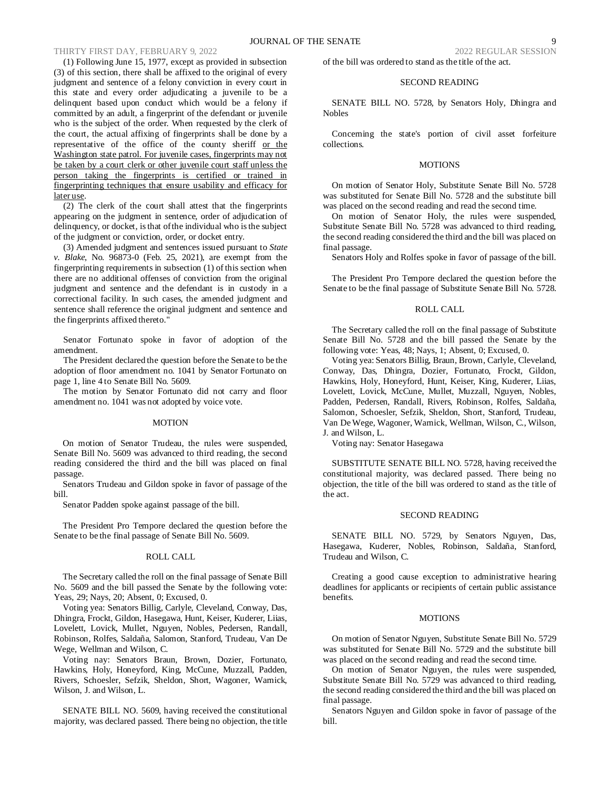(1) Following June 15, 1977, except as provided in subsection (3) of this section, there shall be affixed to the original of every judgment and sentence of a felony conviction in every court in this state and every order adjudicating a juvenile to be a delinquent based upon conduct which would be a felony if committed by an adult, a fingerprint of the defendant or juvenile who is the subject of the order. When requested by the clerk of the court, the actual affixing of fingerprints shall be done by a representative of the office of the county sheriff or the Washington state patrol. For juvenile cases, fingerprints may not be taken by a court clerk or other juvenile court staff unless the person taking the fingerprints is certified or trained in fingerprinting techniques that ensure usability and efficacy for later use.

(2) The clerk of the court shall attest that the fingerprints appearing on the judgment in sentence, order of adjudication of delinquency, or docket, is that of the individual who is the subject of the judgment or conviction, order, or docket entry.

(3) Amended judgment and sentences issued pursuant to *State v. Blake*, No. 96873-0 (Feb. 25, 2021), are exempt from the fingerprinting requirements in subsection (1) of this section when there are no additional offenses of conviction from the original judgment and sentence and the defendant is in custody in a correctional facility. In such cases, the amended judgment and sentence shall reference the original judgment and sentence and the fingerprints affixed thereto."

Senator Fortunato spoke in favor of adoption of the amendment.

The President declared the question before the Senate to be the adoption of floor amendment no. 1041 by Senator Fortunato on page 1, line 4 to Senate Bill No. 5609.

The motion by Senator Fortunato did not carry and floor amendment no. 1041 was not adopted by voice vote.

#### MOTION

On motion of Senator Trudeau, the rules were suspended, Senate Bill No. 5609 was advanced to third reading, the second reading considered the third and the bill was placed on final passage.

Senators Trudeau and Gildon spoke in favor of passage of the bill.

Senator Padden spoke against passage of the bill.

The President Pro Tempore declared the question before the Senate to be the final passage of Senate Bill No. 5609.

## ROLL CALL

The Secretary called the roll on the final passage of Senate Bill No. 5609 and the bill passed the Senate by the following vote: Yeas, 29; Nays, 20; Absent, 0; Excused, 0.

Voting yea: Senators Billig, Carlyle, Cleveland, Conway, Das, Dhingra, Frockt, Gildon, Hasegawa, Hunt, Keiser, Kuderer, Liias, Lovelett, Lovick, Mullet, Nguyen, Nobles, Pedersen, Randall, Robinson, Rolfes, Saldaña, Salomon, Stanford, Trudeau, Van De Wege, Wellman and Wilson, C.

Voting nay: Senators Braun, Brown, Dozier, Fortunato, Hawkins, Holy, Honeyford, King, McCune, Muzzall, Padden, Rivers, Schoesler, Sefzik, Sheldon, Short, Wagoner, Warnick, Wilson, J. and Wilson, L.

SENATE BILL NO. 5609, having received the constitutional majority, was declared passed. There being no objection, the title of the bill was ordered to stand as the title of the act.

## SECOND READING

SENATE BILL NO. 5728, by Senators Holy, Dhingra and Nobles

Concerning the state's portion of civil asset forfeiture collections.

## MOTIONS

On motion of Senator Holy, Substitute Senate Bill No. 5728 was substituted for Senate Bill No. 5728 and the substitute bill was placed on the second reading and read the second time.

On motion of Senator Holy, the rules were suspended, Substitute Senate Bill No. 5728 was advanced to third reading, the second reading considered the third and the bill was placed on final passage.

Senators Holy and Rolfes spoke in favor of passage of the bill.

The President Pro Tempore declared the question before the Senate to be the final passage of Substitute Senate Bill No. 5728.

#### ROLL CALL

The Secretary called the roll on the final passage of Substitute Senate Bill No. 5728 and the bill passed the Senate by the following vote: Yeas, 48; Nays, 1; Absent, 0; Excused, 0.

Voting yea: Senators Billig, Braun, Brown, Carlyle, Cleveland, Conway, Das, Dhingra, Dozier, Fortunato, Frockt, Gildon, Hawkins, Holy, Honeyford, Hunt, Keiser, King, Kuderer, Liias, Lovelett, Lovick, McCune, Mullet, Muzzall, Nguyen, Nobles, Padden, Pedersen, Randall, Rivers, Robinson, Rolfes, Saldaña, Salomon, Schoesler, Sefzik, Sheldon, Short, Stanford, Trudeau, Van De Wege, Wagoner, Warnick, Wellman, Wilson, C., Wilson, J. and Wilson, L.

Voting nay: Senator Hasegawa

SUBSTITUTE SENATE BILL NO. 5728, having received the constitutional majority, was declared passed. There being no objection, the title of the bill was ordered to stand as the title of the act.

## SECOND READING

SENATE BILL NO. 5729, by Senators Nguyen, Das, Hasegawa, Kuderer, Nobles, Robinson, Saldaña, Stanford, Trudeau and Wilson, C.

Creating a good cause exception to administrative hearing deadlines for applicants or recipients of certain public assistance benefits.

## **MOTIONS**

On motion of Senator Nguyen, Substitute Senate Bill No. 5729 was substituted for Senate Bill No. 5729 and the substitute bill was placed on the second reading and read the second time.

On motion of Senator Nguyen, the rules were suspended, Substitute Senate Bill No. 5729 was advanced to third reading, the second reading considered the third and the bill was placed on final passage.

Senators Nguyen and Gildon spoke in favor of passage of the bill.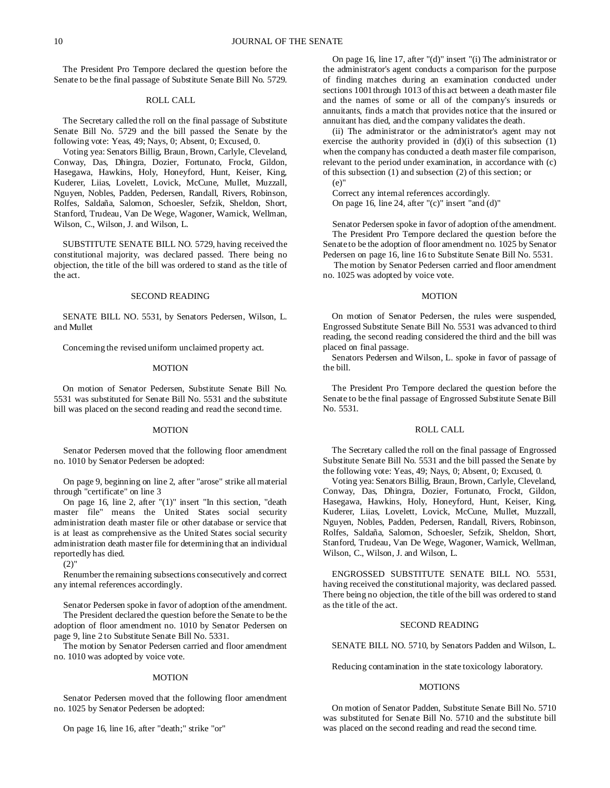The President Pro Tempore declared the question before the Senate to be the final passage of Substitute Senate Bill No. 5729.

## ROLL CALL

The Secretary called the roll on the final passage of Substitute Senate Bill No. 5729 and the bill passed the Senate by the following vote: Yeas, 49; Nays, 0; Absent, 0; Excused, 0.

Voting yea: Senators Billig, Braun, Brown, Carlyle, Cleveland, Conway, Das, Dhingra, Dozier, Fortunato, Frockt, Gildon, Hasegawa, Hawkins, Holy, Honeyford, Hunt, Keiser, King, Kuderer, Liias, Lovelett, Lovick, McCune, Mullet, Muzzall, Nguyen, Nobles, Padden, Pedersen, Randall, Rivers, Robinson, Rolfes, Saldaña, Salomon, Schoesler, Sefzik, Sheldon, Short, Stanford, Trudeau, Van De Wege, Wagoner, Warnick, Wellman, Wilson, C., Wilson, J. and Wilson, L.

SUBSTITUTE SENATE BILL NO. 5729, having received the constitutional majority, was declared passed. There being no objection, the title of the bill was ordered to stand as the title of the act.

#### SECOND READING

SENATE BILL NO. 5531, by Senators Pedersen, Wilson, L. and Mullet

Concerning the revised uniform unclaimed property act.

#### MOTION

On motion of Senator Pedersen, Substitute Senate Bill No. 5531 was substituted for Senate Bill No. 5531 and the substitute bill was placed on the second reading and read the second time.

#### MOTION

Senator Pedersen moved that the following floor amendment no. 1010 by Senator Pedersen be adopted:

On page 9, beginning on line 2, after "arose" strike all material through "certificate" on line 3

On page 16, line 2, after "(1)" insert "In this section, "death master file" means the United States social security administration death master file or other database or service that is at least as comprehensive as the United States social security administration death master file for determining that an individual reportedly has died.

(2)"

Renumber the remaining subsections consecutively and correct any internal references accordingly.

Senator Pedersen spoke in favor of adoption of the amendment. The President declared the question before the Senate to be the adoption of floor amendment no. 1010 by Senator Pedersen on page 9, line 2 to Substitute Senate Bill No. 5331.

The motion by Senator Pedersen carried and floor amendment no. 1010 was adopted by voice vote.

## MOTION

Senator Pedersen moved that the following floor amendment no. 1025 by Senator Pedersen be adopted:

On page 16, line 16, after "death;" strike "or"

On page 16, line 17, after "(d)" insert "(i) The administrator or the administrator's agent conducts a comparison for the purpose of finding matches during an examination conducted under sections 1001 through 1013 of this act between a death master file and the names of some or all of the company's insureds or annuitants, finds a match that provides notice that the insured or annuitant has died, and the company validates the death.

(ii) The administrator or the administrator's agent may not exercise the authority provided in  $(d)(i)$  of this subsection  $(1)$ when the company has conducted a death master file comparison, relevant to the period under examination, in accordance with (c) of this subsection (1) and subsection (2) of this section; or (e)"

Correct any internal references accordingly. On page 16, line 24, after "(c)" insert "and (d)"

Senator Pedersen spoke in favor of adoption of the amendment. The President Pro Tempore declared the question before the Senate to be the adoption of floor amendment no. 1025 by Senator Pedersen on page 16, line 16 to Substitute Senate Bill No. 5531.

The motion by Senator Pedersen carried and floor amendment no. 1025 was adopted by voice vote.

#### **MOTION**

On motion of Senator Pedersen, the rules were suspended, Engrossed Substitute Senate Bill No. 5531 was advanced to third reading, the second reading considered the third and the bill was placed on final passage.

Senators Pedersen and Wilson, L. spoke in favor of passage of the bill.

The President Pro Tempore declared the question before the Senate to be the final passage of Engrossed Substitute Senate Bill No. 5531.

## ROLL CALL

The Secretary called the roll on the final passage of Engrossed Substitute Senate Bill No. 5531 and the bill passed the Senate by the following vote: Yeas, 49; Nays, 0; Absent, 0; Excused, 0.

Voting yea: Senators Billig, Braun, Brown, Carlyle, Cleveland, Conway, Das, Dhingra, Dozier, Fortunato, Frockt, Gildon, Hasegawa, Hawkins, Holy, Honeyford, Hunt, Keiser, King, Kuderer, Liias, Lovelett, Lovick, McCune, Mullet, Muzzall, Nguyen, Nobles, Padden, Pedersen, Randall, Rivers, Robinson, Rolfes, Saldaña, Salomon, Schoesler, Sefzik, Sheldon, Short, Stanford, Trudeau, Van De Wege, Wagoner, Warnick, Wellman, Wilson, C., Wilson, J. and Wilson, L.

ENGROSSED SUBSTITUTE SENATE BILL NO. 5531, having received the constitutional majority, was declared passed. There being no objection, the title of the bill was ordered to stand as the title of the act.

## SECOND READING

SENATE BILL NO. 5710, by Senators Padden and Wilson, L.

Reducing contamination in the state toxicology laboratory.

#### MOTIONS

On motion of Senator Padden, Substitute Senate Bill No. 5710 was substituted for Senate Bill No. 5710 and the substitute bill was placed on the second reading and read the second time.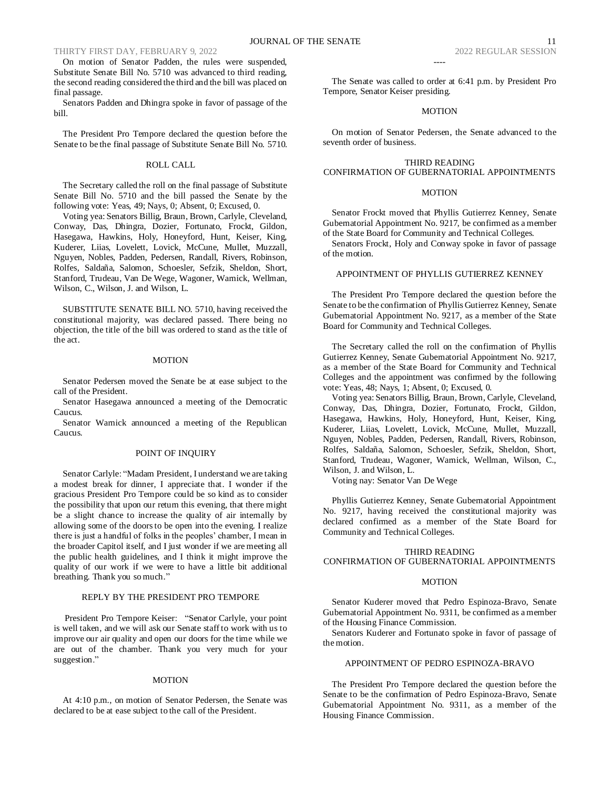On motion of Senator Padden, the rules were suspended, Substitute Senate Bill No. 5710 was advanced to third reading, the second reading considered the third and the bill was placed on final passage.

Senators Padden and Dhingra spoke in favor of passage of the bill.

The President Pro Tempore declared the question before the Senate to be the final passage of Substitute Senate Bill No. 5710.

## ROLL CALL

The Secretary called the roll on the final passage of Substitute Senate Bill No. 5710 and the bill passed the Senate by the following vote: Yeas, 49; Nays, 0; Absent, 0; Excused, 0.

Voting yea: Senators Billig, Braun, Brown, Carlyle, Cleveland, Conway, Das, Dhingra, Dozier, Fortunato, Frockt, Gildon, Hasegawa, Hawkins, Holy, Honeyford, Hunt, Keiser, King, Kuderer, Liias, Lovelett, Lovick, McCune, Mullet, Muzzall, Nguyen, Nobles, Padden, Pedersen, Randall, Rivers, Robinson, Rolfes, Saldaña, Salomon, Schoesler, Sefzik, Sheldon, Short, Stanford, Trudeau, Van De Wege, Wagoner, Warnick, Wellman, Wilson, C., Wilson, J. and Wilson, L.

SUBSTITUTE SENATE BILL NO. 5710, having received the constitutional majority, was declared passed. There being no objection, the title of the bill was ordered to stand as the title of the act.

#### **MOTION**

Senator Pedersen moved the Senate be at ease subject to the call of the President.

Senator Hasegawa announced a meeting of the Democratic Caucus.

Senator Warnick announced a meeting of the Republican Caucus.

## POINT OF INQUIRY

Senator Carlyle: "Madam President, I understand we are taking a modest break for dinner, I appreciate that. I wonder if the gracious President Pro Tempore could be so kind as to consider the possibility that upon our return this evening, that there might be a slight chance to increase the quality of air internally by allowing some of the doors to be open into the evening. I realize there is just a handful of folks in the peoples' chamber, I mean in the broader Capitol itself, and I just wonder if we are meeting all the public health guidelines, and I think it might improve the quality of our work if we were to have a little bit additional breathing. Thank you so much."

## REPLY BY THE PRESIDENT PRO TEMPORE

President Pro Tempore Keiser: "Senator Carlyle, your point is well taken, and we will ask our Senate staff to work with us to improve our air quality and open our doors for the time while we are out of the chamber. Thank you very much for your suggestion."

#### **MOTION**

At 4:10 p.m., on motion of Senator Pedersen, the Senate was declared to be at ease subject to the call of the President.

The Senate was called to order at 6:41 p.m. by President Pro Tempore, Senator Keiser presiding.

----

#### MOTION

On motion of Senator Pedersen, the Senate advanced to the seventh order of business.

## THIRD READING CONFIRMATION OF GUBERNATORIAL APPOINTMENTS

## **MOTION**

Senator Frockt moved that Phyllis Gutierrez Kenney, Senate Gubernatorial Appointment No. 9217, be confirmed as a member of the State Board for Community and Technical Colleges.

Senators Frockt, Holy and Conway spoke in favor of passage of the motion.

## APPOINTMENT OF PHYLLIS GUTIERREZ KENNEY

The President Pro Tempore declared the question before the Senate to be the confirmation of Phyllis Gutierrez Kenney, Senate Gubernatorial Appointment No. 9217, as a member of the State Board for Community and Technical Colleges.

The Secretary called the roll on the confirmation of Phyllis Gutierrez Kenney, Senate Gubernatorial Appointment No. 9217, as a member of the State Board for Community and Technical Colleges and the appointment was confirmed by the following vote: Yeas, 48; Nays, 1; Absent, 0; Excused, 0.

Voting yea: Senators Billig, Braun, Brown, Carlyle, Cleveland, Conway, Das, Dhingra, Dozier, Fortunato, Frockt, Gildon, Hasegawa, Hawkins, Holy, Honeyford, Hunt, Keiser, King, Kuderer, Liias, Lovelett, Lovick, McCune, Mullet, Muzzall, Nguyen, Nobles, Padden, Pedersen, Randall, Rivers, Robinson, Rolfes, Saldaña, Salomon, Schoesler, Sefzik, Sheldon, Short, Stanford, Trudeau, Wagoner, Warnick, Wellman, Wilson, C., Wilson, J. and Wilson, L.

Voting nay: Senator Van De Wege

Phyllis Gutierrez Kenney, Senate Gubernatorial Appointment No. 9217, having received the constitutional majority was declared confirmed as a member of the State Board for Community and Technical Colleges.

## THIRD READING CONFIRMATION OF GUBERNATORIAL APPOINTMENTS

## **MOTION**

Senator Kuderer moved that Pedro Espinoza-Bravo, Senate Gubernatorial Appointment No. 9311, be confirmed as a member of the Housing Finance Commission.

Senators Kuderer and Fortunato spoke in favor of passage of the motion.

## APPOINTMENT OF PEDRO ESPINOZA-BRAVO

The President Pro Tempore declared the question before the Senate to be the confirmation of Pedro Espinoza-Bravo, Senate Gubernatorial Appointment No. 9311, as a member of the Housing Finance Commission.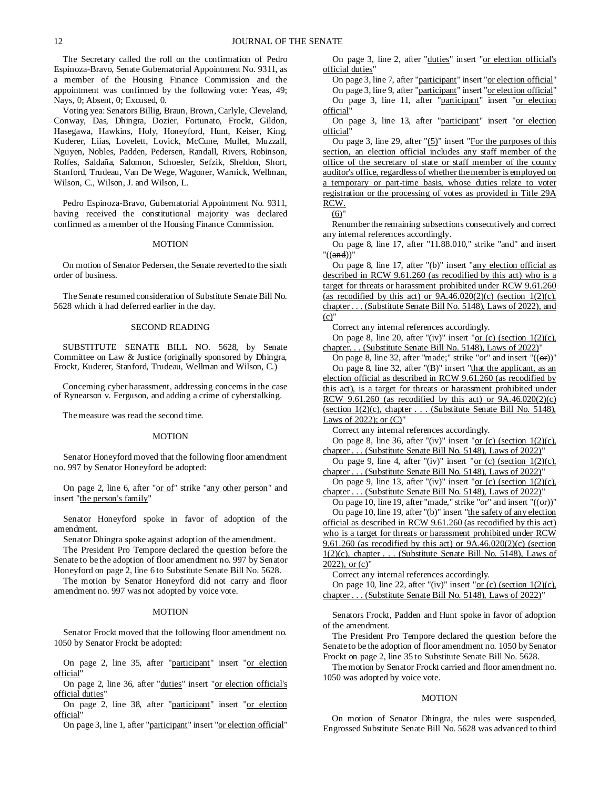The Secretary called the roll on the confirmation of Pedro Espinoza-Bravo, Senate Gubernatorial Appointment No. 9311, as a member of the Housing Finance Commission and the appointment was confirmed by the following vote: Yeas, 49; Nays, 0; Absent, 0; Excused, 0.

Voting yea: Senators Billig, Braun, Brown, Carlyle, Cleveland, Conway, Das, Dhingra, Dozier, Fortunato, Frockt, Gildon, Hasegawa, Hawkins, Holy, Honeyford, Hunt, Keiser, King, Kuderer, Liias, Lovelett, Lovick, McCune, Mullet, Muzzall, Nguyen, Nobles, Padden, Pedersen, Randall, Rivers, Robinson, Rolfes, Saldaña, Salomon, Schoesler, Sefzik, Sheldon, Short, Stanford, Trudeau, Van De Wege, Wagoner, Warnick, Wellman, Wilson, C., Wilson, J. and Wilson, L.

Pedro Espinoza-Bravo, Gubernatorial Appointment No. 9311, having received the constitutional majority was declared confirmed as a member of the Housing Finance Commission.

## MOTION

On motion of Senator Pedersen, the Senate reverted to the sixth order of business.

The Senate resumed consideration of Substitute Senate Bill No. 5628 which it had deferred earlier in the day.

## SECOND READING

SUBSTITUTE SENATE BILL NO. 5628, by Senate Committee on Law & Justice (originally sponsored by Dhingra, Frockt, Kuderer, Stanford, Trudeau, Wellman and Wilson, C.)

Concerning cyber harassment, addressing concerns in the case of Rynearson v. Ferguson, and adding a crime of cyberstalking.

The measure was read the second time.

#### MOTION

Senator Honeyford moved that the following floor amendment no. 997 by Senator Honeyford be adopted:

On page 2, line 6, after "or of" strike "any other person" and insert "the person's family"

Senator Honeyford spoke in favor of adoption of the amendment.

Senator Dhingra spoke against adoption of the amendment.

The President Pro Tempore declared the question before the Senate to be the adoption of floor amendment no. 997 by Senator Honeyford on page 2, line 6 to Substitute Senate Bill No. 5628.

The motion by Senator Honeyford did not carry and floor amendment no. 997 was not adopted by voice vote.

### **MOTION**

Senator Frockt moved that the following floor amendment no. 1050 by Senator Frockt be adopted:

On page 2, line 35, after "participant" insert "or election official"

On page 2, line 36, after "duties" insert "or election official's official duties"

On page 2, line 38, after "participant" insert "or election official"

On page 3, line 1, after "participant" insert "or election official"

On page 3, line 2, after "duties" insert "or election official's official duties"

On page 3, line 7, after "participant" insert "or election official" On page 3, line 9, after "participant" insert "or election official" On page 3, line 11, after "participant" insert "or election official"

On page 3, line 13, after "participant" insert "or election official"

On page 3, line 29, after " $(5)$ " insert "For the purposes of this section, an election official includes any staff member of the office of the secretary of state or staff member of the county auditor's office, regardless of whether the member is employed on a temporary or part-time basis, whose duties relate to voter registration or the processing of votes as provided in Title 29A RCW.

 $(6)$ "

Renumber the remaining subsections consecutively and correct any internal references accordingly.

On page 8, line 17, after "11.88.010," strike "and" and insert "((and))"

On page 8, line 17, after "(b)" insert "any election official as described in RCW 9.61.260 (as recodified by this act) who is a target for threats or harassment prohibited under RCW 9.61.260 (as recodified by this act) or  $9A.46.020(2)(c)$  (section  $1(2)(c)$ , chapter . . . (Substitute Senate Bill No. 5148), Laws of 2022), and  $(c)$ "

Correct any internal references accordingly.

On page 8, line 20, after "(iv)" insert " $or (c)$  (section  $1(2)(c)$ , chapter. . . (Substitute Senate Bill No. 5148), Laws of 2022)"

On page 8, line 32, after "made;" strike "or" and insert " $((\theta \cdot \vec{r}))$ " On page 8, line 32, after "(B)" insert "that the applicant, as an election official as described in RCW 9.61.260 (as recodified by this act), is a target for threats or harassment prohibited under RCW 9.61.260 (as recodified by this act) or  $9A.46.020(2)(c)$ (section 1(2)(c), chapter . . . (Substitute Senate Bill No. 5148), Laws of 2022); or (C)"

Correct any internal references accordingly.

On page 8, line 36, after "(iv)" insert " $or (c)$  (section 1(2)(c), chapter . . . (Substitute Senate Bill No. 5148), Laws of 2022)"

On page 9, line 4, after "(iv)" insert " $or$  (c) (section 1(2)(c),</u> chapter . . . (Substitute Senate Bill No. 5148), Laws of 2022)"

On page 9, line 13, after "(iv)" insert " $or$  (c) (section 1(2)(c),</u> chapter . . . (Substitute Senate Bill No. 5148), Laws of 2022)"

On page 10, line 19, after "made," strike "or" and insert " $((\Theta$ ref")" On page 10, line 19, after "(b)" insert "the safety of any election official as described in RCW 9.61.260 (as recodified by this act) who is a target for threats or harassment prohibited under RCW 9.61.260 (as recodified by this act) or  $9A.46.020(2)(c)$  (section 1(2)(c), chapter . . . (Substitute Senate Bill No. 5148), Laws of  $2022$ ), or  $(c)$ "

Correct any internal references accordingly. On page 10, line 22, after "(iv)" insert "or (c) (section  $1(2)(c)$ ,

chapter . . . (Substitute Senate Bill No. 5148), Laws of 2022)"

Senators Frockt, Padden and Hunt spoke in favor of adoption of the amendment.

The President Pro Tempore declared the question before the Senate to be the adoption of floor amendment no. 1050 by Senator Frockt on page 2, line 35 to Substitute Senate Bill No. 5628.

The motion by Senator Frockt carried and floor amendment no. 1050 was adopted by voice vote.

#### **MOTION**

On motion of Senator Dhingra, the rules were suspended, Engrossed Substitute Senate Bill No. 5628 was advanced to third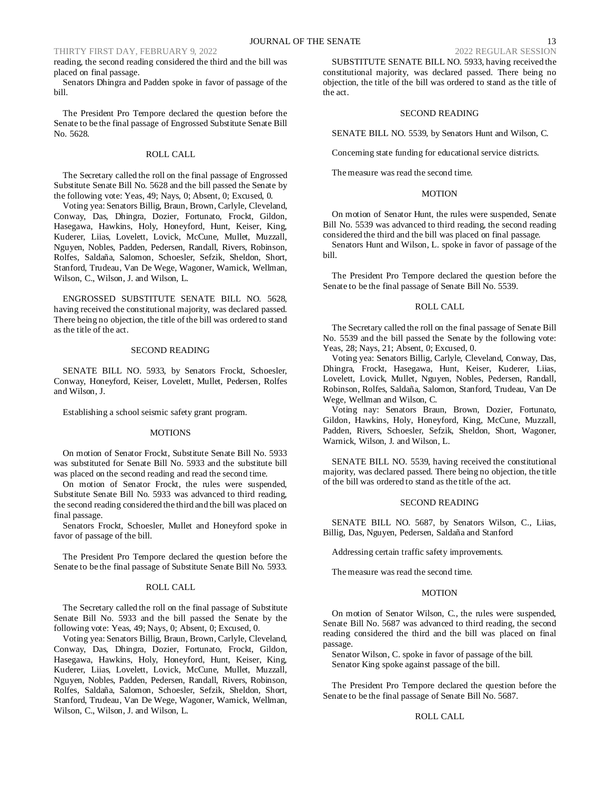reading, the second reading considered the third and the bill was placed on final passage.

Senators Dhingra and Padden spoke in favor of passage of the bill.

The President Pro Tempore declared the question before the Senate to be the final passage of Engrossed Substitute Senate Bill No. 5628.

## ROLL CALL

The Secretary called the roll on the final passage of Engrossed Substitute Senate Bill No. 5628 and the bill passed the Senate by the following vote: Yeas, 49; Nays, 0; Absent, 0; Excused, 0.

Voting yea: Senators Billig, Braun, Brown, Carlyle, Cleveland, Conway, Das, Dhingra, Dozier, Fortunato, Frockt, Gildon, Hasegawa, Hawkins, Holy, Honeyford, Hunt, Keiser, King, Kuderer, Liias, Lovelett, Lovick, McCune, Mullet, Muzzall, Nguyen, Nobles, Padden, Pedersen, Randall, Rivers, Robinson, Rolfes, Saldaña, Salomon, Schoesler, Sefzik, Sheldon, Short, Stanford, Trudeau, Van De Wege, Wagoner, Warnick, Wellman, Wilson, C., Wilson, J. and Wilson, L.

ENGROSSED SUBSTITUTE SENATE BILL NO. 5628, having received the constitutional majority, was declared passed. There being no objection, the title of the bill was ordered to stand as the title of the act.

## SECOND READING

SENATE BILL NO. 5933, by Senators Frockt, Schoesler, Conway, Honeyford, Keiser, Lovelett, Mullet, Pedersen, Rolfes and Wilson, J.

Establishing a school seismic safety grant program.

#### MOTIONS

On motion of Senator Frockt, Substitute Senate Bill No. 5933 was substituted for Senate Bill No. 5933 and the substitute bill was placed on the second reading and read the second time.

On motion of Senator Frockt, the rules were suspended, Substitute Senate Bill No. 5933 was advanced to third reading, the second reading considered the third and the bill was placed on final passage.

Senators Frockt, Schoesler, Mullet and Honeyford spoke in favor of passage of the bill.

The President Pro Tempore declared the question before the Senate to be the final passage of Substitute Senate Bill No. 5933.

## ROLL CALL

The Secretary called the roll on the final passage of Substitute Senate Bill No. 5933 and the bill passed the Senate by the following vote: Yeas, 49; Nays, 0; Absent, 0; Excused, 0.

Voting yea: Senators Billig, Braun, Brown, Carlyle, Cleveland, Conway, Das, Dhingra, Dozier, Fortunato, Frockt, Gildon, Hasegawa, Hawkins, Holy, Honeyford, Hunt, Keiser, King, Kuderer, Liias, Lovelett, Lovick, McCune, Mullet, Muzzall, Nguyen, Nobles, Padden, Pedersen, Randall, Rivers, Robinson, Rolfes, Saldaña, Salomon, Schoesler, Sefzik, Sheldon, Short, Stanford, Trudeau, Van De Wege, Wagoner, Warnick, Wellman, Wilson, C., Wilson, J. and Wilson, L.

SUBSTITUTE SENATE BILL NO. 5933, having received the constitutional majority, was declared passed. There being no objection, the title of the bill was ordered to stand as the title of the act.

## SECOND READING

SENATE BILL NO. 5539, by Senators Hunt and Wilson, C.

Concerning state funding for educational service districts.

The measure was read the second time.

#### **MOTION**

On motion of Senator Hunt, the rules were suspended, Senate Bill No. 5539 was advanced to third reading, the second reading considered the third and the bill was placed on final passage.

Senators Hunt and Wilson, L. spoke in favor of passage of the bill.

The President Pro Tempore declared the question before the Senate to be the final passage of Senate Bill No. 5539.

#### ROLL CALL

The Secretary called the roll on the final passage of Senate Bill No. 5539 and the bill passed the Senate by the following vote: Yeas, 28; Nays, 21; Absent, 0; Excused, 0.

Voting yea: Senators Billig, Carlyle, Cleveland, Conway, Das, Dhingra, Frockt, Hasegawa, Hunt, Keiser, Kuderer, Liias, Lovelett, Lovick, Mullet, Nguyen, Nobles, Pedersen, Randall, Robinson, Rolfes, Saldaña, Salomon, Stanford, Trudeau, Van De Wege, Wellman and Wilson, C.

Voting nay: Senators Braun, Brown, Dozier, Fortunato, Gildon, Hawkins, Holy, Honeyford, King, McCune, Muzzall, Padden, Rivers, Schoesler, Sefzik, Sheldon, Short, Wagoner, Warnick, Wilson, J. and Wilson, L.

SENATE BILL NO. 5539, having received the constitutional majority, was declared passed. There being no objection, the title of the bill was ordered to stand as the title of the act.

## SECOND READING

SENATE BILL NO. 5687, by Senators Wilson, C., Liias, Billig, Das, Nguyen, Pedersen, Saldaña and Stanford

Addressing certain traffic safety improvements.

The measure was read the second time.

## MOTION

On motion of Senator Wilson, C., the rules were suspended, Senate Bill No. 5687 was advanced to third reading, the second reading considered the third and the bill was placed on final passage.

Senator Wilson, C. spoke in favor of passage of the bill. Senator King spoke against passage of the bill.

The President Pro Tempore declared the question before the Senate to be the final passage of Senate Bill No. 5687.

#### ROLL CALL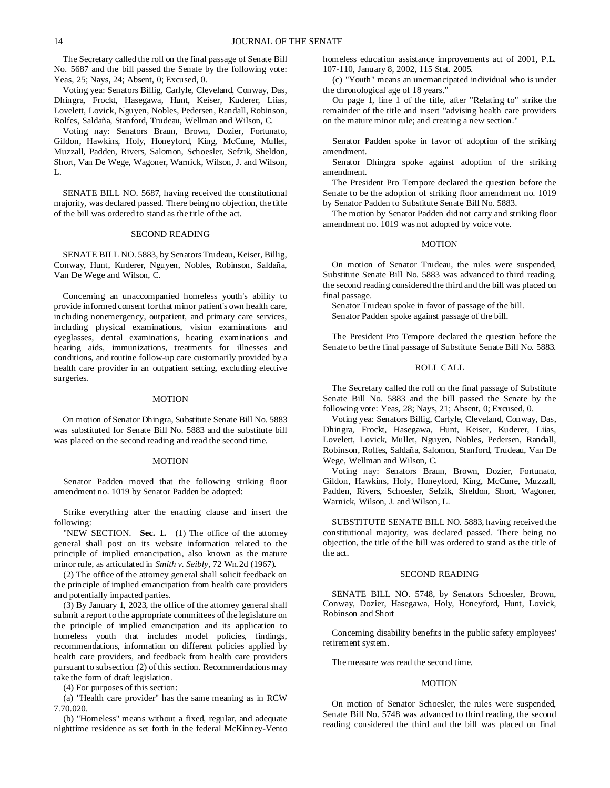The Secretary called the roll on the final passage of Senate Bill No. 5687 and the bill passed the Senate by the following vote: Yeas, 25; Nays, 24; Absent, 0; Excused, 0.

Voting yea: Senators Billig, Carlyle, Cleveland, Conway, Das, Dhingra, Frockt, Hasegawa, Hunt, Keiser, Kuderer, Liias, Lovelett, Lovick, Nguyen, Nobles, Pedersen, Randall, Robinson, Rolfes, Saldaña, Stanford, Trudeau, Wellman and Wilson, C.

Voting nay: Senators Braun, Brown, Dozier, Fortunato, Gildon, Hawkins, Holy, Honeyford, King, McCune, Mullet, Muzzall, Padden, Rivers, Salomon, Schoesler, Sefzik, Sheldon, Short, Van De Wege, Wagoner, Warnick, Wilson, J. and Wilson,  $L$ .

SENATE BILL NO. 5687, having received the constitutional majority, was declared passed. There being no objection, the title of the bill was ordered to stand as the title of the act.

## SECOND READING

SENATE BILL NO. 5883, by Senators Trudeau, Keiser, Billig, Conway, Hunt, Kuderer, Nguyen, Nobles, Robinson, Saldaña, Van De Wege and Wilson, C.

Concerning an unaccompanied homeless youth's ability to provide informed consent for that minor patient's own health care, including nonemergency, outpatient, and primary care services, including physical examinations, vision examinations and eyeglasses, dental examinations, hearing examinations and hearing aids, immunizations, treatments for illnesses and conditions, and routine follow-up care customarily provided by a health care provider in an outpatient setting, excluding elective surgeries.

#### MOTION

On motion of Senator Dhingra, Substitute Senate Bill No. 5883 was substituted for Senate Bill No. 5883 and the substitute bill was placed on the second reading and read the second time.

#### MOTION

Senator Padden moved that the following striking floor amendment no. 1019 by Senator Padden be adopted:

Strike everything after the enacting clause and insert the following:

"NEW SECTION. **Sec. 1.** (1) The office of the attorney general shall post on its website information related to the principle of implied emancipation, also known as the mature minor rule, as articulated in *Smith v. Seibly*, 72 Wn.2d (1967).

(2) The office of the attorney general shall solicit feedback on the principle of implied emancipation from health care providers and potentially impacted parties.

(3) By January 1, 2023, the office of the attorney general shall submit a report to the appropriate committees of the legislature on the principle of implied emancipation and its application to homeless youth that includes model policies, findings, recommendations, information on different policies applied by health care providers, and feedback from health care providers pursuant to subsection (2) of this section. Recommendations may take the form of draft legislation.

(4) For purposes of this section:

(a) "Health care provider" has the same meaning as in RCW 7.70.020.

(b) "Homeless" means without a fixed, regular, and adequate nighttime residence as set forth in the federal McKinney-Vento homeless education assistance improvements act of 2001, P.L. 107-110, January 8, 2002, 115 Stat. 2005.

(c) "Youth" means an unemancipated individual who is under the chronological age of 18 years."

On page 1, line 1 of the title, after "Relating to" strike the remainder of the title and insert "advising health care providers on the mature minor rule; and creating a new section."

Senator Padden spoke in favor of adoption of the striking amendment.

Senator Dhingra spoke against adoption of the striking amendment.

The President Pro Tempore declared the question before the Senate to be the adoption of striking floor amendment no. 1019 by Senator Padden to Substitute Senate Bill No. 5883.

The motion by Senator Padden did not carry and striking floor amendment no. 1019 was not adopted by voice vote.

## MOTION

On motion of Senator Trudeau, the rules were suspended, Substitute Senate Bill No. 5883 was advanced to third reading, the second reading considered the third and the bill was placed on final passage.

Senator Trudeau spoke in favor of passage of the bill. Senator Padden spoke against passage of the bill.

The President Pro Tempore declared the question before the Senate to be the final passage of Substitute Senate Bill No. 5883.

#### ROLL CALL

The Secretary called the roll on the final passage of Substitute Senate Bill No. 5883 and the bill passed the Senate by the following vote: Yeas, 28; Nays, 21; Absent, 0; Excused, 0.

Voting yea: Senators Billig, Carlyle, Cleveland, Conway, Das, Dhingra, Frockt, Hasegawa, Hunt, Keiser, Kuderer, Liias, Lovelett, Lovick, Mullet, Nguyen, Nobles, Pedersen, Randall, Robinson, Rolfes, Saldaña, Salomon, Stanford, Trudeau, Van De Wege, Wellman and Wilson, C.

Voting nay: Senators Braun, Brown, Dozier, Fortunato, Gildon, Hawkins, Holy, Honeyford, King, McCune, Muzzall, Padden, Rivers, Schoesler, Sefzik, Sheldon, Short, Wagoner, Warnick, Wilson, J. and Wilson, L.

SUBSTITUTE SENATE BILL NO. 5883, having received the constitutional majority, was declared passed. There being no objection, the title of the bill was ordered to stand as the title of the act.

#### SECOND READING

SENATE BILL NO. 5748, by Senators Schoesler, Brown, Conway, Dozier, Hasegawa, Holy, Honeyford, Hunt, Lovick, Robinson and Short

Concerning disability benefits in the public safety employees' retirement system.

The measure was read the second time.

## **MOTION**

On motion of Senator Schoesler, the rules were suspended, Senate Bill No. 5748 was advanced to third reading, the second reading considered the third and the bill was placed on final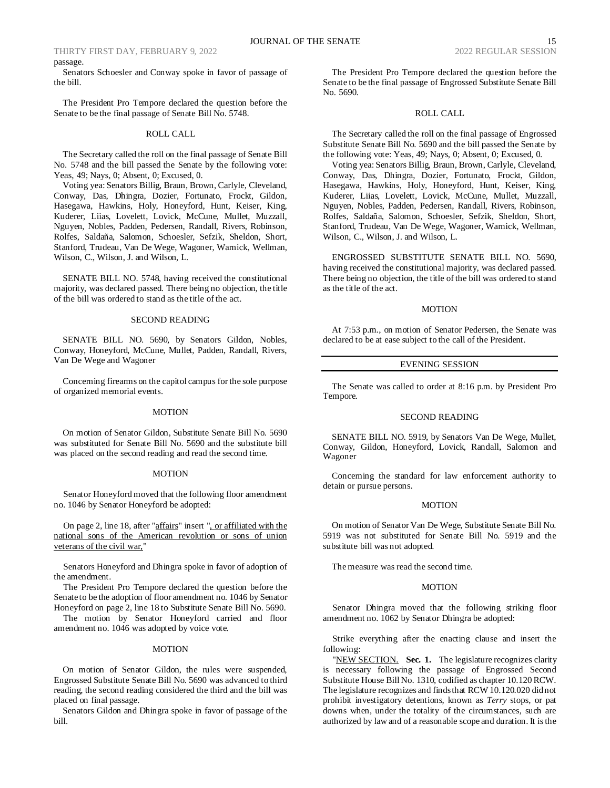No. 5690.

THIRTY FIRST DAY, FEBRUARY 9, 2022 2022 2022 2022 2022 REGULAR SESSION passage.

Senators Schoesler and Conway spoke in favor of passage of the bill.

The President Pro Tempore declared the question before the Senate to be the final passage of Senate Bill No. 5748.

#### ROLL CALL

The Secretary called the roll on the final passage of Senate Bill No. 5748 and the bill passed the Senate by the following vote: Yeas, 49; Nays, 0; Absent, 0; Excused, 0.

Voting yea: Senators Billig, Braun, Brown, Carlyle, Cleveland, Conway, Das, Dhingra, Dozier, Fortunato, Frockt, Gildon, Hasegawa, Hawkins, Holy, Honeyford, Hunt, Keiser, King, Kuderer, Liias, Lovelett, Lovick, McCune, Mullet, Muzzall, Nguyen, Nobles, Padden, Pedersen, Randall, Rivers, Robinson, Rolfes, Saldaña, Salomon, Schoesler, Sefzik, Sheldon, Short, Stanford, Trudeau, Van De Wege, Wagoner, Warnick, Wellman, Wilson, C., Wilson, J. and Wilson, L.

SENATE BILL NO. 5748, having received the constitutional majority, was declared passed. There being no objection, the title of the bill was ordered to stand as the title of the act.

#### SECOND READING

SENATE BILL NO. 5690, by Senators Gildon, Nobles, Conway, Honeyford, McCune, Mullet, Padden, Randall, Rivers, Van De Wege and Wagoner

Concerning firearms on the capitol campus for the sole purpose of organized memorial events.

#### **MOTION**

On motion of Senator Gildon, Substitute Senate Bill No. 5690 was substituted for Senate Bill No. 5690 and the substitute bill was placed on the second reading and read the second time.

#### MOTION

Senator Honeyford moved that the following floor amendment no. 1046 by Senator Honeyford be adopted:

On page 2, line 18, after "affairs" insert ", or affiliated with the national sons of the American revolution or sons of union veterans of the civil war,"

Senators Honeyford and Dhingra spoke in favor of adoption of the amendment.

The President Pro Tempore declared the question before the Senate to be the adoption of floor amendment no. 1046 by Senator Honeyford on page 2, line 18 to Substitute Senate Bill No. 5690.

The motion by Senator Honeyford carried and floor amendment no. 1046 was adopted by voice vote.

### MOTION

On motion of Senator Gildon, the rules were suspended, Engrossed Substitute Senate Bill No. 5690 was advanced to third reading, the second reading considered the third and the bill was placed on final passage.

Senators Gildon and Dhingra spoke in favor of passage of the bill.

#### ROLL CALL

The Secretary called the roll on the final passage of Engrossed Substitute Senate Bill No. 5690 and the bill passed the Senate by the following vote: Yeas, 49; Nays, 0; Absent, 0; Excused, 0.

Voting yea: Senators Billig, Braun, Brown, Carlyle, Cleveland, Conway, Das, Dhingra, Dozier, Fortunato, Frockt, Gildon, Hasegawa, Hawkins, Holy, Honeyford, Hunt, Keiser, King, Kuderer, Liias, Lovelett, Lovick, McCune, Mullet, Muzzall, Nguyen, Nobles, Padden, Pedersen, Randall, Rivers, Robinson, Rolfes, Saldaña, Salomon, Schoesler, Sefzik, Sheldon, Short, Stanford, Trudeau, Van De Wege, Wagoner, Warnick, Wellman, Wilson, C., Wilson, J. and Wilson, L.

ENGROSSED SUBSTITUTE SENATE BILL NO. 5690, having received the constitutional majority, was declared passed. There being no objection, the title of the bill was ordered to stand as the title of the act.

#### MOTION

At 7:53 p.m., on motion of Senator Pedersen, the Senate was declared to be at ease subject to the call of the President.

#### EVENING SESSION

The Senate was called to order at 8:16 p.m. by President Pro Tempore.

#### SECOND READING

SENATE BILL NO. 5919, by Senators Van De Wege, Mullet, Conway, Gildon, Honeyford, Lovick, Randall, Salomon and Wagoner

Concerning the standard for law enforcement authority to detain or pursue persons.

#### **MOTION**

On motion of Senator Van De Wege, Substitute Senate Bill No. 5919 was not substituted for Senate Bill No. 5919 and the substitute bill was not adopted.

The measure was read the second time.

### **MOTION**

Senator Dhingra moved that the following striking floor amendment no. 1062 by Senator Dhingra be adopted:

Strike everything after the enacting clause and insert the following:

"NEW SECTION. **Sec. 1.** The legislature recognizes clarity is necessary following the passage of Engrossed Second Substitute House Bill No. 1310, codified as chapter 10.120 RCW. The legislature recognizes and finds that RCW 10.120.020 did not prohibit investigatory detentions, known as *Terry* stops, or pat downs when, under the totality of the circumstances, such are authorized by law and of a reasonable scope and duration. It is the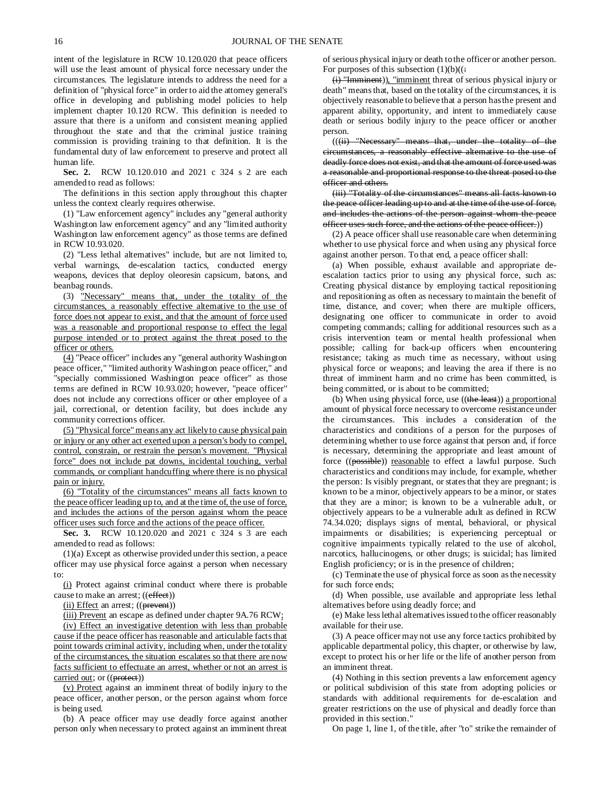intent of the legislature in RCW 10.120.020 that peace officers will use the least amount of physical force necessary under the circumstances. The legislature intends to address the need for a definition of "physical force" in order to aid the attorney general's office in developing and publishing model policies to help implement chapter 10.120 RCW. This definition is needed to assure that there is a uniform and consistent meaning applied throughout the state and that the criminal justice training commission is providing training to that definition. It is the fundamental duty of law enforcement to preserve and protect all human life.

**Sec. 2.** RCW 10.120.010 and 2021 c 324 s 2 are each amended to read as follows:

The definitions in this section apply throughout this chapter unless the context clearly requires otherwise.

(1) "Law enforcement agency" includes any "general authority Washington law enforcement agency" and any "limited authority Washington law enforcement agency" as those terms are defined in RCW 10.93.020.

(2) "Less lethal alternatives" include, but are not limited to, verbal warnings, de-escalation tactics, conducted energy weapons, devices that deploy oleoresin capsicum, batons, and beanbag rounds.

(3) "Necessary" means that, under the totality of the circumstances, a reasonably effective alternative to the use of force does not appear to exist, and that the amount of force used was a reasonable and proportional response to effect the legal purpose intended or to protect against the threat posed to the officer or others.

(4) "Peace officer" includes any "general authority Washington peace officer," "limited authority Washington peace officer," and 'specially commissioned Washington peace officer" as those terms are defined in RCW 10.93.020; however, "peace officer" does not include any corrections officer or other employee of a jail, correctional, or detention facility, but does include any community corrections officer.

(5) "Physical force" means any act likely to cause physical pain or injury or any other act exerted upon a person's body to compel, control, constrain, or restrain the person's movement. "Physical force" does not include pat downs, incidental touching, verbal commands, or compliant handcuffing where there is no physical pain or injury.

(6) "Totality of the circumstances" means all facts known to the peace officer leading up to, and at the time of, the use of force, and includes the actions of the person against whom the peace officer uses such force and the actions of the peace officer.

**Sec. 3.** RCW 10.120.020 and 2021 c 324 s 3 are each amended to read as follows:

(1)(a) Except as otherwise provided under this section, a peace officer may use physical force against a person when necessary to:

(i) Protect against criminal conduct where there is probable cause to make an arrest; ((effect))

(ii) Effect an arrest; ((prevent))

(iii) Prevent an escape as defined under chapter 9A.76 RCW;

(iv) Effect an investigative detention with less than probable cause if the peace officer has reasonable and articulable facts that point towards criminal activity, including when, under the totality of the circumstances, the situation escalates so that there are now facts sufficient to effectuate an arrest, whether or not an arrest is carried out; or ((protect))

(v) Protect against an imminent threat of bodily injury to the peace officer, another person, or the person against whom force is being used.

(b) A peace officer may use deadly force against another person only when necessary to protect against an imminent threat of serious physical injury or death to the officer or another person. For purposes of this subsection  $(1)(b)((:$ 

(i) "Imminent)), "imminent threat of serious physical injury or death" means that, based on the totality of the circumstances, it is objectively reasonable to believe that a person has the present and apparent ability, opportunity, and intent to immediately cause death or serious bodily injury to the peace officer or another person.

(((ii) "Necessary" means that, under the totality of the circumstances, a reasonably effective alternative to the use of deadly force does not exist, and that the amount of force used was a reasonable and proportional response to the threat posed to the officer and others.

(iii) "Totality of the circumstances" means all facts known to the peace officer leading up to and at the time of the use of force, and includes the actions of the person against whom the peace officer uses such force, and the actions of the peace officer.))

(2) A peace officer shall use reasonable care when determining whether to use physical force and when using any physical force against another person. To that end, a peace officer shall:

(a) When possible, exhaust available and appropriate deescalation tactics prior to using any physical force, such as: Creating physical distance by employing tactical repositioning and repositioning as often as necessary to maintain the benefit of time, distance, and cover; when there are multiple officers, designating one officer to communicate in order to avoid competing commands; calling for additional resources such as a crisis intervention team or mental health professional when possible; calling for back-up officers when encountering resistance; taking as much time as necessary, without using physical force or weapons; and leaving the area if there is no threat of imminent harm and no crime has been committed, is being committed, or is about to be committed;

(b) When using physical force, use ((the least)) a proportional amount of physical force necessary to overcome resistance under the circumstances. This includes a consideration of the characteristics and conditions of a person for the purposes of determining whether to use force against that person and, if force is necessary, determining the appropriate and least amount of force ((possible)) reasonable to effect a lawful purpose. Such characteristics and conditions may include, for example, whether the person: Is visibly pregnant, or states that they are pregnant; is known to be a minor, objectively appears to be a minor, or states that they are a minor; is known to be a vulnerable adult, or objectively appears to be a vulnerable adult as defined in RCW 74.34.020; displays signs of mental, behavioral, or physical impairments or disabilities; is experiencing perceptual or cognitive impairments typically related to the use of alcohol, narcotics, hallucinogens, or other drugs; is suicidal; has limited English proficiency; or is in the presence of children;

(c) Terminate the use of physical force as soon as the necessity for such force ends;

(d) When possible, use available and appropriate less lethal alternatives before using deadly force; and

(e) Make less lethal alternatives issued to the officer reasonably available for their use.

(3) A peace officer may not use any force tactics prohibited by applicable departmental policy, this chapter, or otherwise by law, except to protect his or her life or the life of another person from an imminent threat.

(4) Nothing in this section prevents a law enforcement agency or political subdivision of this state from adopting policies or standards with additional requirements for de-escalation and greater restrictions on the use of physical and deadly force than provided in this section."

On page 1, line 1, of the title, after "to" strike the remainder of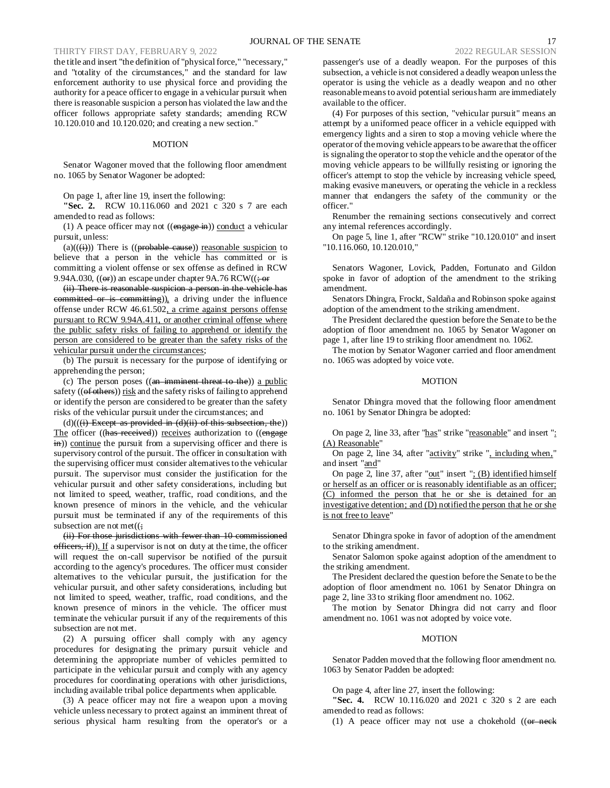## THIRTY FIRST DAY, FEBRUARY 9, 2022

the title and insert "the definition of "physical force," "necessary," and "totality of the circumstances," and the standard for law enforcement authority to use physical force and providing the authority for a peace officer to engage in a vehicular pursuit when there is reasonable suspicion a person has violated the law and the officer follows appropriate safety standards; amending RCW 10.120.010 and 10.120.020; and creating a new section."

#### MOTION

Senator Wagoner moved that the following floor amendment no. 1065 by Senator Wagoner be adopted:

On page 1, after line 19, insert the following:

**"Sec. 2.** RCW 10.116.060 and 2021 c 320 s 7 are each amended to read as follows:

(1) A peace officer may not  $((\text{engage in}))$  conduct a vehicular pursuit, unless:

 $(a)((\overleftrightarrow{H}))$  There is  $((\overrightarrow{probable} \text{ cause}))$  reasonable suspicion to believe that a person in the vehicle has committed or is committing a violent offense or sex offense as defined in RCW 9.94A.030,  $((\Theta$ **F**)) an escape under chapter 9A.76 RCW $((\frac{1}{2} \Theta$ **F** 

(ii) There is reasonable suspicion a person in the vehicle has committed or is committing)), a driving under the influence offense under RCW 46.61.502, a crime against persons offense pursuant to RCW 9.94A.411, or another criminal offense where the public safety risks of failing to apprehend or identify the person are considered to be greater than the safety risks of the vehicular pursuit under the circumstances;

(b) The pursuit is necessary for the purpose of identifying or apprehending the person;

(c) The person poses  $((an-imminent-threat-to-the))$  a public safety (( $\theta$ f $\theta$ others)) risk and the safety risks of failing to apprehend or identify the person are considered to be greater than the safety risks of the vehicular pursuit under the circumstances; and

 $(d)((ii)$  Except as provided in  $(d)(ii)$  of this subsection, the)) The officer ((has received)) receives authorization to ((engage in)) continue the pursuit from a supervising officer and there is supervisory control of the pursuit. The officer in consultation with the supervising officer must consider alternatives to the vehicular pursuit. The supervisor must consider the justification for the vehicular pursuit and other safety considerations, including but not limited to speed, weather, traffic, road conditions, and the known presence of minors in the vehicle, and the vehicular pursuit must be terminated if any of the requirements of this subsection are not met( $($ ;

(ii) For those jurisdictions with fewer than 10 commissioned officers, if)). If a supervisor is not on duty at the time, the officer will request the on-call supervisor be notified of the pursuit according to the agency's procedures. The officer must consider alternatives to the vehicular pursuit, the justification for the vehicular pursuit, and other safety considerations, including but not limited to speed, weather, traffic, road conditions, and the known presence of minors in the vehicle. The officer must terminate the vehicular pursuit if any of the requirements of this subsection are not met.

(2) A pursuing officer shall comply with any agency procedures for designating the primary pursuit vehicle and determining the appropriate number of vehicles permitted to participate in the vehicular pursuit and comply with any agency procedures for coordinating operations with other jurisdictions, including available tribal police departments when applicable.

(3) A peace officer may not fire a weapon upon a moving vehicle unless necessary to protect against an imminent threat of serious physical harm resulting from the operator's or a passenger's use of a deadly weapon. For the purposes of this subsection, a vehicle is not considered a deadly weapon unless the operator is using the vehicle as a deadly weapon and no other reasonable means to avoid potential serious harm are immediately available to the officer.

(4) For purposes of this section, "vehicular pursuit" means an attempt by a uniformed peace officer in a vehicle equipped with emergency lights and a siren to stop a moving vehicle where the operator of the moving vehicle appears to be aware that the officer is signaling the operator to stop the vehicle and the operator of the moving vehicle appears to be willfully resisting or ignoring the officer's attempt to stop the vehicle by increasing vehicle speed, making evasive maneuvers, or operating the vehicle in a reckless manner that endangers the safety of the community or the officer."

Renumber the remaining sections consecutively and correct any internal references accordingly.

On page 5, line 1, after "RCW" strike "10.120.010" and insert "10.116.060, 10.120.010,"

Senators Wagoner, Lovick, Padden, Fortunato and Gildon spoke in favor of adoption of the amendment to the striking amendment.

Senators Dhingra, Frockt, Saldaña and Robinson spoke against adoption of the amendment to the striking amendment.

The President declared the question before the Senate to be the adoption of floor amendment no. 1065 by Senator Wagoner on page 1, after line 19 to striking floor amendment no. 1062.

The motion by Senator Wagoner carried and floor amendment no. 1065 was adopted by voice vote.

#### MOTION

Senator Dhingra moved that the following floor amendment no. 1061 by Senator Dhingra be adopted:

On page 2, line 33, after "has" strike "reasonable" and insert ": (A) Reasonable"

On page 2, line 34, after "activity" strike ", including when," and insert "and"

On page 2, line 37, after " $out$ " insert " $: (B)$  identified himself or herself as an officer or is reasonably identifiable as an officer; (C) informed the person that he or she is detained for an investigative detention; and (D) notified the person that he or she is not free to leave"

Senator Dhingra spoke in favor of adoption of the amendment to the striking amendment.

Senator Salomon spoke against adoption of the amendment to the striking amendment.

The President declared the question before the Senate to be the adoption of floor amendment no. 1061 by Senator Dhingra on page 2, line 33 to striking floor amendment no. 1062.

The motion by Senator Dhingra did not carry and floor amendment no. 1061 was not adopted by voice vote.

## **MOTION**

Senator Padden moved that the following floor amendment no. 1063 by Senator Padden be adopted:

On page 4, after line 27, insert the following:

**"Sec. 4.** RCW 10.116.020 and 2021 c 320 s 2 are each amended to read as follows:

(1) A peace officer may not use a chokehold  $((\theta + \theta)$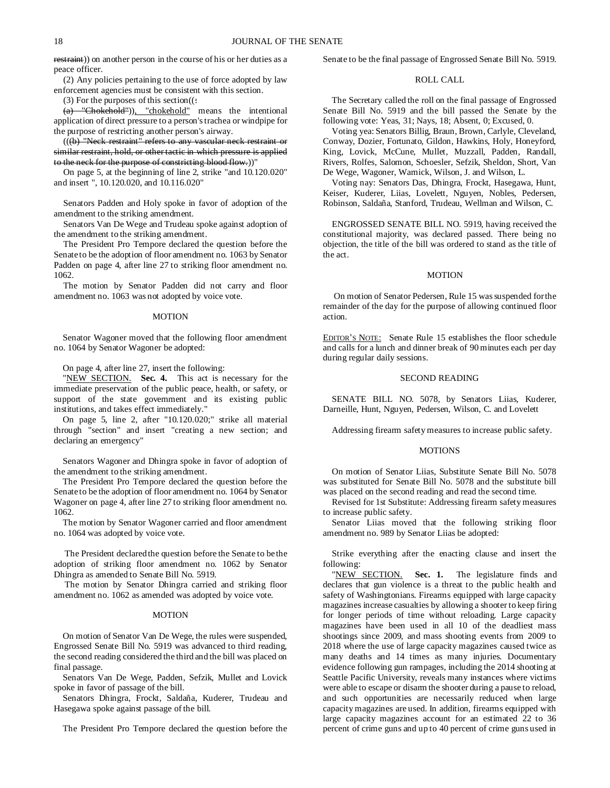restraint)) on another person in the course of his or her duties as a peace officer.

(2) Any policies pertaining to the use of force adopted by law enforcement agencies must be consistent with this section.

(3) For the purposes of this section((:

(a) "Chokehold")), "chokehold" means the intentional application of direct pressure to a person's trachea or windpipe for the purpose of restricting another person's airway.

(((b) "Neck restraint" refers to any vascular neck restraint or similar restraint, hold, or other tactic in which pressure is applied to the neck for the purpose of constricting blood flow.))"

On page 5, at the beginning of line 2, strike "and 10.120.020" and insert ", 10.120.020, and 10.116.020"

Senators Padden and Holy spoke in favor of adoption of the amendment to the striking amendment.

Senators Van De Wege and Trudeau spoke against adoption of the amendment to the striking amendment.

The President Pro Tempore declared the question before the Senate to be the adoption of floor amendment no. 1063 by Senator Padden on page 4, after line 27 to striking floor amendment no. 1062.

The motion by Senator Padden did not carry and floor amendment no. 1063 was not adopted by voice vote.

## MOTION

Senator Wagoner moved that the following floor amendment no. 1064 by Senator Wagoner be adopted:

On page 4, after line 27, insert the following:

"NEW SECTION. **Sec. 4.** This act is necessary for the immediate preservation of the public peace, health, or safety, or support of the state government and its existing public institutions, and takes effect immediately."

On page 5, line 2, after "10.120.020;" strike all material through "section" and insert "creating a new section; and declaring an emergency"

Senators Wagoner and Dhingra spoke in favor of adoption of the amendment to the striking amendment.

The President Pro Tempore declared the question before the Senate to be the adoption of floor amendment no. 1064 by Senator Wagoner on page 4, after line 27 to striking floor amendment no. 1062.

The motion by Senator Wagoner carried and floor amendment no. 1064 was adopted by voice vote.

The President declared the question before the Senate to be the adoption of striking floor amendment no. 1062 by Senator Dhingra as amended to Senate Bill No. 5919.

The motion by Senator Dhingra carried and striking floor amendment no. 1062 as amended was adopted by voice vote.

#### MOTION

On motion of Senator Van De Wege, the rules were suspended, Engrossed Senate Bill No. 5919 was advanced to third reading, the second reading considered the third and the bill was placed on final passage.

Senators Van De Wege, Padden, Sefzik, Mullet and Lovick spoke in favor of passage of the bill.

Senators Dhingra, Frockt, Saldaña, Kuderer, Trudeau and Hasegawa spoke against passage of the bill.

The President Pro Tempore declared the question before the

Senate to be the final passage of Engrossed Senate Bill No. 5919.

## ROLL CALL

The Secretary called the roll on the final passage of Engrossed Senate Bill No. 5919 and the bill passed the Senate by the following vote: Yeas, 31; Nays, 18; Absent, 0; Excused, 0.

Voting yea: Senators Billig, Braun, Brown, Carlyle, Cleveland, Conway, Dozier, Fortunato, Gildon, Hawkins, Holy, Honeyford, King, Lovick, McCune, Mullet, Muzzall, Padden, Randall, Rivers, Rolfes, Salomon, Schoesler, Sefzik, Sheldon, Short, Van De Wege, Wagoner, Warnick, Wilson, J. and Wilson, L.

Voting nay: Senators Das, Dhingra, Frockt, Hasegawa, Hunt, Keiser, Kuderer, Liias, Lovelett, Nguyen, Nobles, Pedersen, Robinson, Saldaña, Stanford, Trudeau, Wellman and Wilson, C.

ENGROSSED SENATE BILL NO. 5919, having received the constitutional majority, was declared passed. There being no objection, the title of the bill was ordered to stand as the title of the act.

#### MOTION

On motion of Senator Pedersen, Rule 15 was suspended for the remainder of the day for the purpose of allowing continued floor action.

EDITOR'S NOTE: Senate Rule 15 establishes the floor schedule and calls for a lunch and dinner break of 90 minutes each per day during regular daily sessions.

## SECOND READING

SENATE BILL NO. 5078, by Senators Liias, Kuderer, Darneille, Hunt, Nguyen, Pedersen, Wilson, C. and Lovelett

Addressing firearm safety measures to increase public safety.

#### MOTIONS

On motion of Senator Liias, Substitute Senate Bill No. 5078 was substituted for Senate Bill No. 5078 and the substitute bill was placed on the second reading and read the second time.

Revised for 1st Substitute: Addressing firearm safety measures to increase public safety.

Senator Liias moved that the following striking floor amendment no. 989 by Senator Liias be adopted:

Strike everything after the enacting clause and insert the following:

"NEW SECTION. **Sec. 1.** The legislature finds and declares that gun violence is a threat to the public health and safety of Washingtonians. Firearms equipped with large capacity magazines increase casualties by allowing a shooter to keep firing for longer periods of time without reloading. Large capacity magazines have been used in all 10 of the deadliest mass shootings since 2009, and mass shooting events from 2009 to 2018 where the use of large capacity magazines caused twice as many deaths and 14 times as many injuries. Documentary evidence following gun rampages, including the 2014 shooting at Seattle Pacific University, reveals many instances where victims were able to escape or disarm the shooter during a pause to reload, and such opportunities are necessarily reduced when large capacity magazines are used. In addition, firearms equipped with large capacity magazines account for an estimated 22 to 36 percent of crime guns and up to 40 percent of crime guns used in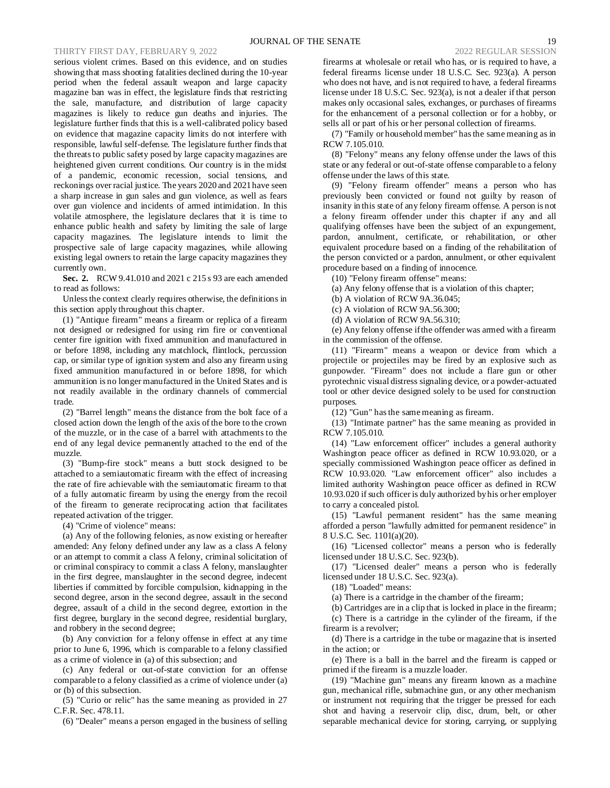serious violent crimes. Based on this evidence, and on studies showing that mass shooting fatalities declined during the 10-year period when the federal assault weapon and large capacity magazine ban was in effect, the legislature finds that restricting the sale, manufacture, and distribution of large capacity magazines is likely to reduce gun deaths and injuries. The legislature further finds that this is a well-calibrated policy based on evidence that magazine capacity limits do not interfere with responsible, lawful self-defense. The legislature further finds that the threats to public safety posed by large capacity magazines are heightened given current conditions. Our country is in the midst of a pandemic, economic recession, social tensions, and reckonings over racial justice. The years 2020 and 2021 have seen a sharp increase in gun sales and gun violence, as well as fears over gun violence and incidents of armed intimidation. In this volatile atmosphere, the legislature declares that it is time to enhance public health and safety by limiting the sale of large capacity magazines. The legislature intends to limit the prospective sale of large capacity magazines, while allowing existing legal owners to retain the large capacity magazines they currently own.

**Sec. 2.** RCW 9.41.010 and 2021 c 215 s 93 are each amended to read as follows:

Unless the context clearly requires otherwise, the definitions in this section apply throughout this chapter.

(1) "Antique firearm" means a firearm or replica of a firearm not designed or redesigned for using rim fire or conventional center fire ignition with fixed ammunition and manufactured in or before 1898, including any matchlock, flintlock, percussion cap, or similar type of ignition system and also any firearm using fixed ammunition manufactured in or before 1898, for which ammunition is no longer manufactured in the United States and is not readily available in the ordinary channels of commercial trade.

(2) "Barrel length" means the distance from the bolt face of a closed action down the length of the axis of the bore to the crown of the muzzle, or in the case of a barrel with attachments to the end of any legal device permanently attached to the end of the muzzle.

(3) "Bump-fire stock" means a butt stock designed to be attached to a semiautomatic firearm with the effect of increasing the rate of fire achievable with the semiautomatic firearm to that of a fully automatic firearm by using the energy from the recoil of the firearm to generate reciprocating action that facilitates repeated activation of the trigger.

(4) "Crime of violence" means:

(a) Any of the following felonies, as now existing or hereafter amended: Any felony defined under any law as a class A felony or an attempt to commit a class A felony, criminal solicitation of or criminal conspiracy to commit a class A felony, manslaughter in the first degree, manslaughter in the second degree, indecent liberties if committed by forcible compulsion, kidnapping in the second degree, arson in the second degree, assault in the second degree, assault of a child in the second degree, extortion in the first degree, burglary in the second degree, residential burglary, and robbery in the second degree;

(b) Any conviction for a felony offense in effect at any time prior to June 6, 1996, which is comparable to a felony classified as a crime of violence in (a) of this subsection; and

(c) Any federal or out-of-state conviction for an offense comparable to a felony classified as a crime of violence under (a) or (b) of this subsection.

(5) "Curio or relic" has the same meaning as provided in 27 C.F.R. Sec. 478.11.

(6) "Dealer" means a person engaged in the business of selling

firearms at wholesale or retail who has, or is required to have, a federal firearms license under 18 U.S.C. Sec. 923(a). A person who does not have, and is not required to have, a federal firearms license under 18 U.S.C. Sec. 923(a), is not a dealer if that person makes only occasional sales, exchanges, or purchases of firearms for the enhancement of a personal collection or for a hobby, or sells all or part of his or her personal collection of firearms.

(7) "Family or household member" has the same meaning as in RCW 7.105.010.

(8) "Felony" means any felony offense under the laws of this state or any federal or out-of-state offense comparable to a felony offense under the laws of this state.

(9) "Felony firearm offender" means a person who has previously been convicted or found not guilty by reason of insanity in this state of any felony firearm offense. A person is not a felony firearm offender under this chapter if any and all qualifying offenses have been the subject of an expungement, pardon, annulment, certificate, or rehabilitation, or other equivalent procedure based on a finding of the rehabilitation of the person convicted or a pardon, annulment, or other equivalent procedure based on a finding of innocence.

(10) "Felony firearm offense" means:

(a) Any felony offense that is a violation of this chapter;

(b) A violation of RCW 9A.36.045;

(c) A violation of RCW 9A.56.300;

(d) A violation of RCW 9A.56.310;

(e) Any felony offense if the offender was armed with a firearm in the commission of the offense.

(11) "Firearm" means a weapon or device from which a projectile or projectiles may be fired by an explosive such as gunpowder. "Firearm" does not include a flare gun or other pyrotechnic visual distress signaling device, or a powder-actuated tool or other device designed solely to be used for construction purposes.

(12) "Gun" has the same meaning as firearm.

(13) "Intimate partner" has the same meaning as provided in RCW 7.105.010.

(14) "Law enforcement officer" includes a general authority Washington peace officer as defined in RCW 10.93.020, or a specially commissioned Washington peace officer as defined in RCW 10.93.020. "Law enforcement officer" also includes a limited authority Washington peace officer as defined in RCW 10.93.020 if such officer is duly authorized by his or her employer to carry a concealed pistol.

(15) "Lawful permanent resident" has the same meaning afforded a person "lawfully admitted for permanent residence" in 8 U.S.C. Sec. 1101(a)(20).

(16) "Licensed collector" means a person who is federally licensed under 18 U.S.C. Sec. 923(b).

(17) "Licensed dealer" means a person who is federally licensed under 18 U.S.C. Sec. 923(a).

(18) "Loaded" means:

(a) There is a cartridge in the chamber of the firearm;

(b) Cartridges are in a clip that is locked in place in the firearm; (c) There is a cartridge in the cylinder of the firearm, if the firearm is a revolver;

(d) There is a cartridge in the tube or magazine that is inserted in the action; or

(e) There is a ball in the barrel and the firearm is capped or primed if the firearm is a muzzle loader.

(19) "Machine gun" means any firearm known as a machine gun, mechanical rifle, submachine gun, or any other mechanism or instrument not requiring that the trigger be pressed for each shot and having a reservoir clip, disc, drum, belt, or other separable mechanical device for storing, carrying, or supplying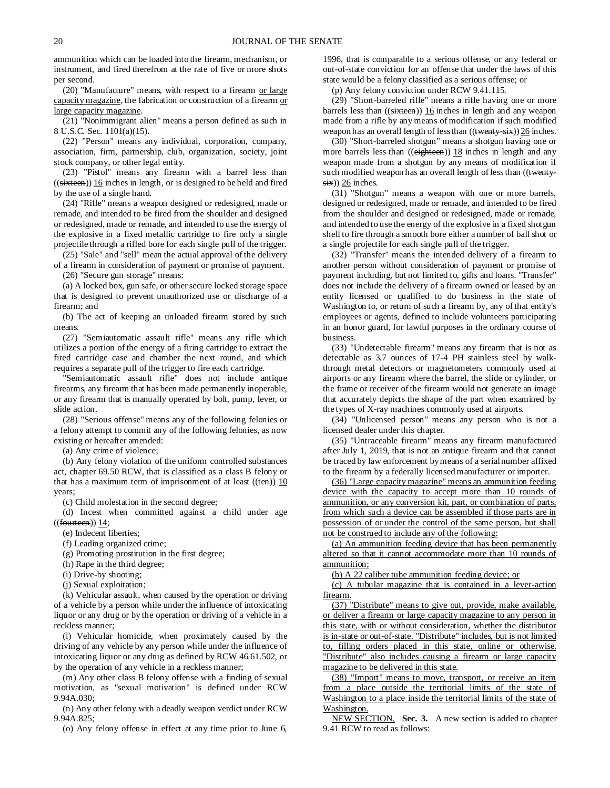ammunition which can be loaded into the firearm, mechanism, or instrument, and fired therefrom at the rate of five or more shots per second.

(20) "Manufacture" means, with respect to a firearm or large capacity magazine, the fabrication or construction of a firearm or large capacity magazine.

(21) "Nonimmigrant alien" means a person defined as such in 8 U.S.C. Sec. 1101(a)(15).

(22) "Person" means any individual, corporation, company, association, firm, partnership, club, organization, society, joint stock company, or other legal entity.

(23) "Pistol" means any firearm with a barrel less than  $((s$ **ixteen**)) 16 inches in length, or is designed to be held and fired by the use of a single hand.

(24) "Rifle" means a weapon designed or redesigned, made or remade, and intended to be fired from the shoulder and designed or redesigned, made or remade, and intended to use the energy of the explosive in a fixed metallic cartridge to fire only a single projectile through a rifled bore for each single pull of the trigger.

(25) "Sale" and "sell" mean the actual approval of the delivery of a firearm in consideration of payment or promise of payment.

(26) "Secure gun storage" means:

(a) A locked box, gun safe, or other secure locked storage space that is designed to prevent unauthorized use or discharge of a firearm; and

(b) The act of keeping an unloaded firearm stored by such means.

(27) "Semiautomatic assault rifle" means any rifle which utilizes a portion of the energy of a firing cartridge to extract the fired cartridge case and chamber the next round, and which requires a separate pull of the trigger to fire each cartridge.

"Semiautomatic assault rifle" does not include antique firearms, any firearm that has been made permanently inoperable, or any firearm that is manually operated by bolt, pump, lever, or slide action.

(28) "Serious offense" means any of the following felonies or a felony attempt to commit any of the following felonies, as now existing or hereafter amended:

(a) Any crime of violence;

(b) Any felony violation of the uniform controlled substances act, chapter 69.50 RCW, that is classified as a class B felony or that has a maximum term of imprisonment of at least  $((ten))$  10 years;

(c) Child molestation in the second degree;

(d) Incest when committed against a child under age  $((f<sub>outteen</sub>))$  14;

(e) Indecent liberties;

(f) Leading organized crime;

(g) Promoting prostitution in the first degree;

(h) Rape in the third degree;

(i) Drive-by shooting;

(j) Sexual exploitation;

(k) Vehicular assault, when caused by the operation or driving of a vehicle by a person while under the influence of intoxicating liquor or any drug or by the operation or driving of a vehicle in a reckless manner;

(l) Vehicular homicide, when proximately caused by the driving of any vehicle by any person while under the influence of intoxicating liquor or any drug as defined by RCW 46.61.502, or by the operation of any vehicle in a reckless manner;

(m) Any other class B felony offense with a finding of sexual motivation, as "sexual motivation" is defined under RCW 9.94A.030;

(n) Any other felony with a deadly weapon verdict under RCW 9.94A.825;

(o) Any felony offense in effect at any time prior to June 6,

1996, that is comparable to a serious offense, or any federal or out-of-state conviction for an offense that under the laws of this state would be a felony classified as a serious offense; or

(p) Any felony conviction under RCW 9.41.115.

(29) "Short-barreled rifle" means a rifle having one or more barrels less than  $((\text{sixteen}))$  16 inches in length and any weapon made from a rifle by any means of modification if such modified weapon has an overall length of less than  $((\text{twenty-six}))$  26 inches.

(30) "Short-barreled shotgun" means a shotgun having one or more barrels less than ((eighteen)) 18 inches in length and any weapon made from a shotgun by any means of modification if such modified weapon has an overall length of less than ((twenty $s$ ix)) 26 inches.

(31) "Shotgun" means a weapon with one or more barrels, designed or redesigned, made or remade, and intended to be fired from the shoulder and designed or redesigned, made or remade, and intended to use the energy of the explosive in a fixed shotgun shell to fire through a smooth bore either a number of ball shot or a single projectile for each single pull of the trigger.

(32) "Transfer" means the intended delivery of a firearm to another person without consideration of payment or promise of payment including, but not limited to, gifts and loans. "Transfer" does not include the delivery of a firearm owned or leased by an entity licensed or qualified to do business in the state of Washington to, or return of such a firearm by, any of that entity's employees or agents, defined to include volunteers participating in an honor guard, for lawful purposes in the ordinary course of business.

(33) "Undetectable firearm" means any firearm that is not as detectable as 3.7 ounces of 17-4 PH stainless steel by walkthrough metal detectors or magnetometers commonly used at airports or any firearm where the barrel, the slide or cylinder, or the frame or receiver of the firearm would not generate an image that accurately depicts the shape of the part when examined by the types of X-ray machines commonly used at airports.

(34) "Unlicensed person" means any person who is not a licensed dealer under this chapter.

(35) "Untraceable firearm" means any firearm manufactured after July 1, 2019, that is not an antique firearm and that cannot be traced by law enforcement by means of a serial number affixed to the firearm by a federally licensed manufacturer or importer.

(36) "Large capacity magazine" means an ammunition feeding device with the capacity to accept more than 10 rounds of ammunition, or any conversion kit, part, or combination of parts, from which such a device can be assembled if those parts are in possession of or under the control of the same person, but shall not be construed to include any of the following:

(a) An ammunition feeding device that has been permanently altered so that it cannot accommodate more than 10 rounds of ammunition;

(b) A 22 caliber tube ammunition feeding device; or

(c) A tubular magazine that is contained in a lever-action firearm.

(37) "Distribute" means to give out, provide, make available, or deliver a firearm or large capacity magazine to any person in this state, with or without consideration, whether the distributor is in-state or out-of-state. "Distribute" includes, but is not limited to, filling orders placed in this state, online or otherwise. "Distribute" also includes causing a firearm or large capacity magazine to be delivered in this state.

(38) "Import" means to move, transport, or receive an item from a place outside the territorial limits of the state of Washington to a place inside the territorial limits of the state of Washington.

NEW SECTION. **Sec. 3.** A new section is added to chapter 9.41 RCW to read as follows: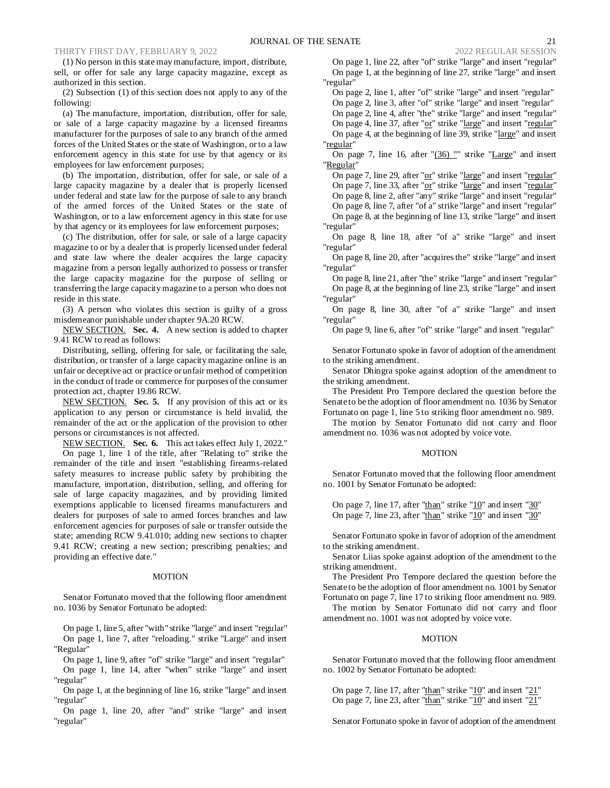(1) No person in this state may manufacture, import, distribute, sell, or offer for sale any large capacity magazine, except as authorized in this section.

(2) Subsection (1) of this section does not apply to any of the following:

(a) The manufacture, importation, distribution, offer for sale, or sale of a large capacity magazine by a licensed firearms manufacturer for the purposes of sale to any branch of the armed forces of the United States or the state of Washington, or to a law enforcement agency in this state for use by that agency or its employees for law enforcement purposes;

(b) The importation, distribution, offer for sale, or sale of a large capacity magazine by a dealer that is properly licensed under federal and state law for the purpose of sale to any branch of the armed forces of the United States or the state of Washington, or to a law enforcement agency in this state for use by that agency or its employees for law enforcement purposes;

(c) The distribution, offer for sale, or sale of a large capacity magazine to or by a dealer that is properly licensed under federal and state law where the dealer acquires the large capacity magazine from a person legally authorized to possess or transfer the large capacity magazine for the purpose of selling or transferring the large capacity magazine to a person who does not reside in this state.

(3) A person who violates this section is guilty of a gross misdemeanor punishable under chapter 9A.20 RCW.

NEW SECTION. **Sec. 4.** A new section is added to chapter 9.41 RCW to read as follows:

Distributing, selling, offering for sale, or facilitating the sale, distribution, or transfer of a large capacity magazine online is an unfair or deceptive act or practice or unfair method of competition in the conduct of trade or commerce for purposes of the consumer protection act, chapter 19.86 RCW.

NEW SECTION. **Sec. 5.** If any provision of this act or its application to any person or circumstance is held invalid, the remainder of the act or the application of the provision to other persons or circumstances is not affected.

NEW SECTION. **Sec. 6.** This act takes effect July 1, 2022."

On page 1, line 1 of the title, after "Relating to" strike the remainder of the title and insert "establishing firearms-related safety measures to increase public safety by prohibiting the manufacture, importation, distribution, selling, and offering for sale of large capacity magazines, and by providing limited exemptions applicable to licensed firearms manufacturers and dealers for purposes of sale to armed forces branches and law enforcement agencies for purposes of sale or transfer outside the state; amending RCW 9.41.010; adding new sections to chapter 9.41 RCW; creating a new section; prescribing penalties; and providing an effective date."

#### MOTION

Senator Fortunato moved that the following floor amendment no. 1036 by Senator Fortunato be adopted:

On page 1, line 5, after "with" strike "large" and insert "regular" On page 1, line 7, after "reloading." strike "Large" and insert "Regular"

On page 1, line 9, after "of" strike "large" and insert "regular" On page 1, line 14, after "when" strike "large" and insert "regular"

On page 1, at the beginning of line 16, strike "large" and insert "regular"

On page 1, line 20, after "and" strike "large" and insert "regular"

On page 1, line 22, after "of" strike "large" and insert "regular" On page 1, at the beginning of line 27, strike "large" and insert "regular"

On page 2, line 1, after "of" strike "large" and insert "regular" On page 2, line 3, after "of" strike "large" and insert "regular" On page 2, line 4, after "the" strike "large" and insert "regular" On page 4, line 37, after "or" strike "large" and insert "regular" On page 4, at the beginning of line 39, strike "large" and insert "regular"

On page 7, line 16, after "(36) "" strike "Large" and insert "Regular"

On page 7, line 29, after "or" strike "large" and insert "regular" On page 7, line 33, after "or" strike "large" and insert "regular" On page 8, line 2, after "any" strike "large" and insert "regular" On page 8, line 7, after "of a" strike "large" and insert "regular" On page 8, at the beginning of line 13, strike "large" and insert "regular"

On page 8, line 18, after "of a" strike "large" and insert "regular"

On page 8, line 20, after "acquires the" strike "large" and insert "regular"

On page 8, line 21, after "the" strike "large" and insert "regular" On page 8, at the beginning of line 23, strike "large" and insert "regular"

On page 8, line 30, after "of a" strike "large" and insert "regular"

On page 9, line 6, after "of" strike "large" and insert "regular"

Senator Fortunato spoke in favor of adoption of the amendment to the striking amendment.

Senator Dhingra spoke against adoption of the amendment to the striking amendment.

The President Pro Tempore declared the question before the Senate to be the adoption of floor amendment no. 1036 by Senator Fortunato on page 1, line 5 to striking floor amendment no. 989.

The motion by Senator Fortunato did not carry and floor amendment no. 1036 was not adopted by voice vote.

## MOTION

Senator Fortunato moved that the following floor amendment no. 1001 by Senator Fortunato be adopted:

On page 7, line 17, after "than" strike " $10$ " and insert " $30$ " On page 7, line 23, after "than" strike "10" and insert "30"

Senator Fortunato spoke in favor of adoption of the amendment to the striking amendment.

Senator Liias spoke against adoption of the amendment to the striking amendment.

The President Pro Tempore declared the question before the Senate to be the adoption of floor amendment no. 1001 by Senator Fortunato on page 7, line 17 to striking floor amendment no. 989.

The motion by Senator Fortunato did not carry and floor amendment no. 1001 was not adopted by voice vote.

## **MOTION**

Senator Fortunato moved that the following floor amendment no. 1002 by Senator Fortunato be adopted:

On page 7, line 17, after "than" strike " $10$ " and insert " $21$ " On page 7, line 23, after "than" strike " $10$ " and insert " $21$ "

Senator Fortunato spoke in favor of adoption of the amendment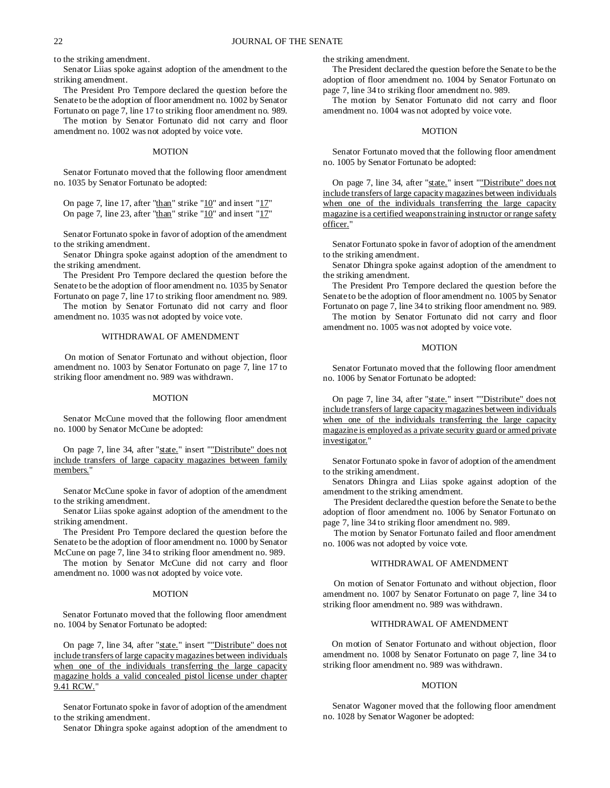to the striking amendment.

Senator Liias spoke against adoption of the amendment to the striking amendment.

The President Pro Tempore declared the question before the Senate to be the adoption of floor amendment no. 1002 by Senator Fortunato on page 7, line 17 to striking floor amendment no. 989.

The motion by Senator Fortunato did not carry and floor amendment no. 1002 was not adopted by voice vote.

#### MOTION

Senator Fortunato moved that the following floor amendment no. 1035 by Senator Fortunato be adopted:

On page 7, line 17, after "than" strike " $10$ " and insert " $17$ " On page 7, line 23, after " $t$ han" strike " $10$ " and insert " $17$ "

Senator Fortunato spoke in favor of adoption of the amendment to the striking amendment.

Senator Dhingra spoke against adoption of the amendment to the striking amendment.

The President Pro Tempore declared the question before the Senate to be the adoption of floor amendment no. 1035 by Senator Fortunato on page 7, line 17 to striking floor amendment no. 989.

The motion by Senator Fortunato did not carry and floor amendment no. 1035 was not adopted by voice vote.

## WITHDRAWAL OF AMENDMENT

On motion of Senator Fortunato and without objection, floor amendment no. 1003 by Senator Fortunato on page 7, line 17 to striking floor amendment no. 989 was withdrawn.

## MOTION

Senator McCune moved that the following floor amendment no. 1000 by Senator McCune be adopted:

On page 7, line 34, after "state." insert ""Distribute" does not include transfers of large capacity magazines between family members."

Senator McCune spoke in favor of adoption of the amendment to the striking amendment.

Senator Liias spoke against adoption of the amendment to the striking amendment.

The President Pro Tempore declared the question before the Senate to be the adoption of floor amendment no. 1000 by Senator McCune on page 7, line 34 to striking floor amendment no. 989.

The motion by Senator McCune did not carry and floor amendment no. 1000 was not adopted by voice vote.

#### MOTION

Senator Fortunato moved that the following floor amendment no. 1004 by Senator Fortunato be adopted:

On page 7, line 34, after "state." insert ""Distribute" does not include transfers of large capacity magazines between individuals when one of the individuals transferring the large capacity magazine holds a valid concealed pistol license under chapter 9.41 RCW."

Senator Fortunato spoke in favor of adoption of the amendment to the striking amendment.

Senator Dhingra spoke against adoption of the amendment to

the striking amendment.

The President declared the question before the Senate to be the adoption of floor amendment no. 1004 by Senator Fortunato on page 7, line 34 to striking floor amendment no. 989.

The motion by Senator Fortunato did not carry and floor amendment no. 1004 was not adopted by voice vote.

## MOTION

Senator Fortunato moved that the following floor amendment no. 1005 by Senator Fortunato be adopted:

On page 7, line 34, after "state." insert ""Distribute" does not include transfers of large capacity magazines between individuals when one of the individuals transferring the large capacity magazine is a certified weapons training instructor or range safety officer."

Senator Fortunato spoke in favor of adoption of the amendment to the striking amendment.

Senator Dhingra spoke against adoption of the amendment to the striking amendment.

The President Pro Tempore declared the question before the Senate to be the adoption of floor amendment no. 1005 by Senator Fortunato on page 7, line 34 to striking floor amendment no. 989.

The motion by Senator Fortunato did not carry and floor amendment no. 1005 was not adopted by voice vote.

#### MOTION

Senator Fortunato moved that the following floor amendment no. 1006 by Senator Fortunato be adopted:

On page 7, line 34, after "state." insert ""Distribute" does not include transfers of large capacity magazines between individuals when one of the individuals transferring the large capacity magazine is employed as a private security guard or armed private investigator."

Senator Fortunato spoke in favor of adoption of the amendment to the striking amendment.

Senators Dhingra and Liias spoke against adoption of the amendment to the striking amendment.

The President declared the question before the Senate to be the adoption of floor amendment no. 1006 by Senator Fortunato on page 7, line 34 to striking floor amendment no. 989.

The motion by Senator Fortunato failed and floor amendment no. 1006 was not adopted by voice vote.

## WITHDRAWAL OF AMENDMENT

On motion of Senator Fortunato and without objection, floor amendment no. 1007 by Senator Fortunato on page 7, line 34 to striking floor amendment no. 989 was withdrawn.

## WITHDRAWAL OF AMENDMENT

On motion of Senator Fortunato and without objection, floor amendment no. 1008 by Senator Fortunato on page 7, line 34 to striking floor amendment no. 989 was withdrawn.

#### MOTION

Senator Wagoner moved that the following floor amendment no. 1028 by Senator Wagoner be adopted: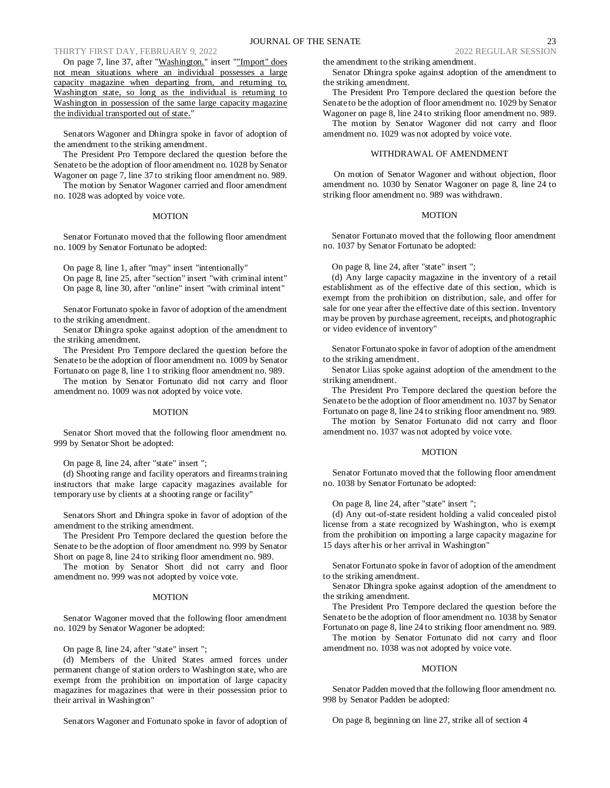On page 7, line 37, after "Washington." insert ""Import" does not mean situations where an individual possesses a large capacity magazine when departing from, and returning to, Washington state, so long as the individual is returning to Washington in possession of the same large capacity magazine the individual transported out of state."

Senators Wagoner and Dhingra spoke in favor of adoption of the amendment to the striking amendment.

The President Pro Tempore declared the question before the Senate to be the adoption of floor amendment no. 1028 by Senator Wagoner on page 7, line 37 to striking floor amendment no. 989.

The motion by Senator Wagoner carried and floor amendment no. 1028 was adopted by voice vote.

## **MOTION**

Senator Fortunato moved that the following floor amendment no. 1009 by Senator Fortunato be adopted:

On page 8, line 1, after "may" insert "intentionally" On page 8, line 25, after "section" insert "with criminal intent" On page 8, line 30, after "online" insert "with criminal intent"

Senator Fortunato spoke in favor of adoption of the amendment to the striking amendment.

Senator Dhingra spoke against adoption of the amendment to the striking amendment.

The President Pro Tempore declared the question before the Senate to be the adoption of floor amendment no. 1009 by Senator Fortunato on page 8, line 1 to striking floor amendment no. 989.

The motion by Senator Fortunato did not carry and floor amendment no. 1009 was not adopted by voice vote.

#### MOTION

Senator Short moved that the following floor amendment no. 999 by Senator Short be adopted:

On page 8, line 24, after "state" insert ";

(d) Shooting range and facility operators and firearms training instructors that make large capacity magazines available for temporary use by clients at a shooting range or facility"

Senators Short and Dhingra spoke in favor of adoption of the amendment to the striking amendment.

The President Pro Tempore declared the question before the Senate to be the adoption of floor amendment no. 999 by Senator Short on page 8, line 24 to striking floor amendment no. 989.

The motion by Senator Short did not carry and floor amendment no. 999 was not adopted by voice vote.

#### MOTION

Senator Wagoner moved that the following floor amendment no. 1029 by Senator Wagoner be adopted:

On page 8, line 24, after "state" insert ";

(d) Members of the United States armed forces under permanent change of station orders to Washington state, who are exempt from the prohibition on importation of large capacity magazines for magazines that were in their possession prior to their arrival in Washington"

Senators Wagoner and Fortunato spoke in favor of adoption of

the amendment to the striking amendment.

Senator Dhingra spoke against adoption of the amendment to the striking amendment.

The President Pro Tempore declared the question before the Senate to be the adoption of floor amendment no. 1029 by Senator Wagoner on page 8, line 24 to striking floor amendment no. 989.

The motion by Senator Wagoner did not carry and floor amendment no. 1029 was not adopted by voice vote.

## WITHDRAWAL OF AMENDMENT

On motion of Senator Wagoner and without objection, floor amendment no. 1030 by Senator Wagoner on page 8, line 24 to striking floor amendment no. 989 was withdrawn.

#### MOTION

Senator Fortunato moved that the following floor amendment no. 1037 by Senator Fortunato be adopted:

On page 8, line 24, after "state" insert ";

(d) Any large capacity magazine in the inventory of a retail establishment as of the effective date of this section, which is exempt from the prohibition on distribution, sale, and offer for sale for one year after the effective date of this section. Inventory may be proven by purchase agreement, receipts, and photographic or video evidence of inventory"

Senator Fortunato spoke in favor of adoption of the amendment to the striking amendment.

Senator Liias spoke against adoption of the amendment to the striking amendment.

The President Pro Tempore declared the question before the Senate to be the adoption of floor amendment no. 1037 by Senator Fortunato on page 8, line 24 to striking floor amendment no. 989.

The motion by Senator Fortunato did not carry and floor amendment no. 1037 was not adopted by voice vote.

#### MOTION

Senator Fortunato moved that the following floor amendment no. 1038 by Senator Fortunato be adopted:

On page 8, line 24, after "state" insert ";

(d) Any out-of-state resident holding a valid concealed pistol license from a state recognized by Washington, who is exempt from the prohibition on importing a large capacity magazine for 15 days after his or her arrival in Washington"

Senator Fortunato spoke in favor of adoption of the amendment to the striking amendment.

Senator Dhingra spoke against adoption of the amendment to the striking amendment.

The President Pro Tempore declared the question before the Senate to be the adoption of floor amendment no. 1038 by Senator Fortunato on page 8, line 24 to striking floor amendment no. 989.

The motion by Senator Fortunato did not carry and floor amendment no. 1038 was not adopted by voice vote.

#### **MOTION**

Senator Padden moved that the following floor amendment no. 998 by Senator Padden be adopted:

On page 8, beginning on line 27, strike all of section 4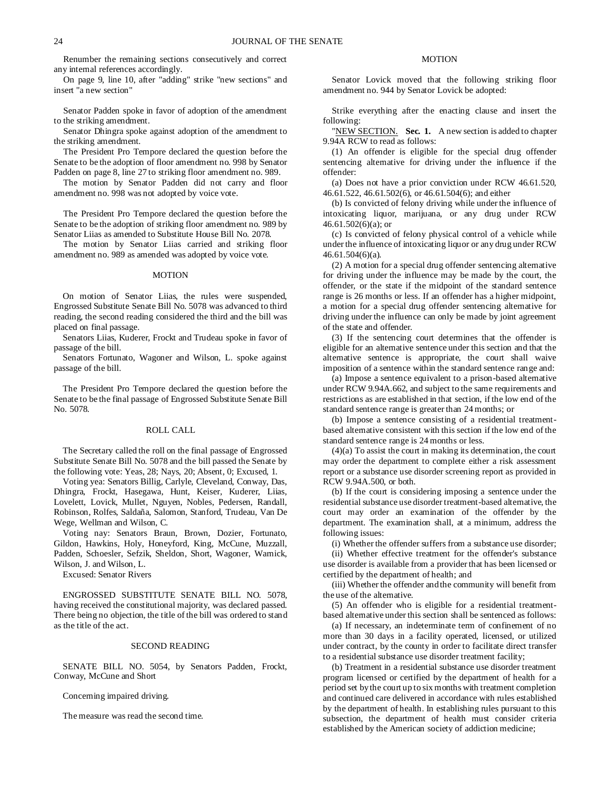Renumber the remaining sections consecutively and correct any internal references accordingly.

On page 9, line 10, after "adding" strike "new sections" and insert "a new section"

Senator Padden spoke in favor of adoption of the amendment to the striking amendment.

Senator Dhingra spoke against adoption of the amendment to the striking amendment.

The President Pro Tempore declared the question before the Senate to be the adoption of floor amendment no. 998 by Senator Padden on page 8, line 27 to striking floor amendment no. 989.

The motion by Senator Padden did not carry and floor amendment no. 998 was not adopted by voice vote.

The President Pro Tempore declared the question before the Senate to be the adoption of striking floor amendment no. 989 by Senator Liias as amended to Substitute House Bill No. 2078.

The motion by Senator Liias carried and striking floor amendment no. 989 as amended was adopted by voice vote.

#### MOTION

On motion of Senator Liias, the rules were suspended, Engrossed Substitute Senate Bill No. 5078 was advanced to third reading, the second reading considered the third and the bill was placed on final passage.

Senators Liias, Kuderer, Frockt and Trudeau spoke in favor of passage of the bill.

Senators Fortunato, Wagoner and Wilson, L. spoke against passage of the bill.

The President Pro Tempore declared the question before the Senate to be the final passage of Engrossed Substitute Senate Bill No. 5078.

#### ROLL CALL

The Secretary called the roll on the final passage of Engrossed Substitute Senate Bill No. 5078 and the bill passed the Senate by the following vote: Yeas, 28; Nays, 20; Absent, 0; Excused, 1.

Voting yea: Senators Billig, Carlyle, Cleveland, Conway, Das, Dhingra, Frockt, Hasegawa, Hunt, Keiser, Kuderer, Liias, Lovelett, Lovick, Mullet, Nguyen, Nobles, Pedersen, Randall, Robinson, Rolfes, Saldaña, Salomon, Stanford, Trudeau, Van De Wege, Wellman and Wilson, C.

Voting nay: Senators Braun, Brown, Dozier, Fortunato, Gildon, Hawkins, Holy, Honeyford, King, McCune, Muzzall, Padden, Schoesler, Sefzik, Sheldon, Short, Wagoner, Warnick, Wilson, J. and Wilson, L.

Excused: Senator Rivers

ENGROSSED SUBSTITUTE SENATE BILL NO. 5078, having received the constitutional majority, was declared passed. There being no objection, the title of the bill was ordered to stand as the title of the act.

## SECOND READING

SENATE BILL NO. 5054, by Senators Padden, Frockt, Conway, McCune and Short

Concerning impaired driving.

The measure was read the second time.

## MOTION

Senator Lovick moved that the following striking floor amendment no. 944 by Senator Lovick be adopted:

Strike everything after the enacting clause and insert the following:

"NEW SECTION. **Sec. 1.** A new section is added to chapter 9.94A RCW to read as follows:

(1) An offender is eligible for the special drug offender sentencing alternative for driving under the influence if the offender:

(a) Does not have a prior conviction under RCW 46.61.520, 46.61.522, 46.61.502(6), or 46.61.504(6); and either

(b) Is convicted of felony driving while under the influence of intoxicating liquor, marijuana, or any drug under RCW 46.61.502(6)(a); or

(c) Is convicted of felony physical control of a vehicle while under the influence of intoxicating liquor or any drug under RCW 46.61.504(6)(a).

(2) A motion for a special drug offender sentencing alternative for driving under the influence may be made by the court, the offender, or the state if the midpoint of the standard sentence range is 26 months or less. If an offender has a higher midpoint, a motion for a special drug offender sentencing alternative for driving under the influence can only be made by joint agreement of the state and offender.

(3) If the sentencing court determines that the offender is eligible for an alternative sentence under this section and that the alternative sentence is appropriate, the court shall waive imposition of a sentence within the standard sentence range and:

(a) Impose a sentence equivalent to a prison-based alternative under RCW 9.94A.662, and subject to the same requirements and restrictions as are established in that section, if the low end of the standard sentence range is greater than 24 months; or

(b) Impose a sentence consisting of a residential treatmentbased alternative consistent with this section if the low end of the standard sentence range is 24 months or less.

(4)(a) To assist the court in making its determination, the court may order the department to complete either a risk assessment report or a substance use disorder screening report as provided in RCW 9.94A.500, or both.

(b) If the court is considering imposing a sentence under the residential substance use disorder treatment-based alternative, the court may order an examination of the offender by the department. The examination shall, at a minimum, address the following issues:

(i) Whether the offender suffers from a substance use disorder;

(ii) Whether effective treatment for the offender's substance use disorder is available from a provider that has been licensed or certified by the department of health; and

(iii) Whether the offender and the community will benefit from the use of the alternative.

(5) An offender who is eligible for a residential treatmentbased alternative under this section shall be sentenced as follows:

(a) If necessary, an indeterminate term of confinement of no more than 30 days in a facility operated, licensed, or utilized under contract, by the county in order to facilitate direct transfer to a residential substance use disorder treatment facility;

(b) Treatment in a residential substance use disorder treatment program licensed or certified by the department of health for a period set by the court up to six months with treatment completion and continued care delivered in accordance with rules established by the department of health. In establishing rules pursuant to this subsection, the department of health must consider criteria established by the American society of addiction medicine;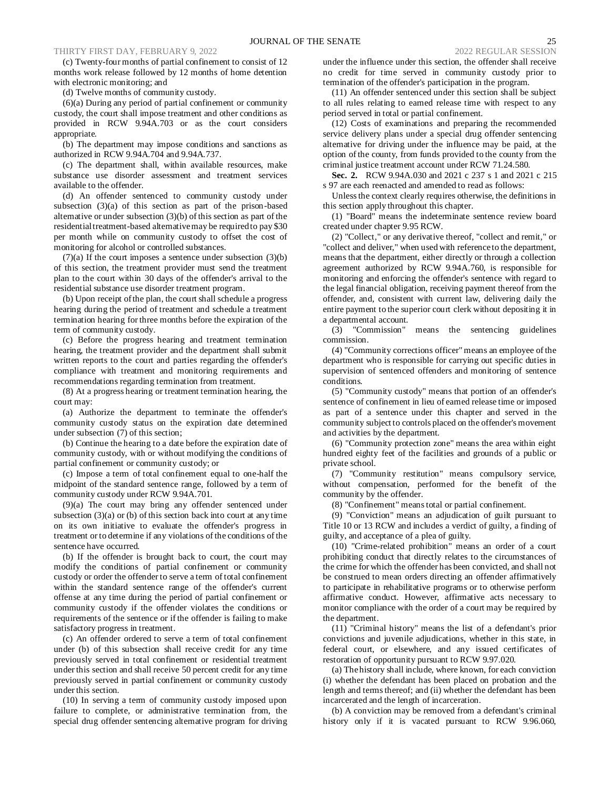(c) Twenty-four months of partial confinement to consist of 12 months work release followed by 12 months of home detention with electronic monitoring; and

(d) Twelve months of community custody.

(6)(a) During any period of partial confinement or community custody, the court shall impose treatment and other conditions as provided in RCW 9.94A.703 or as the court considers appropriate.

(b) The department may impose conditions and sanctions as authorized in RCW 9.94A.704 and 9.94A.737.

(c) The department shall, within available resources, make substance use disorder assessment and treatment services available to the offender.

(d) An offender sentenced to community custody under subsection (3)(a) of this section as part of the prison-based alternative or under subsection (3)(b) of this section as part of the residential treatment-based alternative may be required to pay \$30 per month while on community custody to offset the cost of monitoring for alcohol or controlled substances.

 $(7)(a)$  If the court imposes a sentence under subsection  $(3)(b)$ of this section, the treatment provider must send the treatment plan to the court within 30 days of the offender's arrival to the residential substance use disorder treatment program.

(b) Upon receipt of the plan, the court shall schedule a progress hearing during the period of treatment and schedule a treatment termination hearing for three months before the expiration of the term of community custody.

(c) Before the progress hearing and treatment termination hearing, the treatment provider and the department shall submit written reports to the court and parties regarding the offender's compliance with treatment and monitoring requirements and recommendations regarding termination from treatment.

(8) At a progress hearing or treatment termination hearing, the court may:

(a) Authorize the department to terminate the offender's community custody status on the expiration date determined under subsection (7) of this section;

(b) Continue the hearing to a date before the expiration date of community custody, with or without modifying the conditions of partial confinement or community custody; or

(c) Impose a term of total confinement equal to one-half the midpoint of the standard sentence range, followed by a term of community custody under RCW 9.94A.701.

(9)(a) The court may bring any offender sentenced under subsection  $(3)(a)$  or  $(b)$  of this section back into court at any time on its own initiative to evaluate the offender's progress in treatment or to determine if any violations of the conditions of the sentence have occurred.

(b) If the offender is brought back to court, the court may modify the conditions of partial confinement or community custody or order the offender to serve a term of total confinement within the standard sentence range of the offender's current offense at any time during the period of partial confinement or community custody if the offender violates the conditions or requirements of the sentence or if the offender is failing to make satisfactory progress in treatment.

(c) An offender ordered to serve a term of total confinement under (b) of this subsection shall receive credit for any time previously served in total confinement or residential treatment under this section and shall receive 50 percent credit for any time previously served in partial confinement or community custody under this section.

(10) In serving a term of community custody imposed upon failure to complete, or administrative termination from, the special drug offender sentencing alternative program for driving under the influence under this section, the offender shall receive no credit for time served in community custody prior to termination of the offender's participation in the program.

(11) An offender sentenced under this section shall be subject to all rules relating to earned release time with respect to any period served in total or partial confinement.

(12) Costs of examinations and preparing the recommended service delivery plans under a special drug offender sentencing alternative for driving under the influence may be paid, at the option of the county, from funds provided to the county from the criminal justice treatment account under RCW 71.24.580.

**Sec. 2.** RCW 9.94A.030 and 2021 c 237 s 1 and 2021 c 215 s 97 are each reenacted and amended to read as follows:

Unless the context clearly requires otherwise, the definitions in this section apply throughout this chapter.

(1) "Board" means the indeterminate sentence review board created under chapter 9.95 RCW.

(2) "Collect," or any derivative thereof, "collect and remit," or "collect and deliver," when used with reference to the department, means that the department, either directly or through a collection agreement authorized by RCW 9.94A.760, is responsible for monitoring and enforcing the offender's sentence with regard to the legal financial obligation, receiving payment thereof from the offender, and, consistent with current law, delivering daily the entire payment to the superior court clerk without depositing it in a departmental account.

(3) "Commission" means the sentencing guidelines commission.

(4) "Community corrections officer" means an employee of the department who is responsible for carrying out specific duties in supervision of sentenced offenders and monitoring of sentence conditions.

(5) "Community custody" means that portion of an offender's sentence of confinement in lieu of earned release time or imposed as part of a sentence under this chapter and served in the community subject to controls placed on the offender's movement and activities by the department.

(6) "Community protection zone" means the area within eight hundred eighty feet of the facilities and grounds of a public or private school.

(7) "Community restitution" means compulsory service, without compensation, performed for the benefit of the community by the offender.

(8) "Confinement" means total or partial confinement.

(9) "Conviction" means an adjudication of guilt pursuant to Title 10 or 13 RCW and includes a verdict of guilty, a finding of guilty, and acceptance of a plea of guilty.

(10) "Crime-related prohibition" means an order of a court prohibiting conduct that directly relates to the circumstances of the crime for which the offender has been convicted, and shall not be construed to mean orders directing an offender affirmatively to participate in rehabilitative programs or to otherwise perform affirmative conduct. However, affirmative acts necessary to monitor compliance with the order of a court may be required by the department.

(11) "Criminal history" means the list of a defendant's prior convictions and juvenile adjudications, whether in this state, in federal court, or elsewhere, and any issued certificates of restoration of opportunity pursuant to RCW 9.97.020.

(a) The history shall include, where known, for each conviction (i) whether the defendant has been placed on probation and the length and terms thereof; and (ii) whether the defendant has been incarcerated and the length of incarceration.

(b) A conviction may be removed from a defendant's criminal history only if it is vacated pursuant to RCW 9.96.060,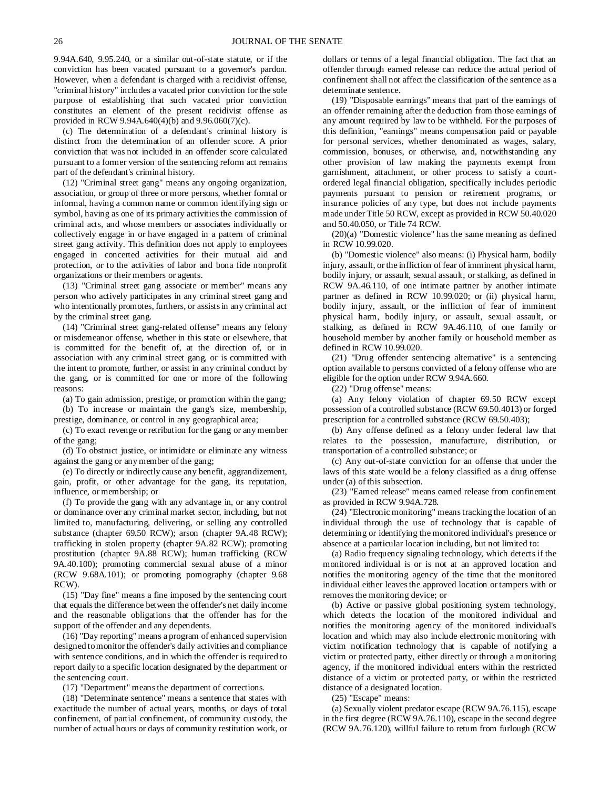9.94A.640, 9.95.240, or a similar out-of-state statute, or if the conviction has been vacated pursuant to a governor's pardon. However, when a defendant is charged with a recidivist offense, "criminal history" includes a vacated prior conviction for the sole purpose of establishing that such vacated prior conviction constitutes an element of the present recidivist offense as provided in RCW 9.94A.640(4)(b) and 9.96.060(7)(c).

(c) The determination of a defendant's criminal history is distinct from the determination of an offender score. A prior conviction that was not included in an offender score calculated pursuant to a former version of the sentencing reform act remains part of the defendant's criminal history.

(12) "Criminal street gang" means any ongoing organization, association, or group of three or more persons, whether formal or informal, having a common name or common identifying sign or symbol, having as one of its primary activities the commission of criminal acts, and whose members or associates individually or collectively engage in or have engaged in a pattern of criminal street gang activity. This definition does not apply to employees engaged in concerted activities for their mutual aid and protection, or to the activities of labor and bona fide nonprofit organizations or their members or agents.

(13) "Criminal street gang associate or member" means any person who actively participates in any criminal street gang and who intentionally promotes, furthers, or assists in any criminal act by the criminal street gang.

(14) "Criminal street gang-related offense" means any felony or misdemeanor offense, whether in this state or elsewhere, that is committed for the benefit of, at the direction of, or in association with any criminal street gang, or is committed with the intent to promote, further, or assist in any criminal conduct by the gang, or is committed for one or more of the following reasons:

(a) To gain admission, prestige, or promotion within the gang;

(b) To increase or maintain the gang's size, membership, prestige, dominance, or control in any geographical area;

(c) To exact revenge or retribution for the gang or any member of the gang;

(d) To obstruct justice, or intimidate or eliminate any witness against the gang or any member of the gang;

(e) To directly or indirectly cause any benefit, aggrandizement, gain, profit, or other advantage for the gang, its reputation, influence, or membership; or

(f) To provide the gang with any advantage in, or any control or dominance over any criminal market sector, including, but not limited to, manufacturing, delivering, or selling any controlled substance (chapter 69.50 RCW); arson (chapter 9A.48 RCW); trafficking in stolen property (chapter 9A.82 RCW); promoting prostitution (chapter 9A.88 RCW); human trafficking (RCW 9A.40.100); promoting commercial sexual abuse of a minor (RCW 9.68A.101); or promoting pornography (chapter 9.68 RCW).

(15) "Day fine" means a fine imposed by the sentencing court that equals the difference between the offender's net daily income and the reasonable obligations that the offender has for the support of the offender and any dependents.

(16) "Day reporting" means a program of enhanced supervision designed to monitor the offender's daily activities and compliance with sentence conditions, and in which the offender is required to report daily to a specific location designated by the department or the sentencing court.

(17) "Department" means the department of corrections.

(18) "Determinate sentence" means a sentence that states with exactitude the number of actual years, months, or days of total confinement, of partial confinement, of community custody, the number of actual hours or days of community restitution work, or dollars or terms of a legal financial obligation. The fact that an offender through earned release can reduce the actual period of confinement shall not affect the classification of the sentence as a determinate sentence.

(19) "Disposable earnings" means that part of the earnings of an offender remaining after the deduction from those earnings of any amount required by law to be withheld. For the purposes of this definition, "earnings" means compensation paid or payable for personal services, whether denominated as wages, salary, commission, bonuses, or otherwise, and, notwithstanding any other provision of law making the payments exempt from garnishment, attachment, or other process to satisfy a courtordered legal financial obligation, specifically includes periodic payments pursuant to pension or retirement programs, or insurance policies of any type, but does not include payments made under Title 50 RCW, except as provided in RCW 50.40.020 and 50.40.050, or Title 74 RCW.

(20)(a) "Domestic violence" has the same meaning as defined in RCW 10.99.020.

(b) "Domestic violence" also means: (i) Physical harm, bodily injury, assault, or the infliction of fear of imminent physical harm, bodily injury, or assault, sexual assault, or stalking, as defined in RCW 9A.46.110, of one intimate partner by another intimate partner as defined in RCW 10.99.020; or (ii) physical harm, bodily injury, assault, or the infliction of fear of imminent physical harm, bodily injury, or assault, sexual assault, or stalking, as defined in RCW 9A.46.110, of one family or household member by another family or household member as defined in RCW 10.99.020.

(21) "Drug offender sentencing alternative" is a sentencing option available to persons convicted of a felony offense who are eligible for the option under RCW 9.94A.660.

(22) "Drug offense" means:

(a) Any felony violation of chapter 69.50 RCW except possession of a controlled substance (RCW 69.50.4013) or forged prescription for a controlled substance (RCW 69.50.403);

(b) Any offense defined as a felony under federal law that relates to the possession, manufacture, distribution, or transportation of a controlled substance; or

(c) Any out-of-state conviction for an offense that under the laws of this state would be a felony classified as a drug offense under (a) of this subsection.

(23) "Earned release" means earned release from confinement as provided in RCW 9.94A.728.

(24) "Electronic monitoring" means tracking the location of an individual through the use of technology that is capable of determining or identifying the monitored individual's presence or absence at a particular location including, but not limited to:

(a) Radio frequency signaling technology, which detects if the monitored individual is or is not at an approved location and notifies the monitoring agency of the time that the monitored individual either leaves the approved location or tampers with or removes the monitoring device; or

(b) Active or passive global positioning system technology, which detects the location of the monitored individual and notifies the monitoring agency of the monitored individual's location and which may also include electronic monitoring with victim notification technology that is capable of notifying a victim or protected party, either directly or through a monitoring agency, if the monitored individual enters within the restricted distance of a victim or protected party, or within the restricted distance of a designated location.

(25) "Escape" means:

(a) Sexually violent predator escape (RCW 9A.76.115), escape in the first degree (RCW 9A.76.110), escape in the second degree (RCW 9A.76.120), willful failure to return from furlough (RCW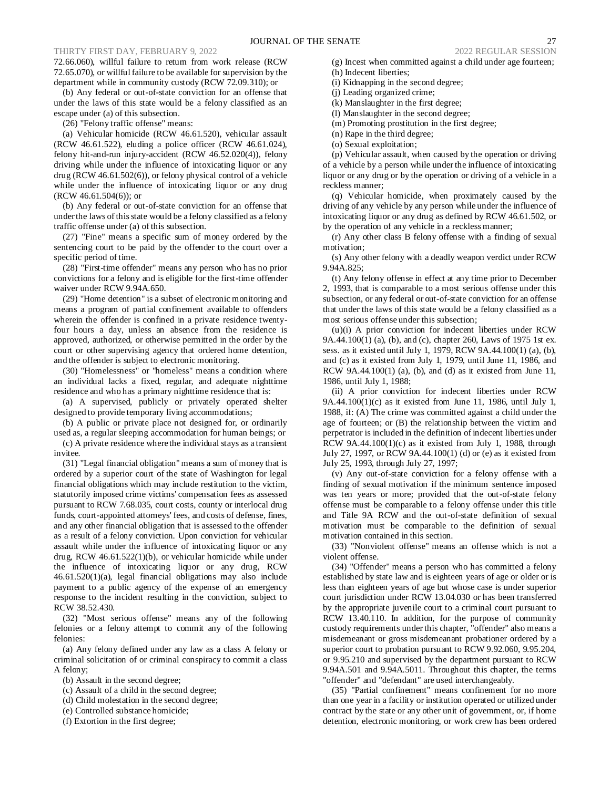72.66.060), willful failure to return from work release (RCW 72.65.070), or willful failure to be available for supervision by the department while in community custody (RCW 72.09.310); or

(b) Any federal or out-of-state conviction for an offense that under the laws of this state would be a felony classified as an escape under (a) of this subsection.

(26) "Felony traffic offense" means:

(a) Vehicular homicide (RCW 46.61.520), vehicular assault (RCW 46.61.522), eluding a police officer (RCW 46.61.024), felony hit-and-run injury-accident (RCW 46.52.020(4)), felony driving while under the influence of intoxicating liquor or any drug (RCW 46.61.502(6)), or felony physical control of a vehicle while under the influence of intoxicating liquor or any drug (RCW 46.61.504(6)); or

(b) Any federal or out-of-state conviction for an offense that under the laws of this state would be a felony classified as a felony traffic offense under (a) of this subsection.

(27) "Fine" means a specific sum of money ordered by the sentencing court to be paid by the offender to the court over a specific period of time.

(28) "First-time offender" means any person who has no prior convictions for a felony and is eligible for the first-time offender waiver under RCW 9.94A.650.

(29) "Home detention" is a subset of electronic monitoring and means a program of partial confinement available to offenders wherein the offender is confined in a private residence twentyfour hours a day, unless an absence from the residence is approved, authorized, or otherwise permitted in the order by the court or other supervising agency that ordered home detention, and the offender is subject to electronic monitoring.

(30) "Homelessness" or "homeless" means a condition where an individual lacks a fixed, regular, and adequate nighttime residence and who has a primary nighttime residence that is:

(a) A supervised, publicly or privately operated shelter designed to provide temporary living accommodations;

(b) A public or private place not designed for, or ordinarily used as, a regular sleeping accommodation for human beings; or

(c) A private residence where the individual stays as a transient invitee.

(31) "Legal financial obligation" means a sum of money that is ordered by a superior court of the state of Washington for legal financial obligations which may include restitution to the victim, statutorily imposed crime victims' compensation fees as assessed pursuant to RCW 7.68.035, court costs, county or interlocal drug funds, court-appointed attorneys' fees, and costs of defense, fines, and any other financial obligation that is assessed to the offender as a result of a felony conviction. Upon conviction for vehicular assault while under the influence of intoxicating liquor or any drug, RCW 46.61.522(1)(b), or vehicular homicide while under the influence of intoxicating liquor or any drug, RCW 46.61.520(1)(a), legal financial obligations may also include payment to a public agency of the expense of an emergency response to the incident resulting in the conviction, subject to RCW 38.52.430.

(32) "Most serious offense" means any of the following felonies or a felony attempt to commit any of the following felonies:

(a) Any felony defined under any law as a class A felony or criminal solicitation of or criminal conspiracy to commit a class A felony;

- (b) Assault in the second degree;
- (c) Assault of a child in the second degree;
- (d) Child molestation in the second degree;
- (e) Controlled substance homicide;
- (f) Extortion in the first degree;

(g) Incest when committed against a child under age fourteen;

- (h) Indecent liberties;
- (i) Kidnapping in the second degree;
- (j) Leading organized crime;
- (k) Manslaughter in the first degree;
- (l) Manslaughter in the second degree; (m) Promoting prostitution in the first degree;
- (n) Rape in the third degree;
- (o) Sexual exploitation;

(p) Vehicular assault, when caused by the operation or driving of a vehicle by a person while under the influence of intoxicating liquor or any drug or by the operation or driving of a vehicle in a reckless manner;

(q) Vehicular homicide, when proximately caused by the driving of any vehicle by any person while under the influence of intoxicating liquor or any drug as defined by RCW 46.61.502, or by the operation of any vehicle in a reckless manner;

(r) Any other class B felony offense with a finding of sexual motivation;

(s) Any other felony with a deadly weapon verdict under RCW 9.94A.825;

(t) Any felony offense in effect at any time prior to December 2, 1993, that is comparable to a most serious offense under this subsection, or any federal or out-of-state conviction for an offense that under the laws of this state would be a felony classified as a most serious offense under this subsection;

(u)(i) A prior conviction for indecent liberties under RCW 9A.44.100(1) (a), (b), and (c), chapter 260, Laws of 1975 1st ex. sess. as it existed until July 1, 1979, RCW 9A.44.100(1) (a), (b), and (c) as it existed from July 1, 1979, until June 11, 1986, and RCW 9A.44.100(1) (a), (b), and (d) as it existed from June 11, 1986, until July 1, 1988;

(ii) A prior conviction for indecent liberties under RCW 9A.44.100(1)(c) as it existed from June 11, 1986, until July 1, 1988, if: (A) The crime was committed against a child under the age of fourteen; or (B) the relationship between the victim and perpetrator is included in the definition of indecent liberties under RCW 9A.44.100 $(1)(c)$  as it existed from July 1, 1988, through July 27, 1997, or RCW 9A.44.100(1) (d) or (e) as it existed from July 25, 1993, through July 27, 1997;

(v) Any out-of-state conviction for a felony offense with a finding of sexual motivation if the minimum sentence imposed was ten years or more; provided that the out-of-state felony offense must be comparable to a felony offense under this title and Title 9A RCW and the out-of-state definition of sexual motivation must be comparable to the definition of sexual motivation contained in this section.

(33) "Nonviolent offense" means an offense which is not a violent offense.

(34) "Offender" means a person who has committed a felony established by state law and is eighteen years of age or older or is less than eighteen years of age but whose case is under superior court jurisdiction under RCW 13.04.030 or has been transferred by the appropriate juvenile court to a criminal court pursuant to RCW 13.40.110. In addition, for the purpose of community custody requirements under this chapter, "offender" also means a misdemeanant or gross misdemeanant probationer ordered by a superior court to probation pursuant to RCW 9.92.060, 9.95.204, or 9.95.210 and supervised by the department pursuant to RCW 9.94A.501 and 9.94A.5011. Throughout this chapter, the terms "offender" and "defendant" are used interchangeably.

(35) "Partial confinement" means confinement for no more than one year in a facility or institution operated or utilized under contract by the state or any other unit of government, or, if home detention, electronic monitoring, or work crew has been ordered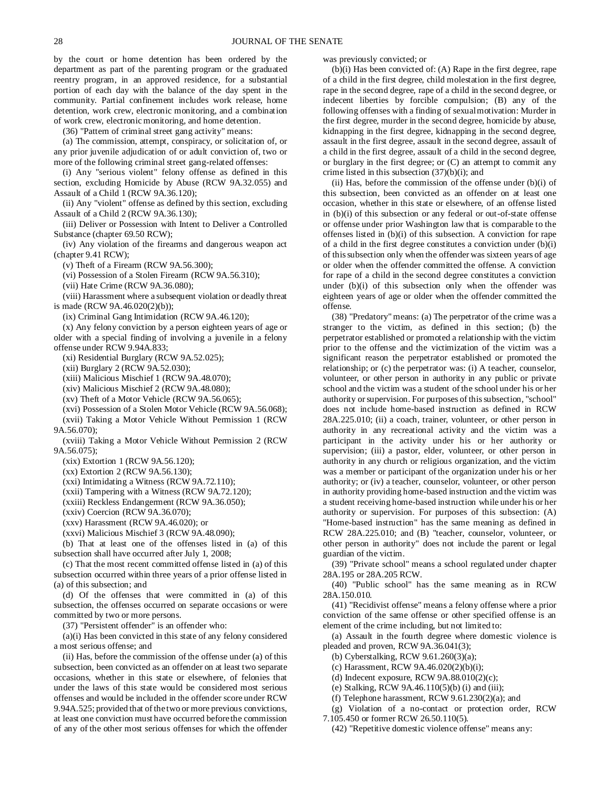by the court or home detention has been ordered by the department as part of the parenting program or the graduated reentry program, in an approved residence, for a substantial portion of each day with the balance of the day spent in the community. Partial confinement includes work release, home detention, work crew, electronic monitoring, and a combination of work crew, electronic monitoring, and home detention.

(36) "Pattern of criminal street gang activity" means:

(a) The commission, attempt, conspiracy, or solicitation of, or any prior juvenile adjudication of or adult conviction of, two or more of the following criminal street gang-related offenses:

(i) Any "serious violent" felony offense as defined in this section, excluding Homicide by Abuse (RCW 9A.32.055) and Assault of a Child 1 (RCW 9A.36.120);

(ii) Any "violent" offense as defined by this section, excluding Assault of a Child 2 (RCW 9A.36.130);

(iii) Deliver or Possession with Intent to Deliver a Controlled Substance (chapter 69.50 RCW);

(iv) Any violation of the firearms and dangerous weapon act (chapter 9.41 RCW);

(v) Theft of a Firearm (RCW 9A.56.300);

(vi) Possession of a Stolen Firearm (RCW 9A.56.310);

(vii) Hate Crime (RCW 9A.36.080);

(viii) Harassment where a subsequent violation or deadly threat is made (RCW 9A.46.020(2)(b));

(ix) Criminal Gang Intimidation (RCW 9A.46.120);

(x) Any felony conviction by a person eighteen years of age or older with a special finding of involving a juvenile in a felony offense under RCW 9.94A.833;

(xi) Residential Burglary (RCW 9A.52.025);

(xii) Burglary 2 (RCW 9A.52.030);

(xiii) Malicious Mischief 1 (RCW 9A.48.070);

(xiv) Malicious Mischief 2 (RCW 9A.48.080);

(xv) Theft of a Motor Vehicle (RCW 9A.56.065);

(xvi) Possession of a Stolen Motor Vehicle (RCW 9A.56.068); (xvii) Taking a Motor Vehicle Without Permission 1 (RCW 9A.56.070);

(xviii) Taking a Motor Vehicle Without Permission 2 (RCW 9A.56.075);

(xix) Extortion 1 (RCW 9A.56.120);

(xx) Extortion 2 (RCW 9A.56.130);

(xxi) Intimidating a Witness (RCW 9A.72.110);

(xxii) Tampering with a Witness (RCW 9A.72.120);

(xxiii) Reckless Endangerment (RCW 9A.36.050);

(xxiv) Coercion (RCW 9A.36.070);

(xxv) Harassment (RCW 9A.46.020); or

(xxvi) Malicious Mischief 3 (RCW 9A.48.090);

(b) That at least one of the offenses listed in (a) of this subsection shall have occurred after July 1, 2008;

(c) That the most recent committed offense listed in (a) of this subsection occurred within three years of a prior offense listed in (a) of this subsection; and

(d) Of the offenses that were committed in (a) of this subsection, the offenses occurred on separate occasions or were committed by two or more persons.

(37) "Persistent offender" is an offender who:

(a)(i) Has been convicted in this state of any felony considered a most serious offense; and

(ii) Has, before the commission of the offense under (a) of this subsection, been convicted as an offender on at least two separate occasions, whether in this state or elsewhere, of felonies that under the laws of this state would be considered most serious offenses and would be included in the offender score under RCW 9.94A.525; provided that of the two or more previous convictions, at least one conviction must have occurred before the commission of any of the other most serious offenses for which the offender was previously convicted; or

(b)(i) Has been convicted of: (A) Rape in the first degree, rape of a child in the first degree, child molestation in the first degree, rape in the second degree, rape of a child in the second degree, or indecent liberties by forcible compulsion; (B) any of the following offenses with a finding of sexual motivation: Murder in the first degree, murder in the second degree, homicide by abuse, kidnapping in the first degree, kidnapping in the second degree, assault in the first degree, assault in the second degree, assault of a child in the first degree, assault of a child in the second degree, or burglary in the first degree; or (C) an attempt to commit any crime listed in this subsection (37)(b)(i); and

(ii) Has, before the commission of the offense under (b)(i) of this subsection, been convicted as an offender on at least one occasion, whether in this state or elsewhere, of an offense listed in (b)(i) of this subsection or any federal or out-of-state offense or offense under prior Washington law that is comparable to the offenses listed in (b)(i) of this subsection. A conviction for rape of a child in the first degree constitutes a conviction under  $(b)(i)$ of this subsection only when the offender was sixteen years of age or older when the offender committed the offense. A conviction for rape of a child in the second degree constitutes a conviction under  $(b)(i)$  of this subsection only when the offender was eighteen years of age or older when the offender committed the offense.

(38) "Predatory" means: (a) The perpetrator of the crime was a stranger to the victim, as defined in this section; (b) the perpetrator established or promoted a relationship with the victim prior to the offense and the victimization of the victim was a significant reason the perpetrator established or promoted the relationship; or (c) the perpetrator was: (i) A teacher, counselor, volunteer, or other person in authority in any public or private school and the victim was a student of the school under his or her authority or supervision. For purposes of this subsection, "school" does not include home-based instruction as defined in RCW 28A.225.010; (ii) a coach, trainer, volunteer, or other person in authority in any recreational activity and the victim was a participant in the activity under his or her authority or supervision; (iii) a pastor, elder, volunteer, or other person in authority in any church or religious organization, and the victim was a member or participant of the organization under his or her authority; or (iv) a teacher, counselor, volunteer, or other person in authority providing home-based instruction and the victim was a student receiving home-based instruction while under his or her authority or supervision. For purposes of this subsection: (A) "Home-based instruction" has the same meaning as defined in RCW 28A.225.010; and (B) "teacher, counselor, volunteer, or other person in authority" does not include the parent or legal guardian of the victim.

(39) "Private school" means a school regulated under chapter 28A.195 or 28A.205 RCW.

(40) "Public school" has the same meaning as in RCW 28A.150.010.

(41) "Recidivist offense" means a felony offense where a prior conviction of the same offense or other specified offense is an element of the crime including, but not limited to:

(a) Assault in the fourth degree where domestic violence is pleaded and proven, RCW 9A.36.041(3);

(b) Cyberstalking, RCW 9.61.260(3)(a);

(c) Harassment, RCW 9A.46.020(2)(b)(i);

(d) Indecent exposure, RCW  $9A.88.010(2)(c)$ ;

(e) Stalking, RCW 9A.46.110(5)(b) (i) and (iii);

(f) Telephone harassment, RCW 9.61.230(2)(a); and

(g) Violation of a no-contact or protection order, RCW

7.105.450 or former RCW 26.50.110(5).

(42) "Repetitive domestic violence offense" means any: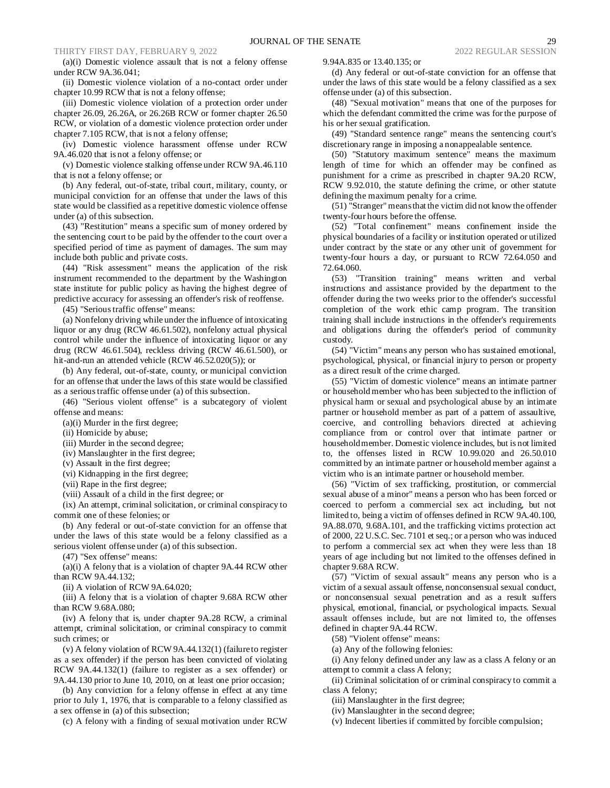(a)(i) Domestic violence assault that is not a felony offense under RCW 9A.36.041;

(ii) Domestic violence violation of a no-contact order under chapter 10.99 RCW that is not a felony offense;

(iii) Domestic violence violation of a protection order under chapter 26.09, 26.26A, or 26.26B RCW or former chapter 26.50 RCW, or violation of a domestic violence protection order under chapter 7.105 RCW, that is not a felony offense;

(iv) Domestic violence harassment offense under RCW 9A.46.020 that is not a felony offense; or

(v) Domestic violence stalking offense under RCW 9A.46.110 that is not a felony offense; or

(b) Any federal, out-of-state, tribal court, military, county, or municipal conviction for an offense that under the laws of this state would be classified as a repetitive domestic violence offense under (a) of this subsection.

(43) "Restitution" means a specific sum of money ordered by the sentencing court to be paid by the offender to the court over a specified period of time as payment of damages. The sum may include both public and private costs.

(44) "Risk assessment" means the application of the risk instrument recommended to the department by the Washington state institute for public policy as having the highest degree of predictive accuracy for assessing an offender's risk of reoffense.

(45) "Serious traffic offense" means:

(a) Nonfelony driving while under the influence of intoxicating liquor or any drug (RCW 46.61.502), nonfelony actual physical control while under the influence of intoxicating liquor or any drug (RCW 46.61.504), reckless driving (RCW 46.61.500), or hit-and-run an attended vehicle (RCW 46.52.020(5)); or

(b) Any federal, out-of-state, county, or municipal conviction for an offense that under the laws of this state would be classified as a serious traffic offense under (a) of this subsection.

(46) "Serious violent offense" is a subcategory of violent offense and means:

(a)(i) Murder in the first degree;

(ii) Homicide by abuse;

(iii) Murder in the second degree;

(iv) Manslaughter in the first degree;

(v) Assault in the first degree;

(vi) Kidnapping in the first degree;

(vii) Rape in the first degree;

(viii) Assault of a child in the first degree; or

(ix) An attempt, criminal solicitation, or criminal conspiracy to commit one of these felonies; or

(b) Any federal or out-of-state conviction for an offense that under the laws of this state would be a felony classified as a serious violent offense under (a) of this subsection.

(47) "Sex offense" means:

(a)(i) A felony that is a violation of chapter 9A.44 RCW other than RCW 9A.44.132;

(ii) A violation of RCW 9A.64.020;

(iii) A felony that is a violation of chapter 9.68A RCW other than RCW 9.68A.080;

(iv) A felony that is, under chapter 9A.28 RCW, a criminal attempt, criminal solicitation, or criminal conspiracy to commit such crimes; or

(v) A felony violation of RCW 9A.44.132(1) (failure to register as a sex offender) if the person has been convicted of violating RCW 9A.44.132(1) (failure to register as a sex offender) or 9A.44.130 prior to June 10, 2010, on at least one prior occasion;

(b) Any conviction for a felony offense in effect at any time prior to July 1, 1976, that is comparable to a felony classified as a sex offense in (a) of this subsection;

(c) A felony with a finding of sexual motivation under RCW

9.94A.835 or 13.40.135; or

(d) Any federal or out-of-state conviction for an offense that under the laws of this state would be a felony classified as a sex offense under (a) of this subsection.

(48) "Sexual motivation" means that one of the purposes for which the defendant committed the crime was for the purpose of his or her sexual gratification.

(49) "Standard sentence range" means the sentencing court's discretionary range in imposing a nonappealable sentence.

(50) "Statutory maximum sentence" means the maximum length of time for which an offender may be confined as punishment for a crime as prescribed in chapter 9A.20 RCW, RCW 9.92.010, the statute defining the crime, or other statute defining the maximum penalty for a crime.

(51) "Stranger" means that the victim did not know the offender twenty-four hours before the offense.

(52) "Total confinement" means confinement inside the physical boundaries of a facility or institution operated or utilized under contract by the state or any other unit of government for twenty-four hours a day, or pursuant to RCW 72.64.050 and 72.64.060.

(53) "Transition training" means written and verbal instructions and assistance provided by the department to the offender during the two weeks prior to the offender's successful completion of the work ethic camp program. The transition training shall include instructions in the offender's requirements and obligations during the offender's period of community custody.

(54) "Victim" means any person who has sustained emotional, psychological, physical, or financial injury to person or property as a direct result of the crime charged.

(55) "Victim of domestic violence" means an intimate partner or household member who has been subjected to the infliction of physical harm or sexual and psychological abuse by an intimate partner or household member as part of a pattern of assaultive, coercive, and controlling behaviors directed at achieving compliance from or control over that intimate partner or household member. Domestic violence includes, but is not limited to, the offenses listed in RCW 10.99.020 and 26.50.010 committed by an intimate partner or household member against a victim who is an intimate partner or household member.

(56) "Victim of sex trafficking, prostitution, or commercial sexual abuse of a minor" means a person who has been forced or coerced to perform a commercial sex act including, but not limited to, being a victim of offenses defined in RCW 9A.40.100, 9A.88.070, 9.68A.101, and the trafficking victims protection act of 2000, 22 U.S.C. Sec. 7101 et seq.; or a person who was induced to perform a commercial sex act when they were less than 18 years of age including but not limited to the offenses defined in chapter 9.68A RCW.

(57) "Victim of sexual assault" means any person who is a victim of a sexual assault offense, nonconsensual sexual conduct, or nonconsensual sexual penetration and as a result suffers physical, emotional, financial, or psychological impacts. Sexual assault offenses include, but are not limited to, the offenses defined in chapter 9A.44 RCW.

(58) "Violent offense" means:

(a) Any of the following felonies:

(i) Any felony defined under any law as a class A felony or an attempt to commit a class A felony;

(ii) Criminal solicitation of or criminal conspiracy to commit a class A felony;

(iii) Manslaughter in the first degree;

(iv) Manslaughter in the second degree;

(v) Indecent liberties if committed by forcible compulsion;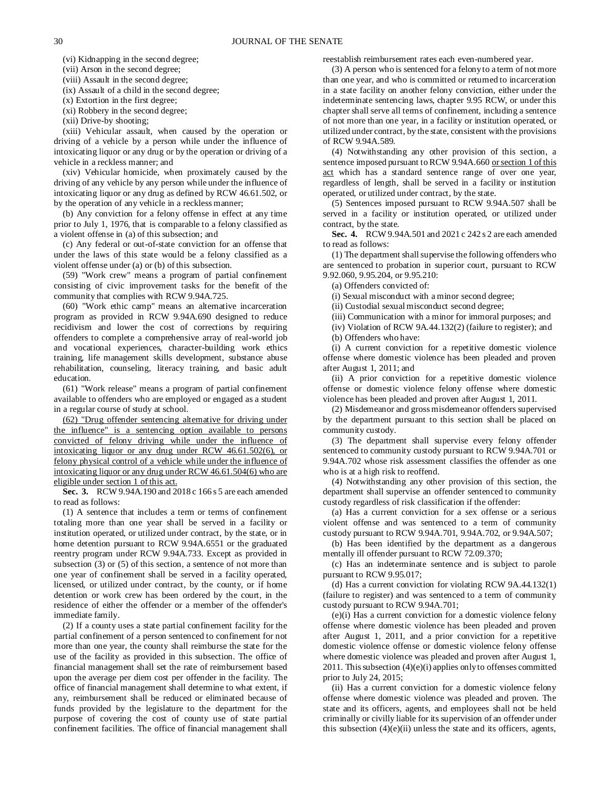(vi) Kidnapping in the second degree;

(vii) Arson in the second degree;

(viii) Assault in the second degree;

(ix) Assault of a child in the second degree;

(x) Extortion in the first degree;

(xi) Robbery in the second degree;

(xii) Drive-by shooting;

(xiii) Vehicular assault, when caused by the operation or driving of a vehicle by a person while under the influence of intoxicating liquor or any drug or by the operation or driving of a vehicle in a reckless manner; and

(xiv) Vehicular homicide, when proximately caused by the driving of any vehicle by any person while under the influence of intoxicating liquor or any drug as defined by RCW 46.61.502, or by the operation of any vehicle in a reckless manner;

(b) Any conviction for a felony offense in effect at any time prior to July 1, 1976, that is comparable to a felony classified as a violent offense in (a) of this subsection; and

(c) Any federal or out-of-state conviction for an offense that under the laws of this state would be a felony classified as a violent offense under (a) or (b) of this subsection.

(59) "Work crew" means a program of partial confinement consisting of civic improvement tasks for the benefit of the community that complies with RCW 9.94A.725.

(60) "Work ethic camp" means an alternative incarceration program as provided in RCW 9.94A.690 designed to reduce recidivism and lower the cost of corrections by requiring offenders to complete a comprehensive array of real-world job and vocational experiences, character-building work ethics training, life management skills development, substance abuse rehabilitation, counseling, literacy training, and basic adult education.

(61) "Work release" means a program of partial confinement available to offenders who are employed or engaged as a student in a regular course of study at school.

(62) "Drug offender sentencing alternative for driving under the influence" is a sentencing option available to persons convicted of felony driving while under the influence of intoxicating liquor or any drug under RCW 46.61.502(6), or felony physical control of a vehicle while under the influence of intoxicating liquor or any drug under RCW 46.61.504(6) who are eligible under section 1 of this act.

**Sec. 3.** RCW 9.94A.190 and 2018 c 166 s 5 are each amended to read as follows:

(1) A sentence that includes a term or terms of confinement totaling more than one year shall be served in a facility or institution operated, or utilized under contract, by the state, or in home detention pursuant to RCW 9.94A.6551 or the graduated reentry program under RCW 9.94A.733. Except as provided in subsection (3) or (5) of this section, a sentence of not more than one year of confinement shall be served in a facility operated, licensed, or utilized under contract, by the county, or if home detention or work crew has been ordered by the court, in the residence of either the offender or a member of the offender's immediate family.

(2) If a county uses a state partial confinement facility for the partial confinement of a person sentenced to confinement for not more than one year, the county shall reimburse the state for the use of the facility as provided in this subsection. The office of financial management shall set the rate of reimbursement based upon the average per diem cost per offender in the facility. The office of financial management shall determine to what extent, if any, reimbursement shall be reduced or eliminated because of funds provided by the legislature to the department for the purpose of covering the cost of county use of state partial confinement facilities. The office of financial management shall

reestablish reimbursement rates each even-numbered year.

(3) A person who is sentenced for a felony to a term of not more than one year, and who is committed or returned to incarceration in a state facility on another felony conviction, either under the indeterminate sentencing laws, chapter 9.95 RCW, or under this chapter shall serve all terms of confinement, including a sentence of not more than one year, in a facility or institution operated, or utilized under contract, by the state, consistent with the provisions of RCW 9.94A.589.

(4) Notwithstanding any other provision of this section, a sentence imposed pursuant to RCW 9.94A.660 or section 1 of this act which has a standard sentence range of over one year, regardless of length, shall be served in a facility or institution operated, or utilized under contract, by the state.

(5) Sentences imposed pursuant to RCW 9.94A.507 shall be served in a facility or institution operated, or utilized under contract, by the state.

**Sec. 4.** RCW 9.94A.501 and 2021 c 242 s 2 are each amended to read as follows:

(1) The department shall supervise the following offenders who are sentenced to probation in superior court, pursuant to RCW 9.92.060, 9.95.204, or 9.95.210:

(a) Offenders convicted of:

(i) Sexual misconduct with a minor second degree;

(ii) Custodial sexual misconduct second degree;

(iii) Communication with a minor for immoral purposes; and

(iv) Violation of RCW 9A.44.132(2) (failure to register); and (b) Offenders who have:

(i) A current conviction for a repetitive domestic violence offense where domestic violence has been pleaded and proven after August 1, 2011; and

(ii) A prior conviction for a repetitive domestic violence offense or domestic violence felony offense where domestic violence has been pleaded and proven after August 1, 2011.

(2) Misdemeanor and gross misdemeanor offenders supervised by the department pursuant to this section shall be placed on community custody.

(3) The department shall supervise every felony offender sentenced to community custody pursuant to RCW 9.94A.701 or 9.94A.702 whose risk assessment classifies the offender as one who is at a high risk to reoffend.

(4) Notwithstanding any other provision of this section, the department shall supervise an offender sentenced to community custody regardless of risk classification if the offender:

(a) Has a current conviction for a sex offense or a serious violent offense and was sentenced to a term of community custody pursuant to RCW 9.94A.701, 9.94A.702, or 9.94A.507;

(b) Has been identified by the department as a dangerous mentally ill offender pursuant to RCW 72.09.370;

(c) Has an indeterminate sentence and is subject to parole pursuant to RCW 9.95.017;

(d) Has a current conviction for violating RCW 9A.44.132(1) (failure to register) and was sentenced to a term of community custody pursuant to RCW 9.94A.701;

(e)(i) Has a current conviction for a domestic violence felony offense where domestic violence has been pleaded and proven after August 1, 2011, and a prior conviction for a repetitive domestic violence offense or domestic violence felony offense where domestic violence was pleaded and proven after August 1, 2011. This subsection (4)(e)(i) applies only to offenses committed prior to July 24, 2015;

(ii) Has a current conviction for a domestic violence felony offense where domestic violence was pleaded and proven. The state and its officers, agents, and employees shall not be held criminally or civilly liable for its supervision of an offender under this subsection  $(4)(e)(ii)$  unless the state and its officers, agents,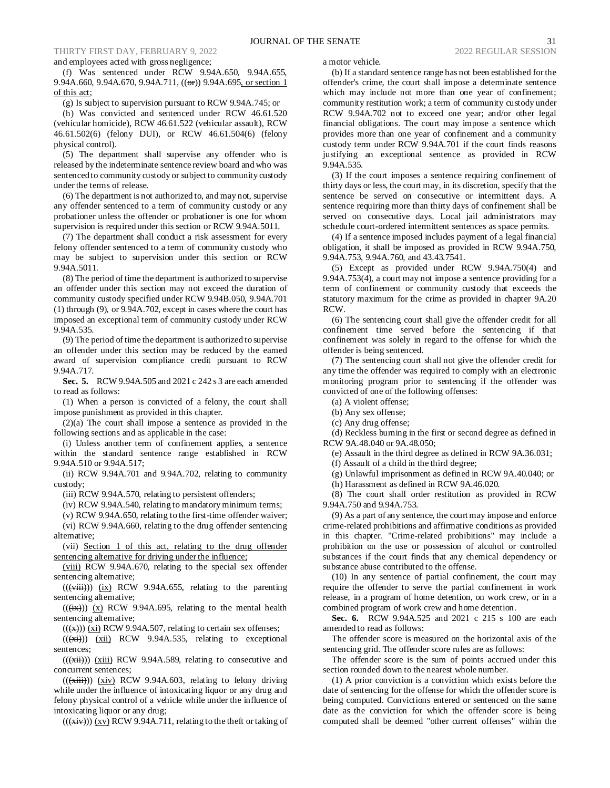and employees acted with gross negligence;

(f) Was sentenced under RCW 9.94A.650, 9.94A.655, 9.94A.660, 9.94A.670, 9.94A.711, ((or)) 9.94A.695, or section 1 of this act;

(g) Is subject to supervision pursuant to RCW 9.94A.745; or

(h) Was convicted and sentenced under RCW 46.61.520 (vehicular homicide), RCW 46.61.522 (vehicular assault), RCW 46.61.502(6) (felony DUI), or RCW 46.61.504(6) (felony physical control).

(5) The department shall supervise any offender who is released by the indeterminate sentence review board and who was sentenced to community custody or subject to community custody under the terms of release.

(6) The department is not authorized to, and may not, supervise any offender sentenced to a term of community custody or any probationer unless the offender or probationer is one for whom supervision is required under this section or RCW 9.94A.5011.

(7) The department shall conduct a risk assessment for every felony offender sentenced to a term of community custody who may be subject to supervision under this section or RCW 9.94A.5011.

(8) The period of time the department is authorized to supervise an offender under this section may not exceed the duration of community custody specified under RCW 9.94B.050, 9.94A.701 (1) through (9), or 9.94A.702, except in cases where the court has imposed an exceptional term of community custody under RCW 9.94A.535.

(9) The period of time the department is authorized to supervise an offender under this section may be reduced by the earned award of supervision compliance credit pursuant to RCW 9.94A.717.

**Sec. 5.** RCW 9.94A.505 and 2021 c 242 s 3 are each amended to read as follows:

(1) When a person is convicted of a felony, the court shall impose punishment as provided in this chapter.

(2)(a) The court shall impose a sentence as provided in the following sections and as applicable in the case:

(i) Unless another term of confinement applies, a sentence within the standard sentence range established in RCW 9.94A.510 or 9.94A.517;

(ii) RCW 9.94A.701 and 9.94A.702, relating to community custody;

(iii) RCW 9.94A.570, relating to persistent offenders;

(iv) RCW 9.94A.540, relating to mandatory minimum terms;

(v) RCW 9.94A.650, relating to the first-time offender waiver;

(vi) RCW 9.94A.660, relating to the drug offender sentencing alternative;

(vii) Section 1 of this act, relating to the drug offender sentencing alternative for driving under the influence;

(viii) RCW 9.94A.670, relating to the special sex offender sentencing alternative;

 $((\overrightarrow{viii}))$   $(ix)$  RCW 9.94A.655, relating to the parenting sentencing alternative;

 $((\overline{(ix)}))$   $(x)$  RCW 9.94A.695, relating to the mental health sentencing alternative;

 $((\nleftrightarrow))$  (xi) RCW 9.94A.507, relating to certain sex offenses;

 $((\overrightarrow{xx}))$   $(xii)$  RCW 9.94A.535, relating to exceptional sentences;

 $((\overrightarrow{xii}))$   $(\overrightarrow{xiii})$  RCW 9.94A.589, relating to consecutive and concurrent sentences;

 $((\overrightarrow{xiii}))$  (xiv) RCW 9.94A.603, relating to felony driving while under the influence of intoxicating liquor or any drug and felony physical control of a vehicle while under the influence of intoxicating liquor or any drug;

 $((\overline{(\overline{x}iv)}))$   $(\overline{x}v)$  RCW 9.94A.711, relating to the theft or taking of

a motor vehicle.

(b) If a standard sentence range has not been established for the offender's crime, the court shall impose a determinate sentence which may include not more than one year of confinement; community restitution work; a term of community custody under RCW 9.94A.702 not to exceed one year; and/or other legal financial obligations. The court may impose a sentence which provides more than one year of confinement and a community custody term under RCW 9.94A.701 if the court finds reasons justifying an exceptional sentence as provided in RCW 9.94A.535.

(3) If the court imposes a sentence requiring confinement of thirty days or less, the court may, in its discretion, specify that the sentence be served on consecutive or intermittent days. A sentence requiring more than thirty days of confinement shall be served on consecutive days. Local jail administrators may schedule court-ordered intermittent sentences as space permits.

(4) If a sentence imposed includes payment of a legal financial obligation, it shall be imposed as provided in RCW 9.94A.750, 9.94A.753, 9.94A.760, and 43.43.7541.

(5) Except as provided under RCW 9.94A.750(4) and 9.94A.753(4), a court may not impose a sentence providing for a term of confinement or community custody that exceeds the statutory maximum for the crime as provided in chapter 9A.20 RCW.

(6) The sentencing court shall give the offender credit for all confinement time served before the sentencing if that confinement was solely in regard to the offense for which the offender is being sentenced.

(7) The sentencing court shall not give the offender credit for any time the offender was required to comply with an electronic monitoring program prior to sentencing if the offender was convicted of one of the following offenses:

(a) A violent offense;

(b) Any sex offense;

(c) Any drug offense;

(d) Reckless burning in the first or second degree as defined in RCW 9A.48.040 or 9A.48.050;

(e) Assault in the third degree as defined in RCW 9A.36.031;

(f) Assault of a child in the third degree;

(g) Unlawful imprisonment as defined in RCW 9A.40.040; or

(h) Harassment as defined in RCW 9A.46.020.

(8) The court shall order restitution as provided in RCW 9.94A.750 and 9.94A.753.

(9) As a part of any sentence, the court may impose and enforce crime-related prohibitions and affirmative conditions as provided in this chapter. "Crime-related prohibitions" may include a prohibition on the use or possession of alcohol or controlled substances if the court finds that any chemical dependency or substance abuse contributed to the offense.

(10) In any sentence of partial confinement, the court may require the offender to serve the partial confinement in work release, in a program of home detention, on work crew, or in a combined program of work crew and home detention.

**Sec. 6.** RCW 9.94A.525 and 2021 c 215 s 100 are each amended to read as follows:

The offender score is measured on the horizontal axis of the sentencing grid. The offender score rules are as follows:

The offender score is the sum of points accrued under this section rounded down to the nearest whole number.

(1) A prior conviction is a conviction which exists before the date of sentencing for the offense for which the offender score is being computed. Convictions entered or sentenced on the same date as the conviction for which the offender score is being computed shall be deemed "other current offenses" within the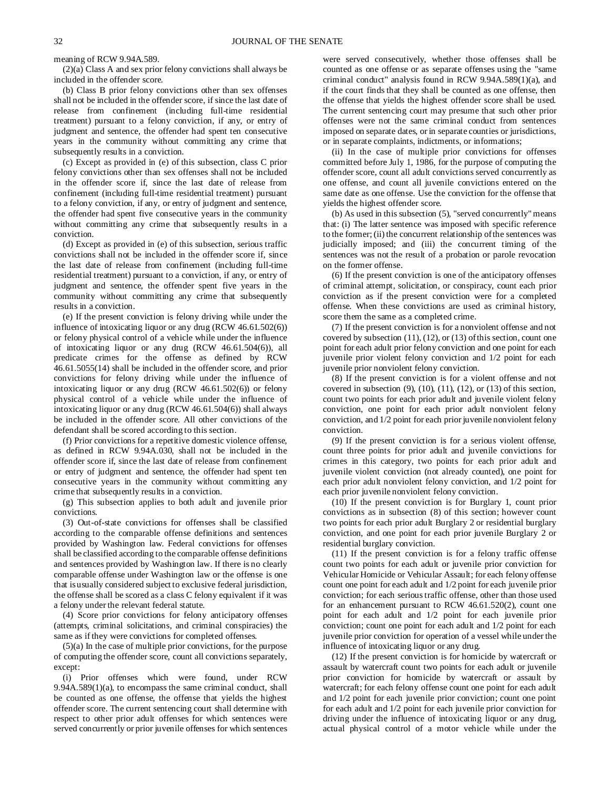meaning of RCW 9.94A.589.

(2)(a) Class A and sex prior felony convictions shall always be included in the offender score.

(b) Class B prior felony convictions other than sex offenses shall not be included in the offender score, if since the last date of release from confinement (including full-time residential treatment) pursuant to a felony conviction, if any, or entry of judgment and sentence, the offender had spent ten consecutive years in the community without committing any crime that subsequently results in a conviction.

(c) Except as provided in (e) of this subsection, class C prior felony convictions other than sex offenses shall not be included in the offender score if, since the last date of release from confinement (including full-time residential treatment) pursuant to a felony conviction, if any, or entry of judgment and sentence, the offender had spent five consecutive years in the community without committing any crime that subsequently results in a conviction.

(d) Except as provided in (e) of this subsection, serious traffic convictions shall not be included in the offender score if, since the last date of release from confinement (including full-time residential treatment) pursuant to a conviction, if any, or entry of judgment and sentence, the offender spent five years in the community without committing any crime that subsequently results in a conviction.

(e) If the present conviction is felony driving while under the influence of intoxicating liquor or any drug (RCW 46.61.502(6)) or felony physical control of a vehicle while under the influence of intoxicating liquor or any drug (RCW 46.61.504(6)), all predicate crimes for the offense as defined by RCW 46.61.5055(14) shall be included in the offender score, and prior convictions for felony driving while under the influence of intoxicating liquor or any drug (RCW 46.61.502(6)) or felony physical control of a vehicle while under the influence of intoxicating liquor or any drug (RCW 46.61.504(6)) shall always be included in the offender score. All other convictions of the defendant shall be scored according to this section.

(f) Prior convictions for a repetitive domestic violence offense, as defined in RCW 9.94A.030, shall not be included in the offender score if, since the last date of release from confinement or entry of judgment and sentence, the offender had spent ten consecutive years in the community without committing any crime that subsequently results in a conviction.

(g) This subsection applies to both adult and juvenile prior convictions.

(3) Out-of-state convictions for offenses shall be classified according to the comparable offense definitions and sentences provided by Washington law. Federal convictions for offenses shall be classified according to the comparable offense definitions and sentences provided by Washington law. If there is no clearly comparable offense under Washington law or the offense is one that is usually considered subject to exclusive federal jurisdiction, the offense shall be scored as a class C felony equivalent if it was a felony under the relevant federal statute.

(4) Score prior convictions for felony anticipatory offenses (attempts, criminal solicitations, and criminal conspiracies) the same as if they were convictions for completed offenses.

(5)(a) In the case of multiple prior convictions, for the purpose of computing the offender score, count all convictions separately, except:

(i) Prior offenses which were found, under RCW 9.94A.589(1)(a), to encompass the same criminal conduct, shall be counted as one offense, the offense that yields the highest offender score. The current sentencing court shall determine with respect to other prior adult offenses for which sentences were served concurrently or prior juvenile offenses for which sentences were served consecutively, whether those offenses shall be counted as one offense or as separate offenses using the "same criminal conduct" analysis found in RCW 9.94A.589(1)(a), and if the court finds that they shall be counted as one offense, then the offense that yields the highest offender score shall be used. The current sentencing court may presume that such other prior offenses were not the same criminal conduct from sentences imposed on separate dates, or in separate counties or jurisdictions, or in separate complaints, indictments, or informations;

(ii) In the case of multiple prior convictions for offenses committed before July 1, 1986, for the purpose of computing the offender score, count all adult convictions served concurrently as one offense, and count all juvenile convictions entered on the same date as one offense. Use the conviction for the offense that yields the highest offender score.

(b) As used in this subsection (5), "served concurrently" means that: (i) The latter sentence was imposed with specific reference to the former; (ii) the concurrent relationship of the sentences was judicially imposed; and (iii) the concurrent timing of the sentences was not the result of a probation or parole revocation on the former offense.

(6) If the present conviction is one of the anticipatory offenses of criminal attempt, solicitation, or conspiracy, count each prior conviction as if the present conviction were for a completed offense. When these convictions are used as criminal history, score them the same as a completed crime.

(7) If the present conviction is for a nonviolent offense and not covered by subsection (11), (12), or (13) of this section, count one point for each adult prior felony conviction and one point for each juvenile prior violent felony conviction and 1/2 point for each juvenile prior nonviolent felony conviction.

(8) If the present conviction is for a violent offense and not covered in subsection  $(9)$ ,  $(10)$ ,  $(11)$ ,  $(12)$ , or  $(13)$  of this section, count two points for each prior adult and juvenile violent felony conviction, one point for each prior adult nonviolent felony conviction, and 1/2 point for each prior juvenile nonviolent felony conviction.

(9) If the present conviction is for a serious violent offense, count three points for prior adult and juvenile convictions for crimes in this category, two points for each prior adult and juvenile violent conviction (not already counted), one point for each prior adult nonviolent felony conviction, and 1/2 point for each prior juvenile nonviolent felony conviction.

(10) If the present conviction is for Burglary 1, count prior convictions as in subsection (8) of this section; however count two points for each prior adult Burglary 2 or residential burglary conviction, and one point for each prior juvenile Burglary 2 or residential burglary conviction.

(11) If the present conviction is for a felony traffic offense count two points for each adult or juvenile prior conviction for Vehicular Homicide or Vehicular Assault; for each felony offense count one point for each adult and 1/2 point for each juvenile prior conviction; for each serious traffic offense, other than those used for an enhancement pursuant to RCW 46.61.520(2), count one point for each adult and 1/2 point for each juvenile prior conviction; count one point for each adult and 1/2 point for each juvenile prior conviction for operation of a vessel while under the influence of intoxicating liquor or any drug.

(12) If the present conviction is for homicide by watercraft or assault by watercraft count two points for each adult or juvenile prior conviction for homicide by watercraft or assault by watercraft; for each felony offense count one point for each adult and 1/2 point for each juvenile prior conviction; count one point for each adult and 1/2 point for each juvenile prior conviction for driving under the influence of intoxicating liquor or any drug, actual physical control of a motor vehicle while under the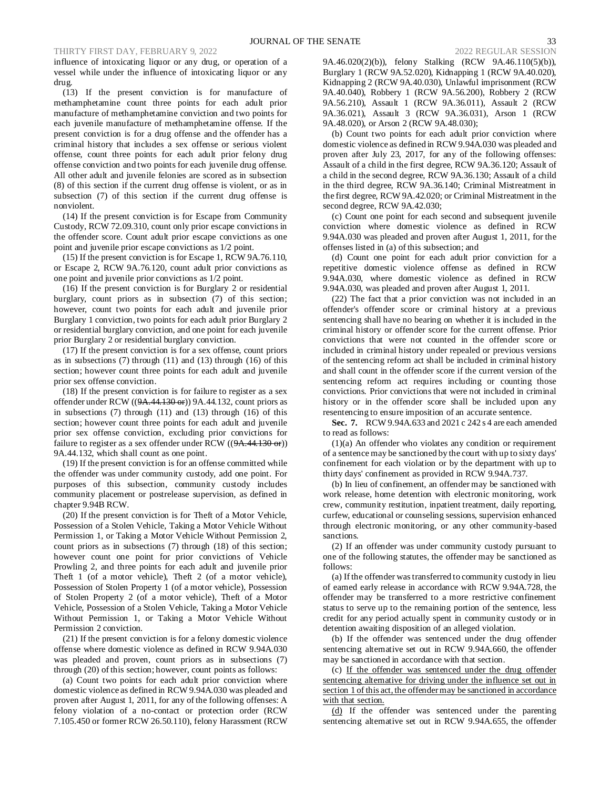influence of intoxicating liquor or any drug, or operation of a vessel while under the influence of intoxicating liquor or any drug.

(13) If the present conviction is for manufacture of methamphetamine count three points for each adult prior manufacture of methamphetamine conviction and two points for each juvenile manufacture of methamphetamine offense. If the present conviction is for a drug offense and the offender has a criminal history that includes a sex offense or serious violent offense, count three points for each adult prior felony drug offense conviction and two points for each juvenile drug offense. All other adult and juvenile felonies are scored as in subsection (8) of this section if the current drug offense is violent, or as in subsection (7) of this section if the current drug offense is nonviolent.

(14) If the present conviction is for Escape from Community Custody, RCW 72.09.310, count only prior escape convictions in the offender score. Count adult prior escape convictions as one point and juvenile prior escape convictions as 1/2 point.

(15) If the present conviction is for Escape 1, RCW 9A.76.110, or Escape 2, RCW 9A.76.120, count adult prior convictions as one point and juvenile prior convictions as 1/2 point.

(16) If the present conviction is for Burglary 2 or residential burglary, count priors as in subsection (7) of this section; however, count two points for each adult and juvenile prior Burglary 1 conviction, two points for each adult prior Burglary 2 or residential burglary conviction, and one point for each juvenile prior Burglary 2 or residential burglary conviction.

(17) If the present conviction is for a sex offense, count priors as in subsections (7) through (11) and (13) through (16) of this section; however count three points for each adult and juvenile prior sex offense conviction.

(18) If the present conviction is for failure to register as a sex offender under RCW  $((9A.44.130 \text{ or}))$  9A.44.132, count priors as in subsections  $(7)$  through  $(11)$  and  $(13)$  through  $(16)$  of this section; however count three points for each adult and juvenile prior sex offense conviction, excluding prior convictions for failure to register as a sex offender under RCW ((9A.44.130 or)) 9A.44.132, which shall count as one point.

(19) If the present conviction is for an offense committed while the offender was under community custody, add one point. For purposes of this subsection, community custody includes community placement or postrelease supervision, as defined in chapter 9.94B RCW.

(20) If the present conviction is for Theft of a Motor Vehicle, Possession of a Stolen Vehicle, Taking a Motor Vehicle Without Permission 1, or Taking a Motor Vehicle Without Permission 2, count priors as in subsections (7) through (18) of this section; however count one point for prior convictions of Vehicle Prowling 2, and three points for each adult and juvenile prior Theft 1 (of a motor vehicle), Theft 2 (of a motor vehicle), Possession of Stolen Property 1 (of a motor vehicle), Possession of Stolen Property 2 (of a motor vehicle), Theft of a Motor Vehicle, Possession of a Stolen Vehicle, Taking a Motor Vehicle Without Permission 1, or Taking a Motor Vehicle Without Permission 2 conviction.

(21) If the present conviction is for a felony domestic violence offense where domestic violence as defined in RCW 9.94A.030 was pleaded and proven, count priors as in subsections (7) through (20) of this section; however, count points as follows:

(a) Count two points for each adult prior conviction where domestic violence as defined in RCW 9.94A.030 was pleaded and proven after August 1, 2011, for any of the following offenses: A felony violation of a no-contact or protection order (RCW 7.105.450 or former RCW 26.50.110), felony Harassment (RCW

9A.46.020(2)(b)), felony Stalking (RCW 9A.46.110(5)(b)), Burglary 1 (RCW 9A.52.020), Kidnapping 1 (RCW 9A.40.020), Kidnapping 2 (RCW 9A.40.030), Unlawful imprisonment (RCW 9A.40.040), Robbery 1 (RCW 9A.56.200), Robbery 2 (RCW 9A.56.210), Assault 1 (RCW 9A.36.011), Assault 2 (RCW 9A.36.021), Assault 3 (RCW 9A.36.031), Arson 1 (RCW 9A.48.020), or Arson 2 (RCW 9A.48.030);

(b) Count two points for each adult prior conviction where domestic violence as defined in RCW 9.94A.030 was pleaded and proven after July 23, 2017, for any of the following offenses: Assault of a child in the first degree, RCW 9A.36.120; Assault of a child in the second degree, RCW 9A.36.130; Assault of a child in the third degree, RCW 9A.36.140; Criminal Mistreatment in the first degree, RCW 9A.42.020; or Criminal Mistreatment in the second degree, RCW 9A.42.030;

(c) Count one point for each second and subsequent juvenile conviction where domestic violence as defined in RCW 9.94A.030 was pleaded and proven after August 1, 2011, for the offenses listed in (a) of this subsection; and

(d) Count one point for each adult prior conviction for a repetitive domestic violence offense as defined in RCW 9.94A.030, where domestic violence as defined in RCW 9.94A.030, was pleaded and proven after August 1, 2011.

(22) The fact that a prior conviction was not included in an offender's offender score or criminal history at a previous sentencing shall have no bearing on whether it is included in the criminal history or offender score for the current offense. Prior convictions that were not counted in the offender score or included in criminal history under repealed or previous versions of the sentencing reform act shall be included in criminal history and shall count in the offender score if the current version of the sentencing reform act requires including or counting those convictions. Prior convictions that were not included in criminal history or in the offender score shall be included upon any resentencing to ensure imposition of an accurate sentence.

**Sec. 7.** RCW 9.94A.633 and 2021 c 242 s 4 are each amended to read as follows:

(1)(a) An offender who violates any condition or requirement of a sentence may be sanctioned by the court with up to sixty days' confinement for each violation or by the department with up to thirty days' confinement as provided in RCW 9.94A.737.

(b) In lieu of confinement, an offender may be sanctioned with work release, home detention with electronic monitoring, work crew, community restitution, inpatient treatment, daily reporting, curfew, educational or counseling sessions, supervision enhanced through electronic monitoring, or any other community-based sanctions.

(2) If an offender was under community custody pursuant to one of the following statutes, the offender may be sanctioned as follows:

(a) If the offender was transferred to community custody in lieu of earned early release in accordance with RCW 9.94A.728, the offender may be transferred to a more restrictive confinement status to serve up to the remaining portion of the sentence, less credit for any period actually spent in community custody or in detention awaiting disposition of an alleged violation.

(b) If the offender was sentenced under the drug offender sentencing alternative set out in RCW 9.94A.660, the offender may be sanctioned in accordance with that section.

(c) If the offender was sentenced under the drug offender sentencing alternative for driving under the influence set out in section 1 of this act, the offender may be sanctioned in accordance with that section.

(d) If the offender was sentenced under the parenting sentencing alternative set out in RCW 9.94A.655, the offender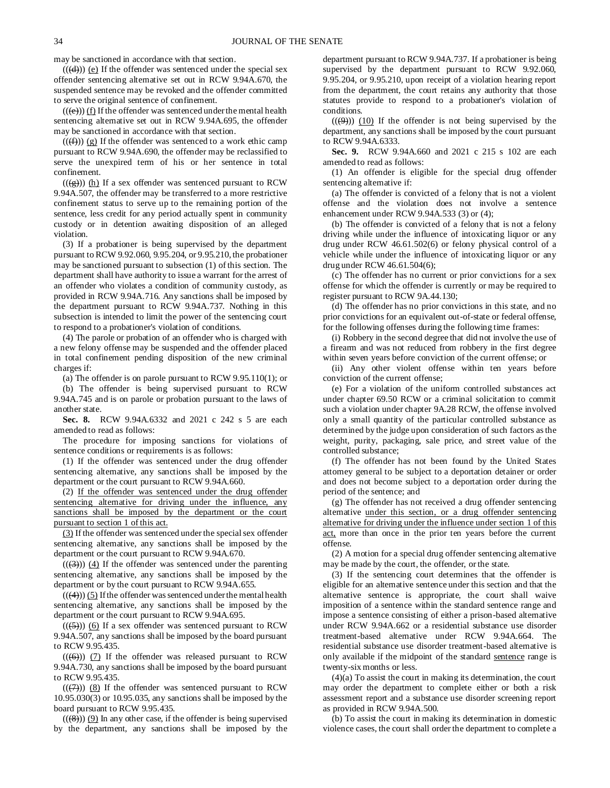may be sanctioned in accordance with that section.

 $((\text{(d)}))$  (e) If the offender was sentenced under the special sex offender sentencing alternative set out in RCW 9.94A.670, the suspended sentence may be revoked and the offender committed to serve the original sentence of confinement.

 $(( (e)) ) (f)$  If the offender was sentenced under the mental health sentencing alternative set out in RCW 9.94A.695, the offender may be sanctioned in accordance with that section.

 $((\text{f})))$  (g) If the offender was sentenced to a work ethic camp pursuant to RCW 9.94A.690, the offender may be reclassified to serve the unexpired term of his or her sentence in total confinement.

 $((\frac{1}{(2)}))$  (h) If a sex offender was sentenced pursuant to RCW 9.94A.507, the offender may be transferred to a more restrictive confinement status to serve up to the remaining portion of the sentence, less credit for any period actually spent in community custody or in detention awaiting disposition of an alleged violation.

(3) If a probationer is being supervised by the department pursuant to RCW 9.92.060, 9.95.204, or 9.95.210, the probationer may be sanctioned pursuant to subsection (1) of this section. The department shall have authority to issue a warrant for the arrest of an offender who violates a condition of community custody, as provided in RCW 9.94A.716. Any sanctions shall be imposed by the department pursuant to RCW 9.94A.737. Nothing in this subsection is intended to limit the power of the sentencing court to respond to a probationer's violation of conditions.

(4) The parole or probation of an offender who is charged with a new felony offense may be suspended and the offender placed in total confinement pending disposition of the new criminal charges if:

(a) The offender is on parole pursuant to RCW 9.95.110(1); or

(b) The offender is being supervised pursuant to RCW 9.94A.745 and is on parole or probation pursuant to the laws of another state.

**Sec. 8.** RCW 9.94A.6332 and 2021 c 242 s 5 are each amended to read as follows:

The procedure for imposing sanctions for violations of sentence conditions or requirements is as follows:

(1) If the offender was sentenced under the drug offender sentencing alternative, any sanctions shall be imposed by the department or the court pursuant to RCW 9.94A.660.

(2) If the offender was sentenced under the drug offender sentencing alternative for driving under the influence, any sanctions shall be imposed by the department or the court pursuant to section 1 of this act.

(3) If the offender was sentenced under the special sex offender sentencing alternative, any sanctions shall be imposed by the department or the court pursuant to RCW 9.94A.670.

 $((\langle 3 \rangle))$  (4) If the offender was sentenced under the parenting sentencing alternative, any sanctions shall be imposed by the department or by the court pursuant to RCW 9.94A.655.

 $((\langle 4 \rangle)(5)$  If the offender was sentenced under the mental health sentencing alternative, any sanctions shall be imposed by the department or the court pursuant to RCW 9.94A.695.

 $((\left(5\right)))$  (6) If a sex offender was sentenced pursuant to RCW 9.94A.507, any sanctions shall be imposed by the board pursuant to RCW 9.95.435.

 $((\left(\overline{\Theta}\right)))$  (7) If the offender was released pursuant to RCW 9.94A.730, any sanctions shall be imposed by the board pursuant to RCW 9.95.435.

 $((\overline{(7)}))$  (8) If the offender was sentenced pursuant to RCW 10.95.030(3) or 10.95.035, any sanctions shall be imposed by the board pursuant to RCW 9.95.435.

 $((\langle 8 \rangle))$  (9) In any other case, if the offender is being supervised by the department, any sanctions shall be imposed by the department pursuant to RCW 9.94A.737. If a probationer is being supervised by the department pursuant to RCW 9.92.060, 9.95.204, or 9.95.210, upon receipt of a violation hearing report from the department, the court retains any authority that those statutes provide to respond to a probationer's violation of conditions.

 $((\Theta))$  (10) If the offender is not being supervised by the department, any sanctions shall be imposed by the court pursuant to RCW 9.94A.6333.

**Sec. 9.** RCW 9.94A.660 and 2021 c 215 s 102 are each amended to read as follows:

(1) An offender is eligible for the special drug offender sentencing alternative if:

(a) The offender is convicted of a felony that is not a violent offense and the violation does not involve a sentence enhancement under RCW 9.94A.533 (3) or (4);

(b) The offender is convicted of a felony that is not a felony driving while under the influence of intoxicating liquor or any drug under RCW 46.61.502(6) or felony physical control of a vehicle while under the influence of intoxicating liquor or any drug under RCW 46.61.504(6);

(c) The offender has no current or prior convictions for a sex offense for which the offender is currently or may be required to register pursuant to RCW 9A.44.130;

(d) The offender has no prior convictions in this state, and no prior convictions for an equivalent out-of-state or federal offense, for the following offenses during the following time frames:

(i) Robbery in the second degree that did not involve the use of a firearm and was not reduced from robbery in the first degree within seven years before conviction of the current offense; or

(ii) Any other violent offense within ten years before conviction of the current offense;

(e) For a violation of the uniform controlled substances act under chapter 69.50 RCW or a criminal solicitation to commit such a violation under chapter 9A.28 RCW, the offense involved only a small quantity of the particular controlled substance as determined by the judge upon consideration of such factors as the weight, purity, packaging, sale price, and street value of the controlled substance;

(f) The offender has not been found by the United States attorney general to be subject to a deportation detainer or order and does not become subject to a deportation order during the period of the sentence; and

(g) The offender has not received a drug offender sentencing alternative under this section, or a drug offender sentencing alternative for driving under the influence under section 1 of this act, more than once in the prior ten years before the current offense.

(2) A motion for a special drug offender sentencing alternative may be made by the court, the offender, or the state.

(3) If the sentencing court determines that the offender is eligible for an alternative sentence under this section and that the alternative sentence is appropriate, the court shall waive imposition of a sentence within the standard sentence range and impose a sentence consisting of either a prison-based alternative under RCW 9.94A.662 or a residential substance use disorder treatment-based alternative under RCW 9.94A.664. The residential substance use disorder treatment-based alternative is only available if the midpoint of the standard sentence range is twenty-six months or less.

(4)(a) To assist the court in making its determination, the court may order the department to complete either or both a risk assessment report and a substance use disorder screening report as provided in RCW 9.94A.500.

(b) To assist the court in making its determination in domestic violence cases, the court shall order the department to complete a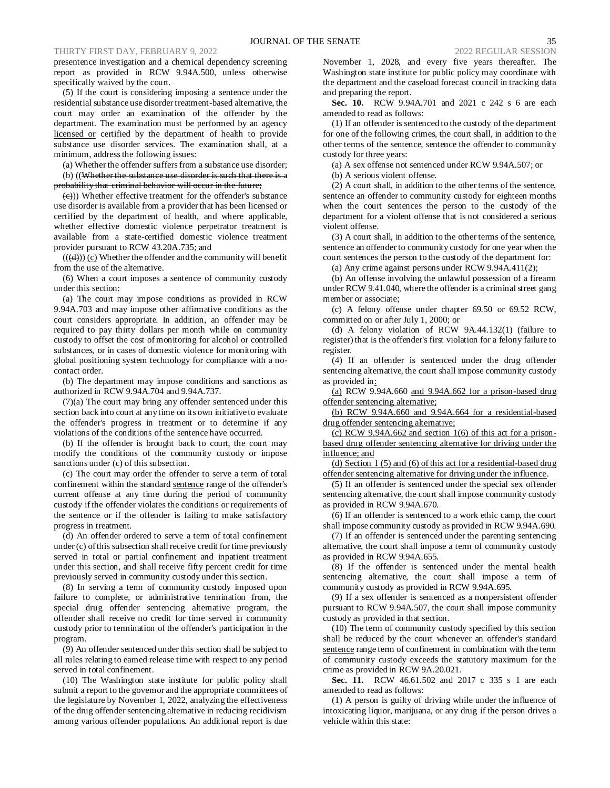presentence investigation and a chemical dependency screening report as provided in RCW 9.94A.500, unless otherwise specifically waived by the court.

(5) If the court is considering imposing a sentence under the residential substance use disorder treatment-based alternative, the court may order an examination of the offender by the department. The examination must be performed by an agency licensed or certified by the department of health to provide substance use disorder services. The examination shall, at a minimum, address the following issues:

(a) Whether the offender suffers from a substance use disorder; (b) ((Whether the substance use disorder is such that there is a probability that criminal behavior will occur in the future;

 $\left(\frac{e}{c}\right)$ )) Whether effective treatment for the offender's substance use disorder is available from a provider that has been licensed or certified by the department of health, and where applicable, whether effective domestic violence perpetrator treatment is available from a state-certified domestic violence treatment provider pursuant to RCW 43.20A.735; and

 $((\langle d \rangle))$  (c) Whether the offender and the community will benefit from the use of the alternative.

(6) When a court imposes a sentence of community custody under this section:

(a) The court may impose conditions as provided in RCW 9.94A.703 and may impose other affirmative conditions as the court considers appropriate. In addition, an offender may be required to pay thirty dollars per month while on community custody to offset the cost of monitoring for alcohol or controlled substances, or in cases of domestic violence for monitoring with global positioning system technology for compliance with a nocontact order.

(b) The department may impose conditions and sanctions as authorized in RCW 9.94A.704 and 9.94A.737.

(7)(a) The court may bring any offender sentenced under this section back into court at any time on its own initiative to evaluate the offender's progress in treatment or to determine if any violations of the conditions of the sentence have occurred.

(b) If the offender is brought back to court, the court may modify the conditions of the community custody or impose sanctions under (c) of this subsection.

(c) The court may order the offender to serve a term of total confinement within the standard sentence range of the offender's current offense at any time during the period of community custody if the offender violates the conditions or requirements of the sentence or if the offender is failing to make satisfactory progress in treatment.

(d) An offender ordered to serve a term of total confinement under (c) of this subsection shall receive credit for time previously served in total or partial confinement and inpatient treatment under this section, and shall receive fifty percent credit for time previously served in community custody under this section.

(8) In serving a term of community custody imposed upon failure to complete, or administrative termination from, the special drug offender sentencing alternative program, the offender shall receive no credit for time served in community custody prior to termination of the offender's participation in the program.

(9) An offender sentenced under this section shall be subject to all rules relating to earned release time with respect to any period served in total confinement.

(10) The Washington state institute for public policy shall submit a report to the governor and the appropriate committees of the legislature by November 1, 2022, analyzing the effectiveness of the drug offender sentencing alternative in reducing recidivism among various offender populations. An additional report is due

November 1, 2028, and every five years thereafter. The Washington state institute for public policy may coordinate with the department and the caseload forecast council in tracking data and preparing the report.

**Sec. 10.** RCW 9.94A.701 and 2021 c 242 s 6 are each amended to read as follows:

(1) If an offender is sentenced to the custody of the department for one of the following crimes, the court shall, in addition to the other terms of the sentence, sentence the offender to community custody for three years:

(a) A sex offense not sentenced under RCW 9.94A.507; or

(b) A serious violent offense.

(2) A court shall, in addition to the other terms of the sentence, sentence an offender to community custody for eighteen months when the court sentences the person to the custody of the department for a violent offense that is not considered a serious violent offense.

(3) A court shall, in addition to the other terms of the sentence, sentence an offender to community custody for one year when the court sentences the person to the custody of the department for:

(a) Any crime against persons under RCW 9.94A.411(2);

(b) An offense involving the unlawful possession of a firearm under RCW 9.41.040, where the offender is a criminal street gang member or associate;

(c) A felony offense under chapter 69.50 or 69.52 RCW, committed on or after July 1, 2000; or

(d) A felony violation of RCW 9A.44.132(1) (failure to register) that is the offender's first violation for a felony failure to register.

(4) If an offender is sentenced under the drug offender sentencing alternative, the court shall impose community custody as provided in:

(a) RCW 9.94A.660 and 9.94A.662 for a prison-based drug offender sentencing alternative;

(b) RCW 9.94A.660 and 9.94A.664 for a residential-based drug offender sentencing alternative;

(c) RCW 9.94A.662 and section  $1(6)$  of this act for a prisonbased drug offender sentencing alternative for driving under the influence; and

(d) Section 1 (5) and (6) of this act for a residential-based drug offender sentencing alternative for driving under the influence.

(5) If an offender is sentenced under the special sex offender sentencing alternative, the court shall impose community custody as provided in RCW 9.94A.670.

(6) If an offender is sentenced to a work ethic camp, the court shall impose community custody as provided in RCW 9.94A.690.

(7) If an offender is sentenced under the parenting sentencing alternative, the court shall impose a term of community custody as provided in RCW 9.94A.655.

(8) If the offender is sentenced under the mental health sentencing alternative, the court shall impose a term of community custody as provided in RCW 9.94A.695.

(9) If a sex offender is sentenced as a nonpersistent offender pursuant to RCW 9.94A.507, the court shall impose community custody as provided in that section.

(10) The term of community custody specified by this section shall be reduced by the court whenever an offender's standard sentence range term of confinement in combination with the term of community custody exceeds the statutory maximum for the crime as provided in RCW 9A.20.021.

**Sec. 11.** RCW 46.61.502 and 2017 c 335 s 1 are each amended to read as follows:

(1) A person is guilty of driving while under the influence of intoxicating liquor, marijuana, or any drug if the person drives a vehicle within this state: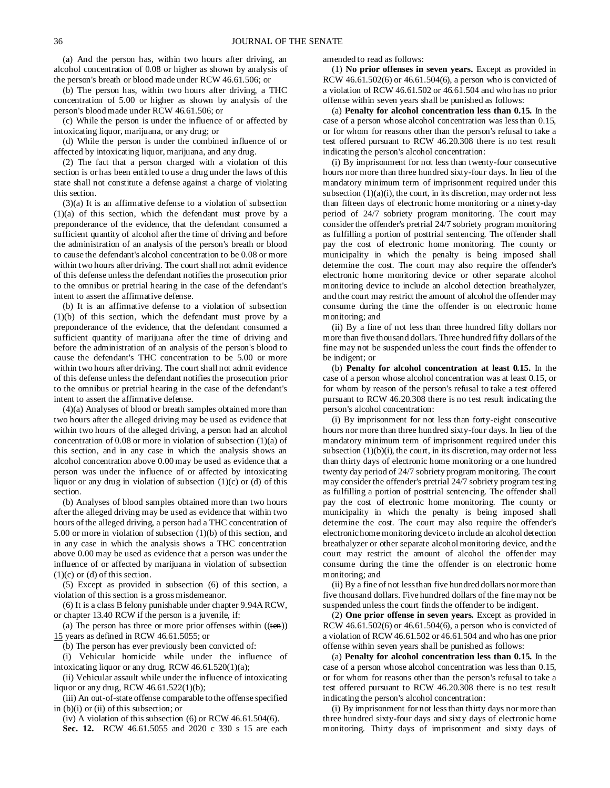(a) And the person has, within two hours after driving, an alcohol concentration of 0.08 or higher as shown by analysis of the person's breath or blood made under RCW 46.61.506; or

(b) The person has, within two hours after driving, a THC concentration of 5.00 or higher as shown by analysis of the person's blood made under RCW 46.61.506; or

(c) While the person is under the influence of or affected by intoxicating liquor, marijuana, or any drug; or

(d) While the person is under the combined influence of or affected by intoxicating liquor, marijuana, and any drug.

(2) The fact that a person charged with a violation of this section is or has been entitled to use a drug under the laws of this state shall not constitute a defense against a charge of violating this section.

(3)(a) It is an affirmative defense to a violation of subsection (1)(a) of this section, which the defendant must prove by a preponderance of the evidence, that the defendant consumed a sufficient quantity of alcohol after the time of driving and before the administration of an analysis of the person's breath or blood to cause the defendant's alcohol concentration to be 0.08 or more within two hours after driving. The court shall not admit evidence of this defense unless the defendant notifies the prosecution prior to the omnibus or pretrial hearing in the case of the defendant's intent to assert the affirmative defense.

(b) It is an affirmative defense to a violation of subsection (1)(b) of this section, which the defendant must prove by a preponderance of the evidence, that the defendant consumed a sufficient quantity of marijuana after the time of driving and before the administration of an analysis of the person's blood to cause the defendant's THC concentration to be 5.00 or more within two hours after driving. The court shall not admit evidence of this defense unless the defendant notifies the prosecution prior to the omnibus or pretrial hearing in the case of the defendant's intent to assert the affirmative defense.

(4)(a) Analyses of blood or breath samples obtained more than two hours after the alleged driving may be used as evidence that within two hours of the alleged driving, a person had an alcohol concentration of 0.08 or more in violation of subsection (1)(a) of this section, and in any case in which the analysis shows an alcohol concentration above 0.00 may be used as evidence that a person was under the influence of or affected by intoxicating liquor or any drug in violation of subsection (1)(c) or (d) of this section.

(b) Analyses of blood samples obtained more than two hours after the alleged driving may be used as evidence that within two hours of the alleged driving, a person had a THC concentration of 5.00 or more in violation of subsection (1)(b) of this section, and in any case in which the analysis shows a THC concentration above 0.00 may be used as evidence that a person was under the influence of or affected by marijuana in violation of subsection  $(1)(c)$  or  $(d)$  of this section.

(5) Except as provided in subsection (6) of this section, a violation of this section is a gross misdemeanor.

(6) It is a class B felony punishable under chapter 9.94A RCW, or chapter 13.40 RCW if the person is a juvenile, if:

(a) The person has three or more prior offenses within  $((*ten*))$ 15 years as defined in RCW 46.61.5055; or

(b) The person has ever previously been convicted of:

(i) Vehicular homicide while under the influence of intoxicating liquor or any drug, RCW 46.61.520(1)(a);

(ii) Vehicular assault while under the influence of intoxicating liquor or any drug, RCW 46.61.522(1)(b);

(iii) An out-of-state offense comparable to the offense specified in (b)(i) or (ii) of this subsection; or

(iv) A violation of this subsection  $(6)$  or RCW 46.61.504 $(6)$ .

**Sec. 12.** RCW 46.61.5055 and 2020 c 330 s 15 are each

amended to read as follows:

(1) **No prior offenses in seven years.** Except as provided in RCW 46.61.502(6) or 46.61.504(6), a person who is convicted of a violation of RCW 46.61.502 or 46.61.504 and who has no prior offense within seven years shall be punished as follows:

(a) **Penalty for alcohol concentration less than 0.15.** In the case of a person whose alcohol concentration was less than 0.15, or for whom for reasons other than the person's refusal to take a test offered pursuant to RCW 46.20.308 there is no test result indicating the person's alcohol concentration:

(i) By imprisonment for not less than twenty-four consecutive hours nor more than three hundred sixty-four days. In lieu of the mandatory minimum term of imprisonment required under this subsection  $(1)(a)(i)$ , the court, in its discretion, may order not less than fifteen days of electronic home monitoring or a ninety-day period of 24/7 sobriety program monitoring. The court may consider the offender's pretrial 24/7 sobriety program monitoring as fulfilling a portion of posttrial sentencing. The offender shall pay the cost of electronic home monitoring. The county or municipality in which the penalty is being imposed shall determine the cost. The court may also require the offender's electronic home monitoring device or other separate alcohol monitoring device to include an alcohol detection breathalyzer, and the court may restrict the amount of alcohol the offender may consume during the time the offender is on electronic home monitoring; and

(ii) By a fine of not less than three hundred fifty dollars nor more than five thousand dollars. Three hundred fifty dollars of the fine may not be suspended unless the court finds the offender to be indigent; or

(b) **Penalty for alcohol concentration at least 0.15.** In the case of a person whose alcohol concentration was at least 0.15, or for whom by reason of the person's refusal to take a test offered pursuant to RCW 46.20.308 there is no test result indicating the person's alcohol concentration:

(i) By imprisonment for not less than forty-eight consecutive hours nor more than three hundred sixty-four days. In lieu of the mandatory minimum term of imprisonment required under this subsection  $(1)(b)(i)$ , the court, in its discretion, may order not less than thirty days of electronic home monitoring or a one hundred twenty day period of 24/7 sobriety program monitoring. The court may consider the offender's pretrial 24/7 sobriety program testing as fulfilling a portion of posttrial sentencing. The offender shall pay the cost of electronic home monitoring. The county or municipality in which the penalty is being imposed shall determine the cost. The court may also require the offender's electronic home monitoring device to include an alcohol detection breathalyzer or other separate alcohol monitoring device, and the court may restrict the amount of alcohol the offender may consume during the time the offender is on electronic home monitoring; and

(ii) By a fine of not less than five hundred dollars nor more than five thousand dollars. Five hundred dollars of the fine may not be suspended unless the court finds the offender to be indigent.

(2) **One prior offense in seven years.** Except as provided in RCW 46.61.502(6) or 46.61.504(6), a person who is convicted of a violation of RCW 46.61.502 or 46.61.504 and who has one prior offense within seven years shall be punished as follows:

(a) **Penalty for alcohol concentration less than 0.15.** In the case of a person whose alcohol concentration was less than 0.15, or for whom for reasons other than the person's refusal to take a test offered pursuant to RCW 46.20.308 there is no test result indicating the person's alcohol concentration:

(i) By imprisonment for not less than thirty days nor more than three hundred sixty-four days and sixty days of electronic home monitoring. Thirty days of imprisonment and sixty days of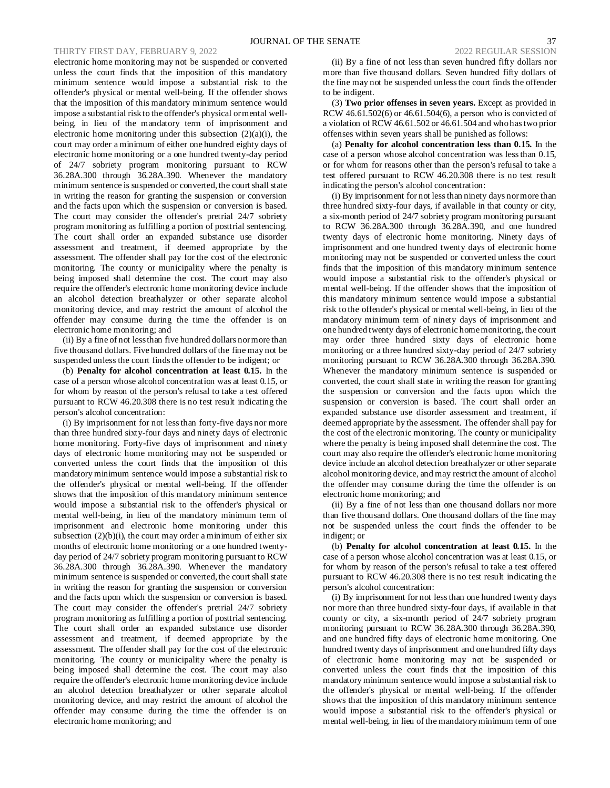# THIRTY FIRST DAY, FEBRUARY 9, 2022 2022 REGULAR SESSION

electronic home monitoring may not be suspended or converted unless the court finds that the imposition of this mandatory minimum sentence would impose a substantial risk to the offender's physical or mental well-being. If the offender shows that the imposition of this mandatory minimum sentence would impose a substantial risk to the offender's physical or mental wellbeing, in lieu of the mandatory term of imprisonment and electronic home monitoring under this subsection (2)(a)(i), the court may order a minimum of either one hundred eighty days of electronic home monitoring or a one hundred twenty-day period of 24/7 sobriety program monitoring pursuant to RCW 36.28A.300 through 36.28A.390. Whenever the mandatory minimum sentence is suspended or converted, the court shall state in writing the reason for granting the suspension or conversion and the facts upon which the suspension or conversion is based. The court may consider the offender's pretrial 24/7 sobriety program monitoring as fulfilling a portion of posttrial sentencing. The court shall order an expanded substance use disorder assessment and treatment, if deemed appropriate by the assessment. The offender shall pay for the cost of the electronic monitoring. The county or municipality where the penalty is being imposed shall determine the cost. The court may also require the offender's electronic home monitoring device include an alcohol detection breathalyzer or other separate alcohol monitoring device, and may restrict the amount of alcohol the offender may consume during the time the offender is on electronic home monitoring; and

(ii) By a fine of not less than five hundred dollars nor more than five thousand dollars. Five hundred dollars of the fine may not be suspended unless the court finds the offender to be indigent; or

(b) **Penalty for alcohol concentration at least 0.15.** In the case of a person whose alcohol concentration was at least 0.15, or for whom by reason of the person's refusal to take a test offered pursuant to RCW 46.20.308 there is no test result indicating the person's alcohol concentration:

(i) By imprisonment for not less than forty-five days nor more than three hundred sixty-four days and ninety days of electronic home monitoring. Forty-five days of imprisonment and ninety days of electronic home monitoring may not be suspended or converted unless the court finds that the imposition of this mandatory minimum sentence would impose a substantial risk to the offender's physical or mental well-being. If the offender shows that the imposition of this mandatory minimum sentence would impose a substantial risk to the offender's physical or mental well-being, in lieu of the mandatory minimum term of imprisonment and electronic home monitoring under this subsection  $(2)(b)(i)$ , the court may order a minimum of either six months of electronic home monitoring or a one hundred twentyday period of 24/7 sobriety program monitoring pursuant to RCW 36.28A.300 through 36.28A.390. Whenever the mandatory minimum sentence is suspended or converted, the court shall state in writing the reason for granting the suspension or conversion and the facts upon which the suspension or conversion is based. The court may consider the offender's pretrial 24/7 sobriety program monitoring as fulfilling a portion of posttrial sentencing. The court shall order an expanded substance use disorder assessment and treatment, if deemed appropriate by the assessment. The offender shall pay for the cost of the electronic monitoring. The county or municipality where the penalty is being imposed shall determine the cost. The court may also require the offender's electronic home monitoring device include an alcohol detection breathalyzer or other separate alcohol monitoring device, and may restrict the amount of alcohol the offender may consume during the time the offender is on electronic home monitoring; and

(ii) By a fine of not less than seven hundred fifty dollars nor more than five thousand dollars. Seven hundred fifty dollars of the fine may not be suspended unless the court finds the offender to be indigent.

(3) **Two prior offenses in seven years.** Except as provided in RCW 46.61.502(6) or 46.61.504(6), a person who is convicted of a violation of RCW 46.61.502 or 46.61.504 and who has two prior offenses within seven years shall be punished as follows:

(a) **Penalty for alcohol concentration less than 0.15.** In the case of a person whose alcohol concentration was less than 0.15, or for whom for reasons other than the person's refusal to take a test offered pursuant to RCW 46.20.308 there is no test result indicating the person's alcohol concentration:

(i) By imprisonment for not less than ninety days nor more than three hundred sixty-four days, if available in that county or city, a six-month period of 24/7 sobriety program monitoring pursuant to RCW 36.28A.300 through 36.28A.390, and one hundred twenty days of electronic home monitoring. Ninety days of imprisonment and one hundred twenty days of electronic home monitoring may not be suspended or converted unless the court finds that the imposition of this mandatory minimum sentence would impose a substantial risk to the offender's physical or mental well-being. If the offender shows that the imposition of this mandatory minimum sentence would impose a substantial risk to the offender's physical or mental well-being, in lieu of the mandatory minimum term of ninety days of imprisonment and one hundred twenty days of electronic home monitoring, the court may order three hundred sixty days of electronic home monitoring or a three hundred sixty-day period of 24/7 sobriety monitoring pursuant to RCW 36.28A.300 through 36.28A.390. Whenever the mandatory minimum sentence is suspended or converted, the court shall state in writing the reason for granting the suspension or conversion and the facts upon which the suspension or conversion is based. The court shall order an expanded substance use disorder assessment and treatment, if deemed appropriate by the assessment. The offender shall pay for the cost of the electronic monitoring. The county or municipality where the penalty is being imposed shall determine the cost. The court may also require the offender's electronic home monitoring device include an alcohol detection breathalyzer or other separate alcohol monitoring device, and may restrict the amount of alcohol the offender may consume during the time the offender is on electronic home monitoring; and

(ii) By a fine of not less than one thousand dollars nor more than five thousand dollars. One thousand dollars of the fine may not be suspended unless the court finds the offender to be indigent; or

(b) **Penalty for alcohol concentration at least 0.15.** In the case of a person whose alcohol concentration was at least 0.15, or for whom by reason of the person's refusal to take a test offered pursuant to RCW 46.20.308 there is no test result indicating the person's alcohol concentration:

(i) By imprisonment for not less than one hundred twenty days nor more than three hundred sixty-four days, if available in that county or city, a six-month period of 24/7 sobriety program monitoring pursuant to RCW 36.28A.300 through 36.28A.390, and one hundred fifty days of electronic home monitoring. One hundred twenty days of imprisonment and one hundred fifty days of electronic home monitoring may not be suspended or converted unless the court finds that the imposition of this mandatory minimum sentence would impose a substantial risk to the offender's physical or mental well-being. If the offender shows that the imposition of this mandatory minimum sentence would impose a substantial risk to the offender's physical or mental well-being, in lieu of the mandatory minimum term of one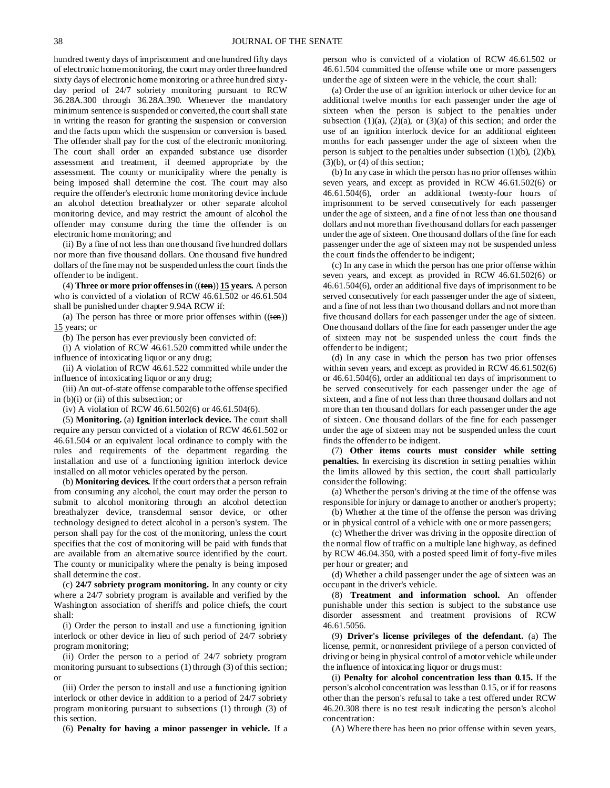hundred twenty days of imprisonment and one hundred fifty days of electronic home monitoring, the court may order three hundred sixty days of electronic home monitoring or a three hundred sixtyday period of 24/7 sobriety monitoring pursuant to RCW 36.28A.300 through 36.28A.390. Whenever the mandatory minimum sentence is suspended or converted, the court shall state in writing the reason for granting the suspension or conversion and the facts upon which the suspension or conversion is based. The offender shall pay for the cost of the electronic monitoring. The court shall order an expanded substance use disorder assessment and treatment, if deemed appropriate by the assessment. The county or municipality where the penalty is being imposed shall determine the cost. The court may also require the offender's electronic home monitoring device include an alcohol detection breathalyzer or other separate alcohol monitoring device, and may restrict the amount of alcohol the offender may consume during the time the offender is on electronic home monitoring; and

(ii) By a fine of not less than one thousand five hundred dollars nor more than five thousand dollars. One thousand five hundred dollars of the fine may not be suspended unless the court finds the offender to be indigent.

(4) **Three or more prior offenses in** ((**ten**)) **15 years.** A person who is convicted of a violation of RCW 46.61.502 or 46.61.504 shall be punished under chapter 9.94A RCW if:

(a) The person has three or more prior offenses within  $((ten))$ 15 years; or

(b) The person has ever previously been convicted of:

(i) A violation of RCW 46.61.520 committed while under the influence of intoxicating liquor or any drug;

(ii) A violation of RCW 46.61.522 committed while under the influence of intoxicating liquor or any drug;

(iii) An out-of-state offense comparable to the offense specified in (b)(i) or (ii) of this subsection; or

(iv) A violation of RCW 46.61.502(6) or 46.61.504(6).

(5) **Monitoring.** (a) **Ignition interlock device.** The court shall require any person convicted of a violation of RCW 46.61.502 or 46.61.504 or an equivalent local ordinance to comply with the rules and requirements of the department regarding the installation and use of a functioning ignition interlock device installed on all motor vehicles operated by the person.

(b) **Monitoring devices.** If the court orders that a person refrain from consuming any alcohol, the court may order the person to submit to alcohol monitoring through an alcohol detection breathalyzer device, transdermal sensor device, or other technology designed to detect alcohol in a person's system. The person shall pay for the cost of the monitoring, unless the court specifies that the cost of monitoring will be paid with funds that are available from an alternative source identified by the court. The county or municipality where the penalty is being imposed shall determine the cost.

(c) **24/7 sobriety program monitoring.** In any county or city where a 24/7 sobriety program is available and verified by the Washington association of sheriffs and police chiefs, the court shall:

(i) Order the person to install and use a functioning ignition interlock or other device in lieu of such period of 24/7 sobriety program monitoring;

(ii) Order the person to a period of 24/7 sobriety program monitoring pursuant to subsections (1) through (3) of this section; or

(iii) Order the person to install and use a functioning ignition interlock or other device in addition to a period of 24/7 sobriety program monitoring pursuant to subsections (1) through (3) of this section.

(6) **Penalty for having a minor passenger in vehicle.** If a

person who is convicted of a violation of RCW 46.61.502 or 46.61.504 committed the offense while one or more passengers under the age of sixteen were in the vehicle, the court shall:

(a) Order the use of an ignition interlock or other device for an additional twelve months for each passenger under the age of sixteen when the person is subject to the penalties under subsection  $(1)(a)$ ,  $(2)(a)$ , or  $(3)(a)$  of this section; and order the use of an ignition interlock device for an additional eighteen months for each passenger under the age of sixteen when the person is subject to the penalties under subsection (1)(b), (2)(b),  $(3)(b)$ , or  $(4)$  of this section;

(b) In any case in which the person has no prior offenses within seven years, and except as provided in RCW 46.61.502(6) or 46.61.504(6), order an additional twenty-four hours of imprisonment to be served consecutively for each passenger under the age of sixteen, and a fine of not less than one thousand dollars and not more than five thousand dollars for each passenger under the age of sixteen. One thousand dollars of the fine for each passenger under the age of sixteen may not be suspended unless the court finds the offender to be indigent;

(c) In any case in which the person has one prior offense within seven years, and except as provided in RCW 46.61.502(6) or 46.61.504(6), order an additional five days of imprisonment to be served consecutively for each passenger under the age of sixteen, and a fine of not less than two thousand dollars and not more than five thousand dollars for each passenger under the age of sixteen. One thousand dollars of the fine for each passenger under the age of sixteen may not be suspended unless the court finds the offender to be indigent;

(d) In any case in which the person has two prior offenses within seven years, and except as provided in RCW 46.61.502(6) or 46.61.504(6), order an additional ten days of imprisonment to be served consecutively for each passenger under the age of sixteen, and a fine of not less than three thousand dollars and not more than ten thousand dollars for each passenger under the age of sixteen. One thousand dollars of the fine for each passenger under the age of sixteen may not be suspended unless the court finds the offender to be indigent.

(7) **Other items courts must consider while setting penalties.** In exercising its discretion in setting penalties within the limits allowed by this section, the court shall particularly consider the following:

(a) Whether the person's driving at the time of the offense was responsible for injury or damage to another or another's property;

(b) Whether at the time of the offense the person was driving or in physical control of a vehicle with one or more passengers;

(c) Whether the driver was driving in the opposite direction of the normal flow of traffic on a multiple lane highway, as defined by RCW 46.04.350, with a posted speed limit of forty-five miles per hour or greater; and

(d) Whether a child passenger under the age of sixteen was an occupant in the driver's vehicle.

(8) **Treatment and information school.** An offender punishable under this section is subject to the substance use disorder assessment and treatment provisions of RCW 46.61.5056.

(9) **Driver's license privileges of the defendant.** (a) The license, permit, or nonresident privilege of a person convicted of driving or being in physical control of a motor vehicle while under the influence of intoxicating liquor or drugs must:

(i) **Penalty for alcohol concentration less than 0.15.** If the person's alcohol concentration was less than 0.15, or if for reasons other than the person's refusal to take a test offered under RCW 46.20.308 there is no test result indicating the person's alcohol concentration:

(A) Where there has been no prior offense within seven years,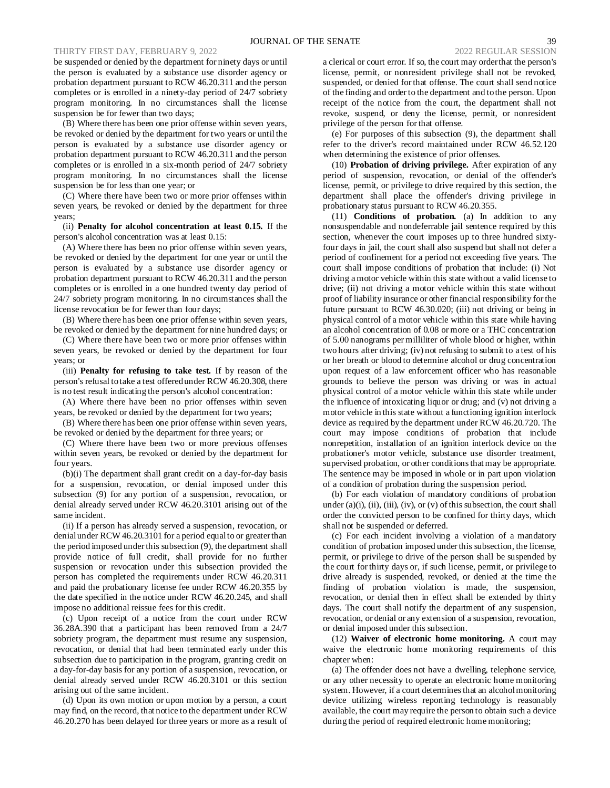be suspended or denied by the department for ninety days or until the person is evaluated by a substance use disorder agency or probation department pursuant to RCW 46.20.311 and the person completes or is enrolled in a ninety-day period of 24/7 sobriety program monitoring. In no circumstances shall the license suspension be for fewer than two days;

(B) Where there has been one prior offense within seven years, be revoked or denied by the department for two years or until the person is evaluated by a substance use disorder agency or probation department pursuant to RCW 46.20.311 and the person completes or is enrolled in a six-month period of 24/7 sobriety program monitoring. In no circumstances shall the license suspension be for less than one year; or

(C) Where there have been two or more prior offenses within seven years, be revoked or denied by the department for three years;

(ii) **Penalty for alcohol concentration at least 0.15.** If the person's alcohol concentration was at least 0.15:

(A) Where there has been no prior offense within seven years, be revoked or denied by the department for one year or until the person is evaluated by a substance use disorder agency or probation department pursuant to RCW 46.20.311 and the person completes or is enrolled in a one hundred twenty day period of 24/7 sobriety program monitoring. In no circumstances shall the license revocation be for fewer than four days;

(B) Where there has been one prior offense within seven years, be revoked or denied by the department for nine hundred days; or

(C) Where there have been two or more prior offenses within seven years, be revoked or denied by the department for four years; or

(iii) **Penalty for refusing to take test.** If by reason of the person's refusal to take a test offered under RCW 46.20.308, there is no test result indicating the person's alcohol concentration:

(A) Where there have been no prior offenses within seven years, be revoked or denied by the department for two years;

(B) Where there has been one prior offense within seven years, be revoked or denied by the department for three years; or

(C) Where there have been two or more previous offenses within seven years, be revoked or denied by the department for four years.

(b)(i) The department shall grant credit on a day-for-day basis for a suspension, revocation, or denial imposed under this subsection (9) for any portion of a suspension, revocation, or denial already served under RCW 46.20.3101 arising out of the same incident.

(ii) If a person has already served a suspension, revocation, or denial under RCW 46.20.3101 for a period equal to or greater than the period imposed under this subsection (9), the department shall provide notice of full credit, shall provide for no further suspension or revocation under this subsection provided the person has completed the requirements under RCW 46.20.311 and paid the probationary license fee under RCW 46.20.355 by the date specified in the notice under RCW 46.20.245, and shall impose no additional reissue fees for this credit.

(c) Upon receipt of a notice from the court under RCW 36.28A.390 that a participant has been removed from a 24/7 sobriety program, the department must resume any suspension, revocation, or denial that had been terminated early under this subsection due to participation in the program, granting credit on a day-for-day basis for any portion of a suspension, revocation, or denial already served under RCW 46.20.3101 or this section arising out of the same incident.

(d) Upon its own motion or upon motion by a person, a court may find, on the record, that notice to the department under RCW 46.20.270 has been delayed for three years or more as a result of a clerical or court error. If so, the court may order that the person's license, permit, or nonresident privilege shall not be revoked, suspended, or denied for that offense. The court shall send notice of the finding and order to the department and to the person. Upon receipt of the notice from the court, the department shall not revoke, suspend, or deny the license, permit, or nonresident privilege of the person for that offense.

(e) For purposes of this subsection (9), the department shall refer to the driver's record maintained under RCW 46.52.120 when determining the existence of prior offenses.

(10) **Probation of driving privilege.** After expiration of any period of suspension, revocation, or denial of the offender's license, permit, or privilege to drive required by this section, the department shall place the offender's driving privilege in probationary status pursuant to RCW 46.20.355.

(11) **Conditions of probation.** (a) In addition to any nonsuspendable and nondeferrable jail sentence required by this section, whenever the court imposes up to three hundred sixtyfour days in jail, the court shall also suspend but shall not defer a period of confinement for a period not exceeding five years. The court shall impose conditions of probation that include: (i) Not driving a motor vehicle within this state without a valid license to drive; (ii) not driving a motor vehicle within this state without proof of liability insurance or other financial responsibility for the future pursuant to RCW 46.30.020; (iii) not driving or being in physical control of a motor vehicle within this state while having an alcohol concentration of 0.08 or more or a THC concentration of 5.00 nanograms per milliliter of whole blood or higher, within two hours after driving; (iv) not refusing to submit to a test of his or her breath or blood to determine alcohol or drug concentration upon request of a law enforcement officer who has reasonable grounds to believe the person was driving or was in actual physical control of a motor vehicle within this state while under the influence of intoxicating liquor or drug; and (v) not driving a motor vehicle in this state without a functioning ignition interlock device as required by the department under RCW 46.20.720. The court may impose conditions of probation that include nonrepetition, installation of an ignition interlock device on the probationer's motor vehicle, substance use disorder treatment, supervised probation, or other conditions that may be appropriate. The sentence may be imposed in whole or in part upon violation of a condition of probation during the suspension period.

(b) For each violation of mandatory conditions of probation under  $(a)(i)$ ,  $(ii)$ ,  $(iii)$ ,  $(iv)$ , or  $(v)$  of this subsection, the court shall order the convicted person to be confined for thirty days, which shall not be suspended or deferred.

(c) For each incident involving a violation of a mandatory condition of probation imposed under this subsection, the license, permit, or privilege to drive of the person shall be suspended by the court for thirty days or, if such license, permit, or privilege to drive already is suspended, revoked, or denied at the time the finding of probation violation is made, the suspension, revocation, or denial then in effect shall be extended by thirty days. The court shall notify the department of any suspension, revocation, or denial or any extension of a suspension, revocation, or denial imposed under this subsection.

(12) **Waiver of electronic home monitoring.** A court may waive the electronic home monitoring requirements of this chapter when:

(a) The offender does not have a dwelling, telephone service, or any other necessity to operate an electronic home monitoring system. However, if a court determines that an alcohol monitoring device utilizing wireless reporting technology is reasonably available, the court may require the person to obtain such a device during the period of required electronic home monitoring;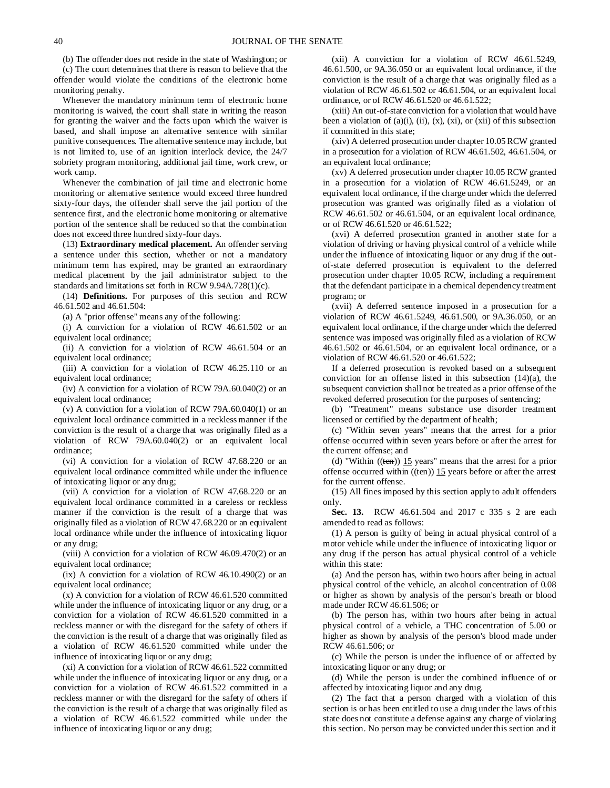(b) The offender does not reside in the state of Washington; or

(c) The court determines that there is reason to believe that the offender would violate the conditions of the electronic home monitoring penalty.

Whenever the mandatory minimum term of electronic home monitoring is waived, the court shall state in writing the reason for granting the waiver and the facts upon which the waiver is based, and shall impose an alternative sentence with similar punitive consequences. The alternative sentence may include, but is not limited to, use of an ignition interlock device, the 24/7 sobriety program monitoring, additional jail time, work crew, or work camp.

Whenever the combination of jail time and electronic home monitoring or alternative sentence would exceed three hundred sixty-four days, the offender shall serve the jail portion of the sentence first, and the electronic home monitoring or alternative portion of the sentence shall be reduced so that the combination does not exceed three hundred sixty-four days.

(13) **Extraordinary medical placement.** An offender serving a sentence under this section, whether or not a mandatory minimum term has expired, may be granted an extraordinary medical placement by the jail administrator subject to the standards and limitations set forth in RCW 9.94A.728(1)(c).

(14) **Definitions.** For purposes of this section and RCW 46.61.502 and 46.61.504:

(a) A "prior offense" means any of the following:

(i) A conviction for a violation of RCW 46.61.502 or an equivalent local ordinance;

(ii) A conviction for a violation of RCW 46.61.504 or an equivalent local ordinance;

(iii) A conviction for a violation of RCW 46.25.110 or an equivalent local ordinance;

(iv) A conviction for a violation of RCW 79A.60.040(2) or an equivalent local ordinance;

(v) A conviction for a violation of RCW 79A.60.040(1) or an equivalent local ordinance committed in a reckless manner if the conviction is the result of a charge that was originally filed as a violation of RCW 79A.60.040(2) or an equivalent local ordinance;

(vi) A conviction for a violation of RCW 47.68.220 or an equivalent local ordinance committed while under the influence of intoxicating liquor or any drug;

(vii) A conviction for a violation of RCW 47.68.220 or an equivalent local ordinance committed in a careless or reckless manner if the conviction is the result of a charge that was originally filed as a violation of RCW 47.68.220 or an equivalent local ordinance while under the influence of intoxicating liquor or any drug;

(viii) A conviction for a violation of RCW 46.09.470(2) or an equivalent local ordinance;

(ix) A conviction for a violation of RCW 46.10.490(2) or an equivalent local ordinance:

(x) A conviction for a violation of RCW 46.61.520 committed while under the influence of intoxicating liquor or any drug, or a conviction for a violation of RCW 46.61.520 committed in a reckless manner or with the disregard for the safety of others if the conviction is the result of a charge that was originally filed as a violation of RCW 46.61.520 committed while under the influence of intoxicating liquor or any drug;

(xi) A conviction for a violation of RCW 46.61.522 committed while under the influence of intoxicating liquor or any drug, or a conviction for a violation of RCW 46.61.522 committed in a reckless manner or with the disregard for the safety of others if the conviction is the result of a charge that was originally filed as a violation of RCW 46.61.522 committed while under the influence of intoxicating liquor or any drug;

(xii) A conviction for a violation of RCW 46.61.5249, 46.61.500, or 9A.36.050 or an equivalent local ordinance, if the conviction is the result of a charge that was originally filed as a violation of RCW 46.61.502 or 46.61.504, or an equivalent local ordinance, or of RCW 46.61.520 or 46.61.522;

(xiii) An out-of-state conviction for a violation that would have been a violation of  $(a)(i)$ ,  $(ii)$ ,  $(x)$ ,  $(xi)$ , or  $(xii)$  of this subsection if committed in this state;

(xiv) A deferred prosecution under chapter 10.05 RCW granted in a prosecution for a violation of RCW 46.61.502, 46.61.504, or an equivalent local ordinance;

(xv) A deferred prosecution under chapter 10.05 RCW granted in a prosecution for a violation of RCW 46.61.5249, or an equivalent local ordinance, if the charge under which the deferred prosecution was granted was originally filed as a violation of RCW 46.61.502 or 46.61.504, or an equivalent local ordinance, or of RCW 46.61.520 or 46.61.522;

(xvi) A deferred prosecution granted in another state for a violation of driving or having physical control of a vehicle while under the influence of intoxicating liquor or any drug if the outof-state deferred prosecution is equivalent to the deferred prosecution under chapter 10.05 RCW, including a requirement that the defendant participate in a chemical dependency treatment program; or

(xvii) A deferred sentence imposed in a prosecution for a violation of RCW 46.61.5249, 46.61.500, or 9A.36.050, or an equivalent local ordinance, if the charge under which the deferred sentence was imposed was originally filed as a violation of RCW 46.61.502 or 46.61.504, or an equivalent local ordinance, or a violation of RCW 46.61.520 or 46.61.522;

If a deferred prosecution is revoked based on a subsequent conviction for an offense listed in this subsection (14)(a), the subsequent conviction shall not be treated as a prior offense of the revoked deferred prosecution for the purposes of sentencing;

(b) "Treatment" means substance use disorder treatment licensed or certified by the department of health;

(c) "Within seven years" means that the arrest for a prior offense occurred within seven years before or after the arrest for the current offense; and

(d) "Within  $((ten))$  15 years" means that the arrest for a prior offense occurred within  $((\text{ten}))$  15 years before or after the arrest for the current offense.

(15) All fines imposed by this section apply to adult offenders only.

**Sec. 13.** RCW 46.61.504 and 2017 c 335 s 2 are each amended to read as follows:

(1) A person is guilty of being in actual physical control of a motor vehicle while under the influence of intoxicating liquor or any drug if the person has actual physical control of a vehicle within this state:

(a) And the person has, within two hours after being in actual physical control of the vehicle, an alcohol concentration of 0.08 or higher as shown by analysis of the person's breath or blood made under RCW 46.61.506; or

(b) The person has, within two hours after being in actual physical control of a vehicle, a THC concentration of 5.00 or higher as shown by analysis of the person's blood made under RCW 46.61.506; or

(c) While the person is under the influence of or affected by intoxicating liquor or any drug; or

(d) While the person is under the combined influence of or affected by intoxicating liquor and any drug.

(2) The fact that a person charged with a violation of this section is or has been entitled to use a drug under the laws of this state does not constitute a defense against any charge of violating this section. No person may be convicted under this section and it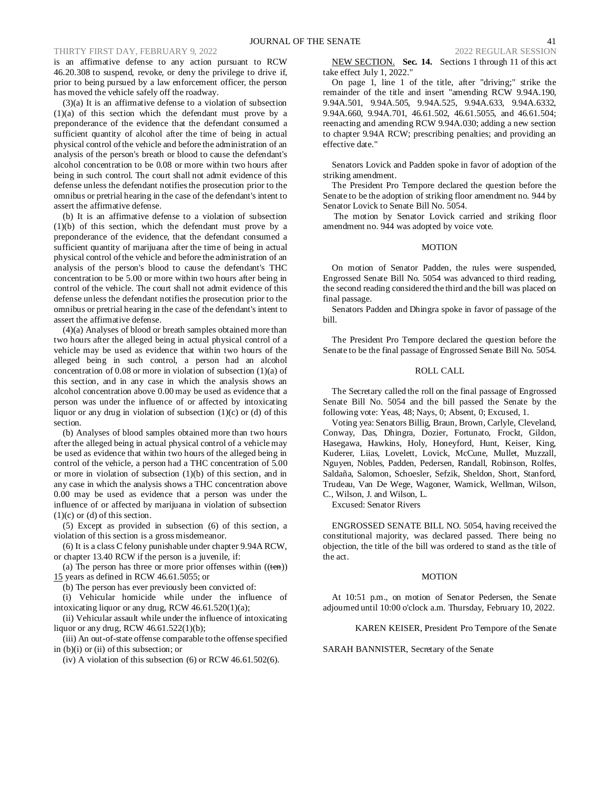is an affirmative defense to any action pursuant to RCW 46.20.308 to suspend, revoke, or deny the privilege to drive if, prior to being pursued by a law enforcement officer, the person has moved the vehicle safely off the roadway.

(3)(a) It is an affirmative defense to a violation of subsection (1)(a) of this section which the defendant must prove by a preponderance of the evidence that the defendant consumed a sufficient quantity of alcohol after the time of being in actual physical control of the vehicle and before the administration of an analysis of the person's breath or blood to cause the defendant's alcohol concentration to be 0.08 or more within two hours after being in such control. The court shall not admit evidence of this defense unless the defendant notifies the prosecution prior to the omnibus or pretrial hearing in the case of the defendant's intent to assert the affirmative defense.

(b) It is an affirmative defense to a violation of subsection (1)(b) of this section, which the defendant must prove by a preponderance of the evidence, that the defendant consumed a sufficient quantity of marijuana after the time of being in actual physical control of the vehicle and before the administration of an analysis of the person's blood to cause the defendant's THC concentration to be 5.00 or more within two hours after being in control of the vehicle. The court shall not admit evidence of this defense unless the defendant notifies the prosecution prior to the omnibus or pretrial hearing in the case of the defendant's intent to assert the affirmative defense.

(4)(a) Analyses of blood or breath samples obtained more than two hours after the alleged being in actual physical control of a vehicle may be used as evidence that within two hours of the alleged being in such control, a person had an alcohol concentration of 0.08 or more in violation of subsection (1)(a) of this section, and in any case in which the analysis shows an alcohol concentration above 0.00 may be used as evidence that a person was under the influence of or affected by intoxicating liquor or any drug in violation of subsection  $(1)(c)$  or  $(d)$  of this section.

(b) Analyses of blood samples obtained more than two hours after the alleged being in actual physical control of a vehicle may be used as evidence that within two hours of the alleged being in control of the vehicle, a person had a THC concentration of 5.00 or more in violation of subsection (1)(b) of this section, and in any case in which the analysis shows a THC concentration above 0.00 may be used as evidence that a person was under the influence of or affected by marijuana in violation of subsection  $(1)(c)$  or  $(d)$  of this section.

(5) Except as provided in subsection (6) of this section, a violation of this section is a gross misdemeanor.

(6) It is a class C felony punishable under chapter 9.94A RCW, or chapter 13.40 RCW if the person is a juvenile, if:

(a) The person has three or more prior offenses within  $((ten))$ 15 years as defined in RCW 46.61.5055; or

(b) The person has ever previously been convicted of:

(i) Vehicular homicide while under the influence of intoxicating liquor or any drug, RCW 46.61.520(1)(a);

(ii) Vehicular assault while under the influence of intoxicating liquor or any drug, RCW 46.61.522(1)(b);

(iii) An out-of-state offense comparable to the offense specified in (b)(i) or (ii) of this subsection; or

(iv) A violation of this subsection  $(6)$  or RCW 46.61.502 $(6)$ .

NEW SECTION. **Sec. 14.** Sections 1 through 11 of this act take effect July 1, 2022."

On page 1, line 1 of the title, after "driving;" strike the remainder of the title and insert "amending RCW 9.94A.190, 9.94A.501, 9.94A.505, 9.94A.525, 9.94A.633, 9.94A.6332, 9.94A.660, 9.94A.701, 46.61.502, 46.61.5055, and 46.61.504; reenacting and amending RCW 9.94A.030; adding a new section to chapter 9.94A RCW; prescribing penalties; and providing an effective date."

Senators Lovick and Padden spoke in favor of adoption of the striking amendment.

The President Pro Tempore declared the question before the Senate to be the adoption of striking floor amendment no. 944 by Senator Lovick to Senate Bill No. 5054.

The motion by Senator Lovick carried and striking floor amendment no. 944 was adopted by voice vote.

## MOTION

On motion of Senator Padden, the rules were suspended, Engrossed Senate Bill No. 5054 was advanced to third reading, the second reading considered the third and the bill was placed on final passage.

Senators Padden and Dhingra spoke in favor of passage of the bill.

The President Pro Tempore declared the question before the Senate to be the final passage of Engrossed Senate Bill No. 5054.

## ROLL CALL

The Secretary called the roll on the final passage of Engrossed Senate Bill No. 5054 and the bill passed the Senate by the following vote: Yeas, 48; Nays, 0; Absent, 0; Excused, 1.

Voting yea: Senators Billig, Braun, Brown, Carlyle, Cleveland, Conway, Das, Dhingra, Dozier, Fortunato, Frockt, Gildon, Hasegawa, Hawkins, Holy, Honeyford, Hunt, Keiser, King, Kuderer, Liias, Lovelett, Lovick, McCune, Mullet, Muzzall, Nguyen, Nobles, Padden, Pedersen, Randall, Robinson, Rolfes, Saldaña, Salomon, Schoesler, Sefzik, Sheldon, Short, Stanford, Trudeau, Van De Wege, Wagoner, Warnick, Wellman, Wilson, C., Wilson, J. and Wilson, L.

Excused: Senator Rivers

ENGROSSED SENATE BILL NO. 5054, having received the constitutional majority, was declared passed. There being no objection, the title of the bill was ordered to stand as the title of the act.

#### MOTION

At 10:51 p.m., on motion of Senator Pedersen, the Senate adjourned until 10:00 o'clock a.m. Thursday, February 10, 2022.

KAREN KEISER, President Pro Tempore of the Senate

SARAH BANNISTER, Secretary of the Senate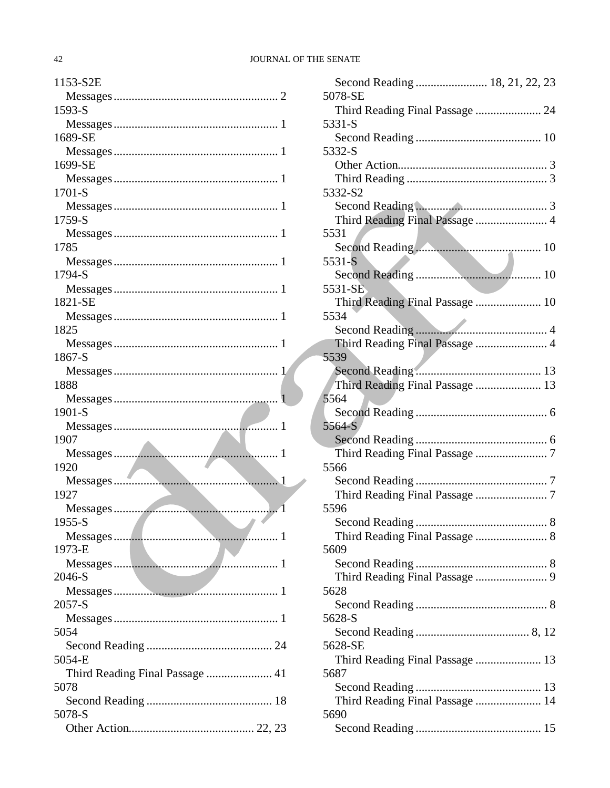# 42 JOURNAL OF THE SENATE

| 1153-S2E                                   |
|--------------------------------------------|
|                                            |
| 1593-S                                     |
|                                            |
| 1689-SE                                    |
|                                            |
| 1699-SE                                    |
|                                            |
| 1701-S                                     |
|                                            |
| 1759-S                                     |
|                                            |
| 1785                                       |
|                                            |
| 1794-S                                     |
|                                            |
| 1821-SE                                    |
|                                            |
| 1825                                       |
|                                            |
| 1867-S                                     |
|                                            |
| 1888                                       |
|                                            |
| 1901-S                                     |
|                                            |
| 1907                                       |
|                                            |
| 1920                                       |
|                                            |
| 1927                                       |
|                                            |
| $1955-S$<br><b>Contract Contract State</b> |
|                                            |
| 1973-E                                     |
|                                            |
| 2046-S                                     |
|                                            |
| $2057-S$                                   |
|                                            |
| 5054                                       |
|                                            |
| 5054-E                                     |
| Third Reading Final Passage  41            |
| 5078                                       |
|                                            |
| 5078-S                                     |
|                                            |
|                                            |

| 5078-SE                         |
|---------------------------------|
| Third Reading Final Passage  24 |
| 5331-S                          |
|                                 |
| 5332-S                          |
|                                 |
|                                 |
| 5332-S2                         |
|                                 |
| Third Reading Final Passage  4  |
| 5531                            |
|                                 |
| 5531-S                          |
|                                 |
| 5531-SE.                        |
| Third Reading Final Passage  10 |
| 5534                            |
|                                 |
| Third Reading Final Passage  4  |
| 5539                            |
|                                 |
| Third Reading Final Passage  13 |
| 5564                            |
|                                 |
| 5564-S                          |
|                                 |
|                                 |
| 5566                            |
|                                 |
|                                 |
| 5596                            |
|                                 |
| Third Reading Final Passage  8  |
| 5609                            |
|                                 |
|                                 |
| 5628                            |
|                                 |
| 5628-S                          |
|                                 |
| 5628-SE                         |
| Third Reading Final Passage  13 |
| 5687                            |
|                                 |
| Third Reading Final Passage  14 |
| 5690                            |
|                                 |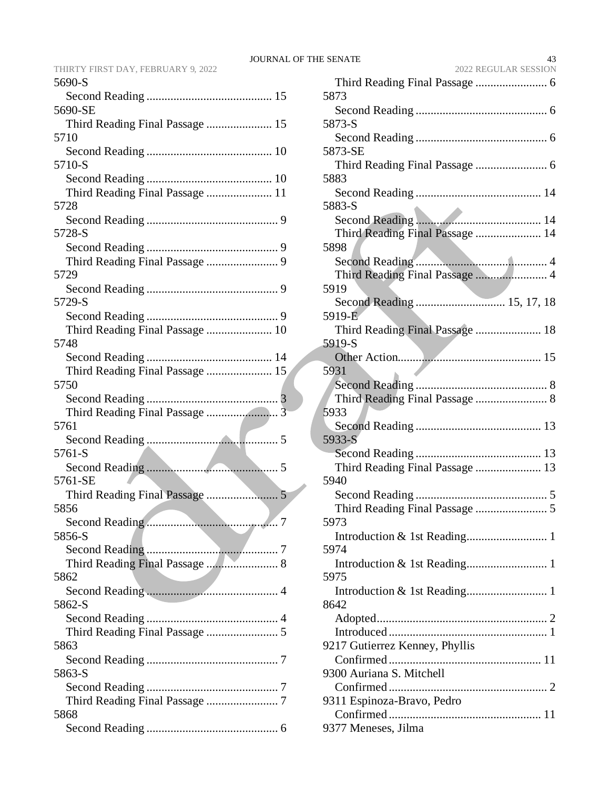|        |  | THIRTY FIRST DAY, FEBRUARY 9, 2022 |  |
|--------|--|------------------------------------|--|
| 5690-S |  |                                    |  |

| 5690-SE                                 |
|-----------------------------------------|
| Third Reading Final Passage  15         |
| 5710                                    |
| 5710-S                                  |
|                                         |
| Third Reading Final Passage  11         |
| 5728                                    |
| 5728-S                                  |
|                                         |
|                                         |
| 5729                                    |
| 5729-S                                  |
|                                         |
| Third Reading Final Passage  10<br>5748 |
|                                         |
| Third Reading Final Passage  15         |
| 5750                                    |
|                                         |
| 5761                                    |
|                                         |
|                                         |
| 5761-S                                  |
|                                         |
| 5761-SE                                 |
| 5856                                    |
|                                         |
| 5856-S                                  |
|                                         |
| 5862                                    |
|                                         |
| 5862-S                                  |
| Third Reading Final Passage  5          |
| 5863                                    |
| 5863-S                                  |
|                                         |
|                                         |
| 5868                                    |

| <b>E SENATE</b><br>43<br>2022 REGULAR SESSION |
|-----------------------------------------------|
|                                               |
| 5873                                          |
| 5873-S                                        |
|                                               |
| 5873-SE                                       |
|                                               |
| 5883                                          |
|                                               |
| 5883-S                                        |
| Third Reading Final Passage  14               |
| 5898                                          |
|                                               |
| Third Reading Final Passage  4                |
| 5919                                          |
| Second Reading  15, 17, 18                    |
| 5919-E<br>Third Reading Final Passage  18     |
| 5919-S                                        |
|                                               |
| 5931                                          |
|                                               |
|                                               |
| 5933                                          |
| 5933-S                                        |
|                                               |
| Third Reading Final Passage  13               |
| 5940                                          |
|                                               |
|                                               |
| 5973                                          |
| 5974                                          |
|                                               |
| 5975                                          |
|                                               |
| 8642                                          |
|                                               |
|                                               |
| 9217 Gutierrez Kenney, Phyllis                |
| 9300 Auriana S. Mitchell                      |
|                                               |
| 9311 Espinoza-Bravo, Pedro                    |
|                                               |
| 9377 Meneses, Jilma                           |